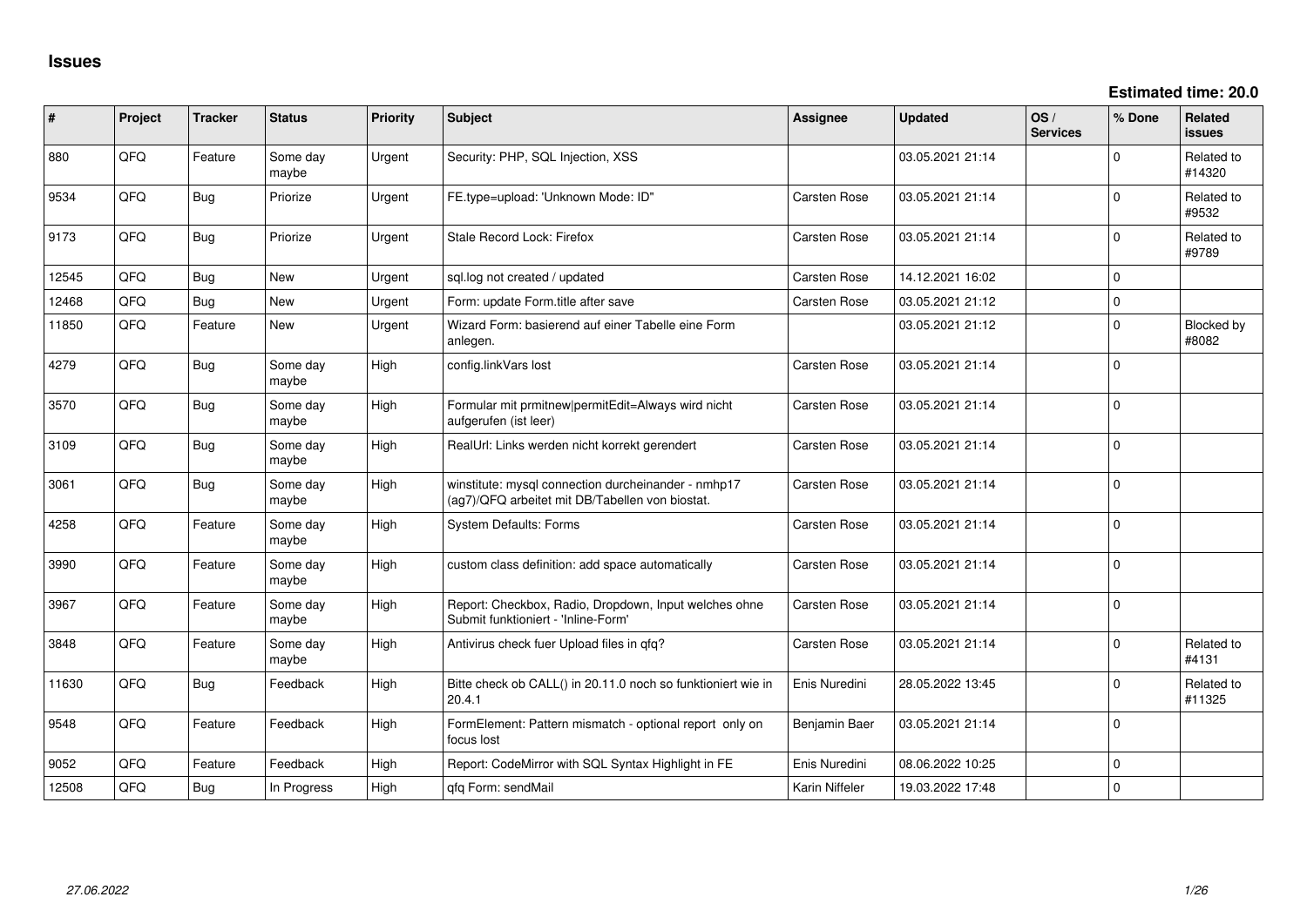**Estimated time: 20.0**

| ∦     | Project | <b>Tracker</b> | <b>Status</b>     | <b>Priority</b> | <b>Subject</b>                                                                                         | <b>Assignee</b>     | <b>Updated</b>   | OS/<br><b>Services</b> | % Done      | <b>Related</b><br><b>issues</b> |
|-------|---------|----------------|-------------------|-----------------|--------------------------------------------------------------------------------------------------------|---------------------|------------------|------------------------|-------------|---------------------------------|
| 880   | QFQ     | Feature        | Some day<br>maybe | Urgent          | Security: PHP, SQL Injection, XSS                                                                      |                     | 03.05.2021 21:14 |                        | $\Omega$    | Related to<br>#14320            |
| 9534  | QFQ     | Bug            | Priorize          | Urgent          | FE.type=upload: 'Unknown Mode: ID"                                                                     | <b>Carsten Rose</b> | 03.05.2021 21:14 |                        | $\Omega$    | Related to<br>#9532             |
| 9173  | QFQ     | Bug            | Priorize          | Urgent          | Stale Record Lock: Firefox                                                                             | <b>Carsten Rose</b> | 03.05.2021 21:14 |                        | $\Omega$    | Related to<br>#9789             |
| 12545 | QFQ     | Bug            | <b>New</b>        | Urgent          | sgl.log not created / updated                                                                          | <b>Carsten Rose</b> | 14.12.2021 16:02 |                        | $\mathbf 0$ |                                 |
| 12468 | QFQ     | <b>Bug</b>     | <b>New</b>        | Urgent          | Form: update Form.title after save                                                                     | <b>Carsten Rose</b> | 03.05.2021 21:12 |                        | $\Omega$    |                                 |
| 11850 | QFQ     | Feature        | <b>New</b>        | Urgent          | Wizard Form: basierend auf einer Tabelle eine Form<br>anlegen.                                         |                     | 03.05.2021 21:12 |                        | $\Omega$    | Blocked by<br>#8082             |
| 4279  | QFQ     | Bug            | Some day<br>maybe | High            | config.linkVars lost                                                                                   | <b>Carsten Rose</b> | 03.05.2021 21:14 |                        | $\mathbf 0$ |                                 |
| 3570  | QFQ     | <b>Bug</b>     | Some day<br>maybe | High            | Formular mit prmitnew permitEdit=Always wird nicht<br>aufgerufen (ist leer)                            | Carsten Rose        | 03.05.2021 21:14 |                        | $\Omega$    |                                 |
| 3109  | QFQ     | <b>Bug</b>     | Some day<br>maybe | High            | RealUrl: Links werden nicht korrekt gerendert                                                          | <b>Carsten Rose</b> | 03.05.2021 21:14 |                        | $\Omega$    |                                 |
| 3061  | QFQ     | <b>Bug</b>     | Some day<br>maybe | High            | winstitute: mysql connection durcheinander - nmhp17<br>(ag7)/QFQ arbeitet mit DB/Tabellen von biostat. | <b>Carsten Rose</b> | 03.05.2021 21:14 |                        | $\Omega$    |                                 |
| 4258  | QFQ     | Feature        | Some day<br>maybe | High            | <b>System Defaults: Forms</b>                                                                          | <b>Carsten Rose</b> | 03.05.2021 21:14 |                        | $\Omega$    |                                 |
| 3990  | QFQ     | Feature        | Some day<br>maybe | High            | custom class definition: add space automatically                                                       | <b>Carsten Rose</b> | 03.05.2021 21:14 |                        | $\Omega$    |                                 |
| 3967  | QFQ     | Feature        | Some day<br>maybe | High            | Report: Checkbox, Radio, Dropdown, Input welches ohne<br>Submit funktioniert - 'Inline-Form'           | <b>Carsten Rose</b> | 03.05.2021 21:14 |                        | $\mathbf 0$ |                                 |
| 3848  | QFQ     | Feature        | Some day<br>maybe | High            | Antivirus check fuer Upload files in qfq?                                                              | <b>Carsten Rose</b> | 03.05.2021 21:14 |                        | $\Omega$    | Related to<br>#4131             |
| 11630 | QFQ     | Bug            | Feedback          | High            | Bitte check ob CALL() in 20.11.0 noch so funktioniert wie in<br>20.4.1                                 | Enis Nuredini       | 28.05.2022 13:45 |                        | $\Omega$    | Related to<br>#11325            |
| 9548  | QFQ     | Feature        | Feedback          | High            | FormElement: Pattern mismatch - optional report only on<br>focus lost                                  | Benjamin Baer       | 03.05.2021 21:14 |                        | $\Omega$    |                                 |
| 9052  | QFQ     | Feature        | Feedback          | High            | Report: CodeMirror with SQL Syntax Highlight in FE                                                     | Enis Nuredini       | 08.06.2022 10:25 |                        | $\mathbf 0$ |                                 |
| 12508 | QFQ     | Bug            | In Progress       | High            | qfq Form: sendMail                                                                                     | Karin Niffeler      | 19.03.2022 17:48 |                        | $\mathbf 0$ |                                 |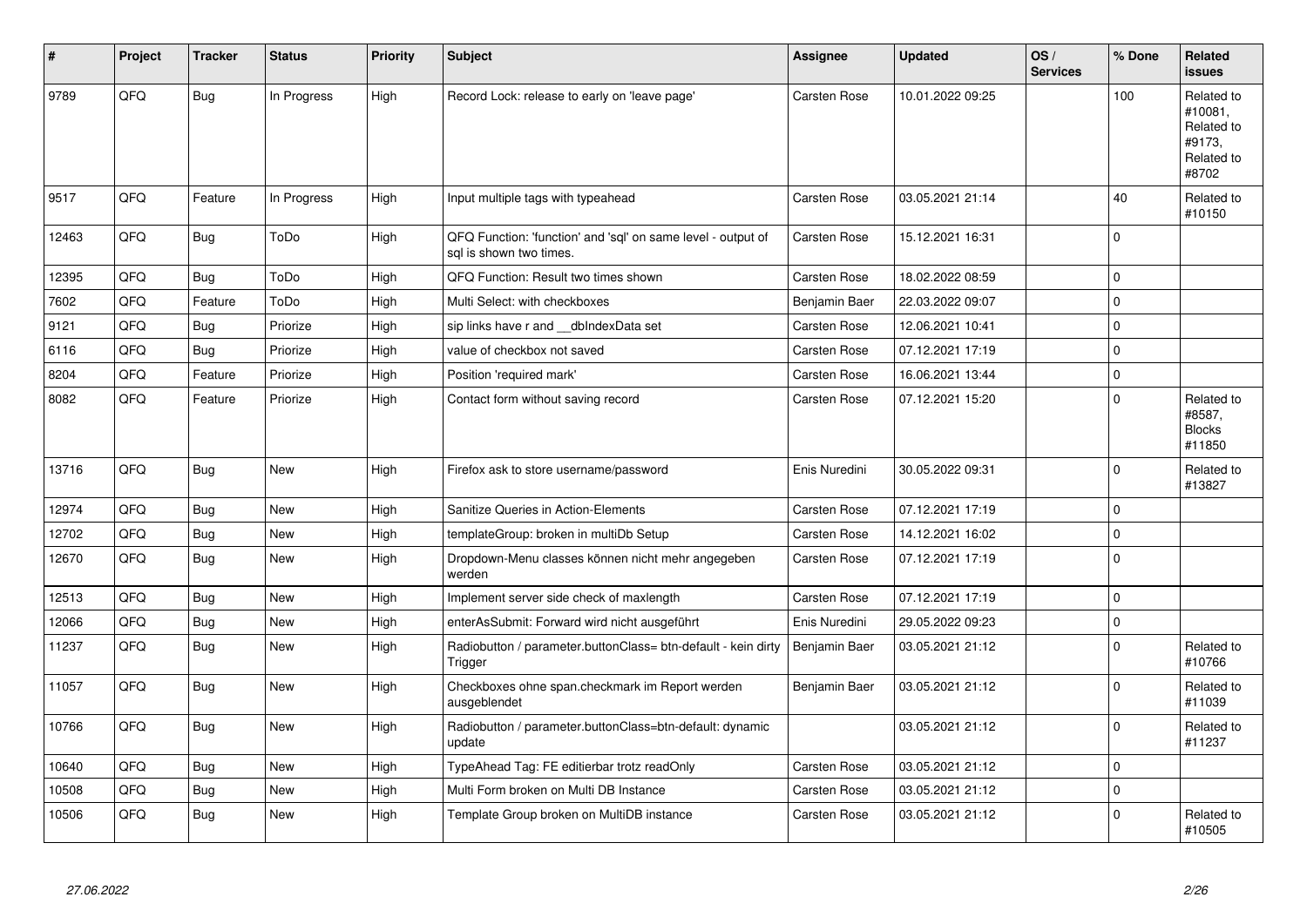| #     | Project | <b>Tracker</b> | <b>Status</b> | <b>Priority</b> | <b>Subject</b>                                                                          | Assignee            | <b>Updated</b>   | OS/<br><b>Services</b> | % Done       | <b>Related</b><br><b>issues</b>                                      |
|-------|---------|----------------|---------------|-----------------|-----------------------------------------------------------------------------------------|---------------------|------------------|------------------------|--------------|----------------------------------------------------------------------|
| 9789  | QFQ     | <b>Bug</b>     | In Progress   | High            | Record Lock: release to early on 'leave page'                                           | Carsten Rose        | 10.01.2022 09:25 |                        | 100          | Related to<br>#10081.<br>Related to<br>#9173.<br>Related to<br>#8702 |
| 9517  | QFQ     | Feature        | In Progress   | High            | Input multiple tags with typeahead                                                      | Carsten Rose        | 03.05.2021 21:14 |                        | 40           | Related to<br>#10150                                                 |
| 12463 | QFQ     | Bug            | ToDo          | High            | QFQ Function: 'function' and 'sql' on same level - output of<br>sal is shown two times. | Carsten Rose        | 15.12.2021 16:31 |                        | $\Omega$     |                                                                      |
| 12395 | QFQ     | <b>Bug</b>     | ToDo          | High            | QFQ Function: Result two times shown                                                    | <b>Carsten Rose</b> | 18.02.2022 08:59 |                        | $\mathbf 0$  |                                                                      |
| 7602  | QFQ     | Feature        | ToDo          | High            | Multi Select: with checkboxes                                                           | Benjamin Baer       | 22.03.2022 09:07 |                        | $\mathbf 0$  |                                                                      |
| 9121  | QFQ     | Bug            | Priorize      | High            | sip links have r and dblndexData set                                                    | Carsten Rose        | 12.06.2021 10:41 |                        | $\mathbf 0$  |                                                                      |
| 6116  | QFQ     | <b>Bug</b>     | Priorize      | High            | value of checkbox not saved                                                             | <b>Carsten Rose</b> | 07.12.2021 17:19 |                        | $\mathbf 0$  |                                                                      |
| 8204  | QFQ     | Feature        | Priorize      | High            | Position 'required mark'                                                                | <b>Carsten Rose</b> | 16.06.2021 13:44 |                        | $\mathbf 0$  |                                                                      |
| 8082  | QFQ     | Feature        | Priorize      | High            | Contact form without saving record                                                      | Carsten Rose        | 07.12.2021 15:20 |                        | $\mathbf 0$  | Related to<br>#8587,<br><b>Blocks</b><br>#11850                      |
| 13716 | QFQ     | Bug            | <b>New</b>    | High            | Firefox ask to store username/password                                                  | Enis Nuredini       | 30.05.2022 09:31 |                        | $\mathbf 0$  | Related to<br>#13827                                                 |
| 12974 | QFQ     | <b>Bug</b>     | <b>New</b>    | High            | Sanitize Queries in Action-Elements                                                     | <b>Carsten Rose</b> | 07.12.2021 17:19 |                        | $\mathbf{0}$ |                                                                      |
| 12702 | QFQ     | Bug            | <b>New</b>    | High            | templateGroup: broken in multiDb Setup                                                  | <b>Carsten Rose</b> | 14.12.2021 16:02 |                        | $\mathbf 0$  |                                                                      |
| 12670 | QFQ     | <b>Bug</b>     | <b>New</b>    | High            | Dropdown-Menu classes können nicht mehr angegeben<br>werden                             | <b>Carsten Rose</b> | 07.12.2021 17:19 |                        | $\Omega$     |                                                                      |
| 12513 | QFQ     | Bug            | <b>New</b>    | High            | Implement server side check of maxlength                                                | <b>Carsten Rose</b> | 07.12.2021 17:19 |                        | $\mathbf 0$  |                                                                      |
| 12066 | QFQ     | <b>Bug</b>     | New           | High            | enterAsSubmit: Forward wird nicht ausgeführt                                            | Enis Nuredini       | 29.05.2022 09:23 |                        | $\pmb{0}$    |                                                                      |
| 11237 | QFQ     | Bug            | <b>New</b>    | High            | Radiobutton / parameter.buttonClass= btn-default - kein dirty<br>Trigger                | Benjamin Baer       | 03.05.2021 21:12 |                        | $\mathbf 0$  | Related to<br>#10766                                                 |
| 11057 | QFQ     | Bug            | <b>New</b>    | High            | Checkboxes ohne span.checkmark im Report werden<br>ausgeblendet                         | Benjamin Baer       | 03.05.2021 21:12 |                        | $\Omega$     | Related to<br>#11039                                                 |
| 10766 | QFQ     | Bug            | New           | High            | Radiobutton / parameter.buttonClass=btn-default: dynamic<br>update                      |                     | 03.05.2021 21:12 |                        | $\mathbf 0$  | Related to<br>#11237                                                 |
| 10640 | QFQ     | Bug            | <b>New</b>    | High            | TypeAhead Tag: FE editierbar trotz readOnly                                             | <b>Carsten Rose</b> | 03.05.2021 21:12 |                        | $\mathbf{0}$ |                                                                      |
| 10508 | QFQ     | <b>Bug</b>     | <b>New</b>    | High            | Multi Form broken on Multi DB Instance                                                  | <b>Carsten Rose</b> | 03.05.2021 21:12 |                        | $\mathbf 0$  |                                                                      |
| 10506 | QFQ     | Bug            | New           | High            | Template Group broken on MultiDB instance                                               | <b>Carsten Rose</b> | 03.05.2021 21:12 |                        | $\mathbf 0$  | Related to<br>#10505                                                 |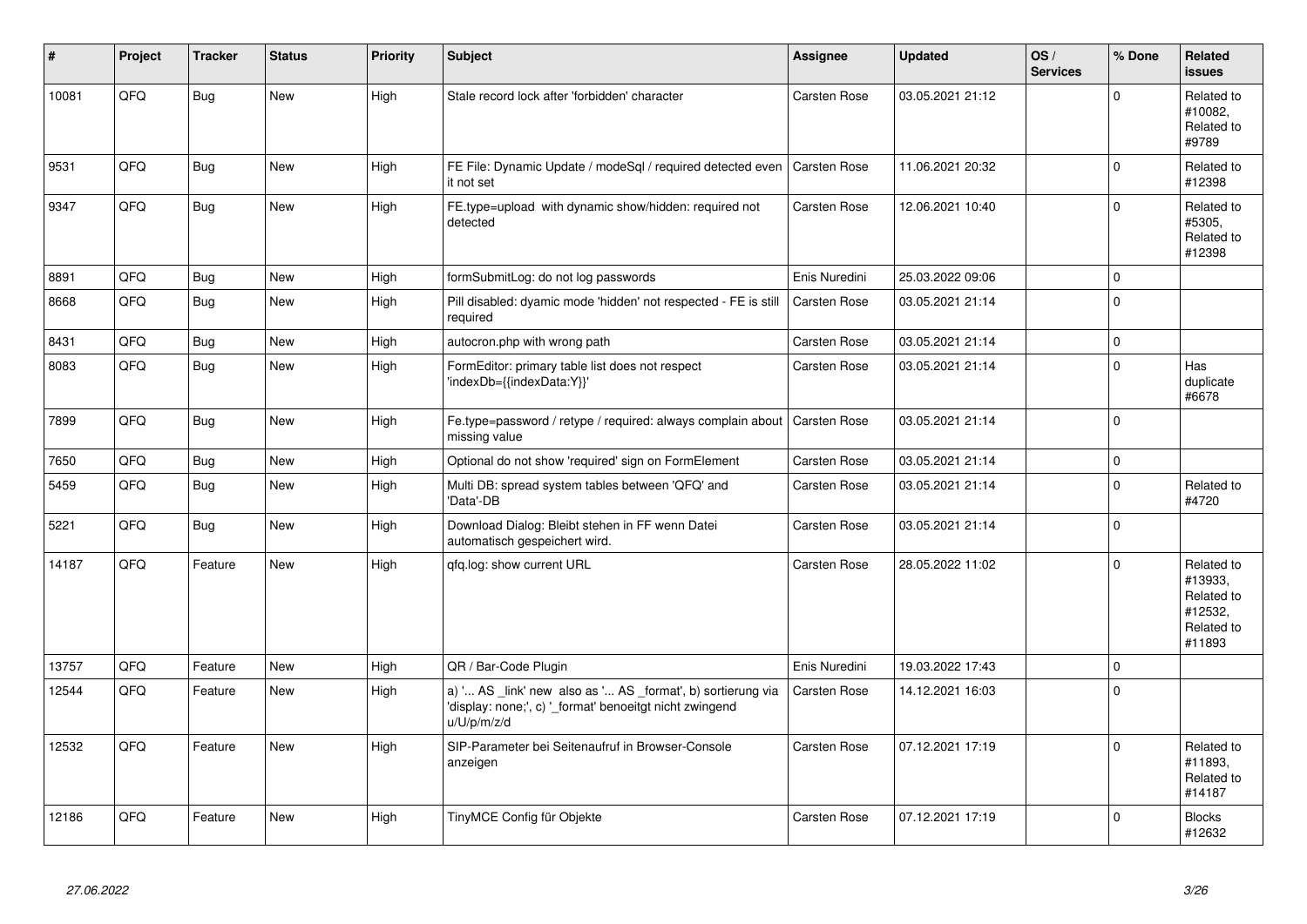| #     | Project | <b>Tracker</b> | <b>Status</b> | <b>Priority</b> | <b>Subject</b>                                                                                                                        | Assignee            | <b>Updated</b>   | OS/<br><b>Services</b> | % Done      | Related<br><b>issues</b>                                               |
|-------|---------|----------------|---------------|-----------------|---------------------------------------------------------------------------------------------------------------------------------------|---------------------|------------------|------------------------|-------------|------------------------------------------------------------------------|
| 10081 | QFQ     | Bug            | <b>New</b>    | High            | Stale record lock after 'forbidden' character                                                                                         | <b>Carsten Rose</b> | 03.05.2021 21:12 |                        | $\Omega$    | Related to<br>#10082,<br>Related to<br>#9789                           |
| 9531  | QFQ     | Bug            | New           | High            | FE File: Dynamic Update / modeSql / required detected even<br>it not set                                                              | <b>Carsten Rose</b> | 11.06.2021 20:32 |                        | $\mathbf 0$ | Related to<br>#12398                                                   |
| 9347  | QFQ     | Bug            | New           | High            | FE.type=upload with dynamic show/hidden: required not<br>detected                                                                     | <b>Carsten Rose</b> | 12.06.2021 10:40 |                        | $\mathbf 0$ | Related to<br>#5305,<br>Related to<br>#12398                           |
| 8891  | QFQ     | Bug            | <b>New</b>    | High            | formSubmitLog: do not log passwords                                                                                                   | Enis Nuredini       | 25.03.2022 09:06 |                        | $\pmb{0}$   |                                                                        |
| 8668  | QFQ     | <b>Bug</b>     | <b>New</b>    | High            | Pill disabled: dyamic mode 'hidden' not respected - FE is still<br>required                                                           | <b>Carsten Rose</b> | 03.05.2021 21:14 |                        | $\mathbf 0$ |                                                                        |
| 8431  | QFQ     | Bug            | <b>New</b>    | High            | autocron.php with wrong path                                                                                                          | <b>Carsten Rose</b> | 03.05.2021 21:14 |                        | $\mathbf 0$ |                                                                        |
| 8083  | QFQ     | Bug            | <b>New</b>    | High            | FormEditor: primary table list does not respect<br>'indexDb={{indexData:Y}}'                                                          | Carsten Rose        | 03.05.2021 21:14 |                        | $\Omega$    | Has<br>duplicate<br>#6678                                              |
| 7899  | QFQ     | Bug            | New           | High            | Fe.type=password / retype / required: always complain about<br>missing value                                                          | Carsten Rose        | 03.05.2021 21:14 |                        | $\mathbf 0$ |                                                                        |
| 7650  | QFQ     | <b>Bug</b>     | New           | High            | Optional do not show 'required' sign on FormElement                                                                                   | Carsten Rose        | 03.05.2021 21:14 |                        | $\pmb{0}$   |                                                                        |
| 5459  | QFQ     | <b>Bug</b>     | <b>New</b>    | High            | Multi DB: spread system tables between 'QFQ' and<br>'Data'-DB                                                                         | Carsten Rose        | 03.05.2021 21:14 |                        | $\mathbf 0$ | Related to<br>#4720                                                    |
| 5221  | QFQ     | Bug            | <b>New</b>    | High            | Download Dialog: Bleibt stehen in FF wenn Datei<br>automatisch gespeichert wird.                                                      | <b>Carsten Rose</b> | 03.05.2021 21:14 |                        | $\mathbf 0$ |                                                                        |
| 14187 | QFQ     | Feature        | New           | High            | gfg.log: show current URL                                                                                                             | Carsten Rose        | 28.05.2022 11:02 |                        | $\mathbf 0$ | Related to<br>#13933,<br>Related to<br>#12532,<br>Related to<br>#11893 |
| 13757 | QFQ     | Feature        | <b>New</b>    | High            | QR / Bar-Code Plugin                                                                                                                  | Enis Nuredini       | 19.03.2022 17:43 |                        | $\mathbf 0$ |                                                                        |
| 12544 | QFQ     | Feature        | <b>New</b>    | High            | a) ' AS _link' new also as ' AS _format', b) sortierung via<br>'display: none;', c) ' format' benoeitgt nicht zwingend<br>u/U/p/m/z/d | Carsten Rose        | 14.12.2021 16:03 |                        | $\mathbf 0$ |                                                                        |
| 12532 | QFQ     | Feature        | New           | High            | SIP-Parameter bei Seitenaufruf in Browser-Console<br>anzeigen                                                                         | <b>Carsten Rose</b> | 07.12.2021 17:19 |                        | $\mathbf 0$ | Related to<br>#11893,<br>Related to<br>#14187                          |
| 12186 | QFQ     | Feature        | New           | High            | TinyMCE Config für Objekte                                                                                                            | <b>Carsten Rose</b> | 07.12.2021 17:19 |                        | $\mathbf 0$ | <b>Blocks</b><br>#12632                                                |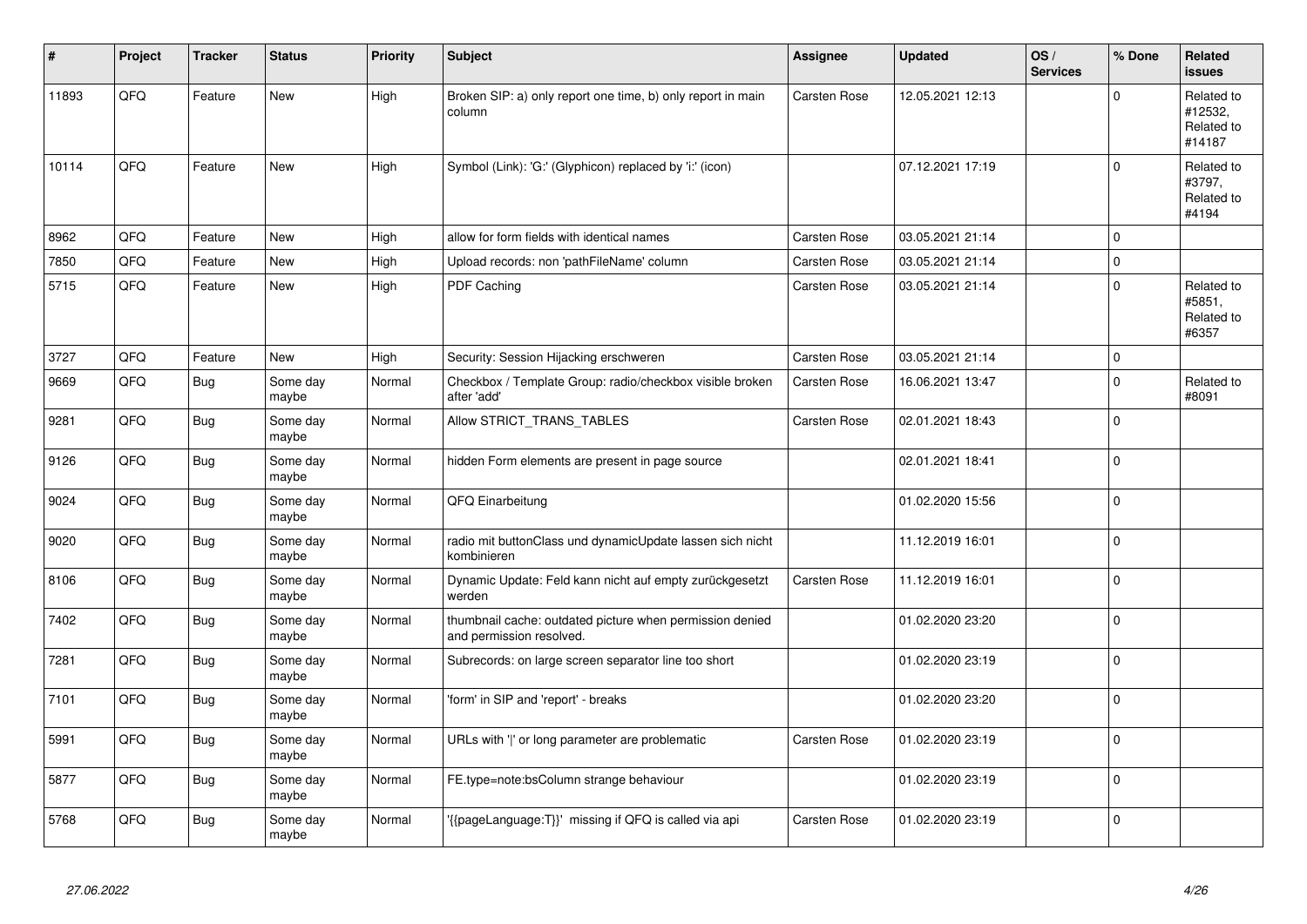| #     | Project | <b>Tracker</b> | <b>Status</b>     | <b>Priority</b> | <b>Subject</b>                                                                       | Assignee            | <b>Updated</b>   | OS/<br><b>Services</b> | % Done       | Related<br><b>issues</b>                      |
|-------|---------|----------------|-------------------|-----------------|--------------------------------------------------------------------------------------|---------------------|------------------|------------------------|--------------|-----------------------------------------------|
| 11893 | QFQ     | Feature        | <b>New</b>        | High            | Broken SIP: a) only report one time, b) only report in main<br>column                | <b>Carsten Rose</b> | 12.05.2021 12:13 |                        | $\mathbf 0$  | Related to<br>#12532,<br>Related to<br>#14187 |
| 10114 | QFQ     | Feature        | <b>New</b>        | High            | Symbol (Link): 'G:' (Glyphicon) replaced by 'i:' (icon)                              |                     | 07.12.2021 17:19 |                        | $\mathbf 0$  | Related to<br>#3797,<br>Related to<br>#4194   |
| 8962  | QFQ     | Feature        | New               | High            | allow for form fields with identical names                                           | <b>Carsten Rose</b> | 03.05.2021 21:14 |                        | $\mathbf 0$  |                                               |
| 7850  | QFQ     | Feature        | <b>New</b>        | High            | Upload records: non 'pathFileName' column                                            | <b>Carsten Rose</b> | 03.05.2021 21:14 |                        | $\mathbf{0}$ |                                               |
| 5715  | QFQ     | Feature        | <b>New</b>        | High            | PDF Caching                                                                          | <b>Carsten Rose</b> | 03.05.2021 21:14 |                        | $\pmb{0}$    | Related to<br>#5851,<br>Related to<br>#6357   |
| 3727  | QFQ     | Feature        | <b>New</b>        | High            | Security: Session Hijacking erschweren                                               | <b>Carsten Rose</b> | 03.05.2021 21:14 |                        | $\mathbf 0$  |                                               |
| 9669  | QFQ     | <b>Bug</b>     | Some day<br>maybe | Normal          | Checkbox / Template Group: radio/checkbox visible broken<br>after 'add'              | Carsten Rose        | 16.06.2021 13:47 |                        | $\mathbf 0$  | Related to<br>#8091                           |
| 9281  | QFQ     | Bug            | Some day<br>maybe | Normal          | Allow STRICT_TRANS_TABLES                                                            | <b>Carsten Rose</b> | 02.01.2021 18:43 |                        | $\Omega$     |                                               |
| 9126  | QFQ     | Bug            | Some day<br>maybe | Normal          | hidden Form elements are present in page source                                      |                     | 02.01.2021 18:41 |                        | $\mathbf 0$  |                                               |
| 9024  | QFQ     | <b>Bug</b>     | Some day<br>maybe | Normal          | QFQ Einarbeitung                                                                     |                     | 01.02.2020 15:56 |                        | $\mathbf 0$  |                                               |
| 9020  | QFQ     | Bug            | Some day<br>maybe | Normal          | radio mit buttonClass und dynamicUpdate lassen sich nicht<br>kombinieren             |                     | 11.12.2019 16:01 |                        | $\pmb{0}$    |                                               |
| 8106  | QFQ     | <b>Bug</b>     | Some day<br>maybe | Normal          | Dynamic Update: Feld kann nicht auf empty zurückgesetzt<br>werden                    | <b>Carsten Rose</b> | 11.12.2019 16:01 |                        | $\mathbf 0$  |                                               |
| 7402  | QFQ     | <b>Bug</b>     | Some day<br>maybe | Normal          | thumbnail cache: outdated picture when permission denied<br>and permission resolved. |                     | 01.02.2020 23:20 |                        | $\mathbf 0$  |                                               |
| 7281  | QFQ     | <b>Bug</b>     | Some day<br>maybe | Normal          | Subrecords: on large screen separator line too short                                 |                     | 01.02.2020 23:19 |                        | $\mathbf 0$  |                                               |
| 7101  | QFQ     | <b>Bug</b>     | Some day<br>maybe | Normal          | 'form' in SIP and 'report' - breaks                                                  |                     | 01.02.2020 23:20 |                        | $\Omega$     |                                               |
| 5991  | QFQ     | Bug            | Some day<br>maybe | Normal          | URLs with 'I' or long parameter are problematic                                      | <b>Carsten Rose</b> | 01.02.2020 23:19 |                        | $\Omega$     |                                               |
| 5877  | QFQ     | Bug            | Some day<br>maybe | Normal          | FE.type=note:bsColumn strange behaviour                                              |                     | 01.02.2020 23:19 |                        | $\pmb{0}$    |                                               |
| 5768  | QFQ     | Bug            | Some day<br>maybe | Normal          | {{pageLanguage:T}}' missing if QFQ is called via api                                 | <b>Carsten Rose</b> | 01.02.2020 23:19 |                        | $\mathbf 0$  |                                               |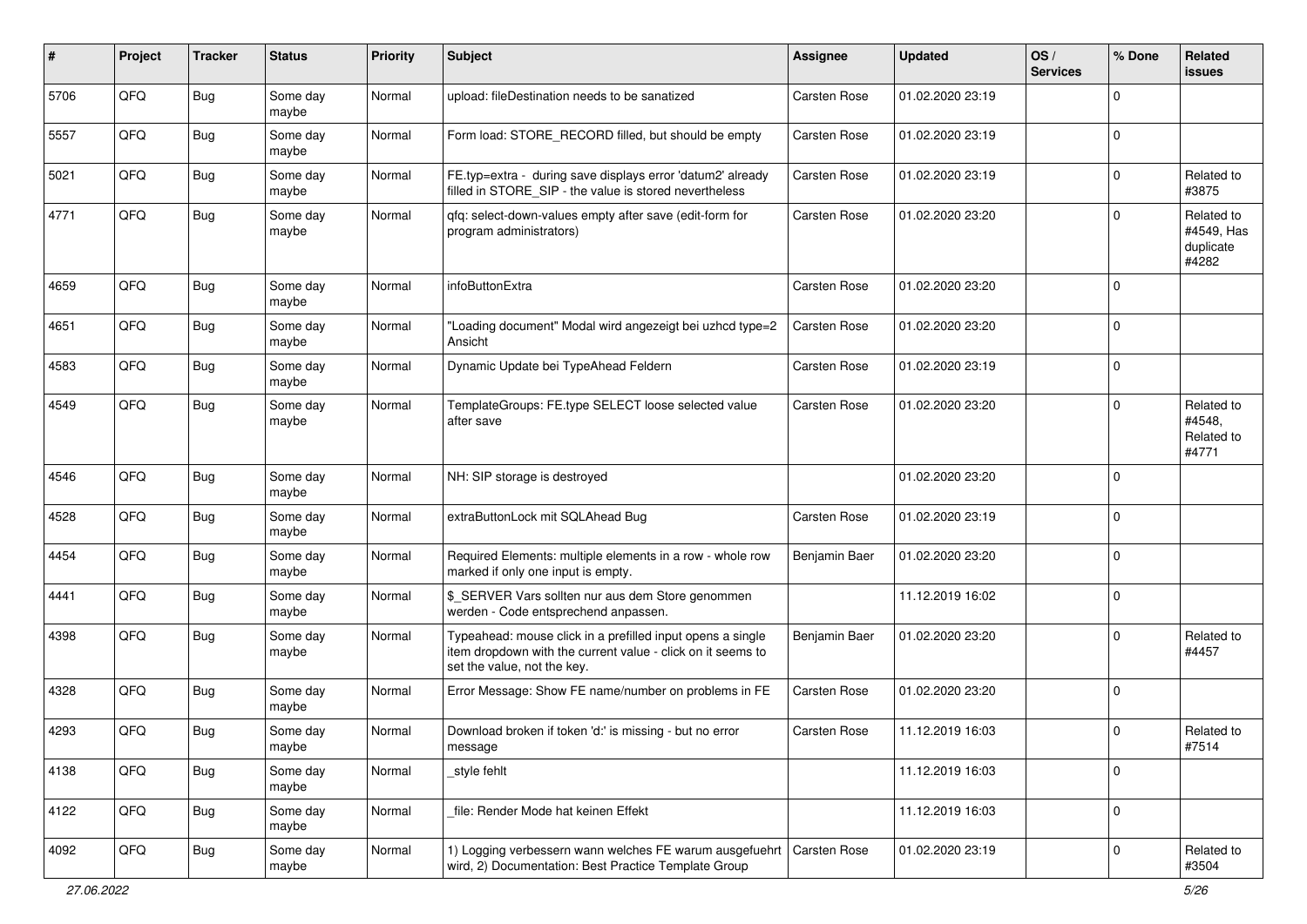| #    | Project | <b>Tracker</b> | <b>Status</b>     | <b>Priority</b> | Subject                                                                                                                                                  | <b>Assignee</b>     | <b>Updated</b>   | OS/<br><b>Services</b> | % Done      | Related<br><b>issues</b>                       |
|------|---------|----------------|-------------------|-----------------|----------------------------------------------------------------------------------------------------------------------------------------------------------|---------------------|------------------|------------------------|-------------|------------------------------------------------|
| 5706 | QFQ     | <b>Bug</b>     | Some day<br>maybe | Normal          | upload: fileDestination needs to be sanatized                                                                                                            | <b>Carsten Rose</b> | 01.02.2020 23:19 |                        | $\Omega$    |                                                |
| 5557 | QFQ     | Bug            | Some day<br>maybe | Normal          | Form load: STORE RECORD filled, but should be empty                                                                                                      | <b>Carsten Rose</b> | 01.02.2020 23:19 |                        | $\mathbf 0$ |                                                |
| 5021 | QFQ     | <b>Bug</b>     | Some day<br>maybe | Normal          | FE.typ=extra - during save displays error 'datum2' already<br>filled in STORE_SIP - the value is stored nevertheless                                     | <b>Carsten Rose</b> | 01.02.2020 23:19 |                        | 0           | Related to<br>#3875                            |
| 4771 | QFQ     | <b>Bug</b>     | Some day<br>maybe | Normal          | qfq: select-down-values empty after save (edit-form for<br>program administrators)                                                                       | <b>Carsten Rose</b> | 01.02.2020 23:20 |                        | $\Omega$    | Related to<br>#4549, Has<br>duplicate<br>#4282 |
| 4659 | QFQ     | <b>Bug</b>     | Some day<br>maybe | Normal          | infoButtonExtra                                                                                                                                          | Carsten Rose        | 01.02.2020 23:20 |                        | $\Omega$    |                                                |
| 4651 | QFQ     | <b>Bug</b>     | Some day<br>maybe | Normal          | "Loading document" Modal wird angezeigt bei uzhcd type=2<br>Ansicht                                                                                      | Carsten Rose        | 01.02.2020 23:20 |                        | $\Omega$    |                                                |
| 4583 | QFQ     | <b>Bug</b>     | Some day<br>maybe | Normal          | Dynamic Update bei TypeAhead Feldern                                                                                                                     | <b>Carsten Rose</b> | 01.02.2020 23:19 |                        | $\mathbf 0$ |                                                |
| 4549 | QFQ     | <b>Bug</b>     | Some day<br>maybe | Normal          | TemplateGroups: FE.type SELECT loose selected value<br>after save                                                                                        | <b>Carsten Rose</b> | 01.02.2020 23:20 |                        | $\Omega$    | Related to<br>#4548,<br>Related to<br>#4771    |
| 4546 | QFQ     | <b>Bug</b>     | Some day<br>maybe | Normal          | NH: SIP storage is destroyed                                                                                                                             |                     | 01.02.2020 23:20 |                        | $\Omega$    |                                                |
| 4528 | QFQ     | <b>Bug</b>     | Some day<br>maybe | Normal          | extraButtonLock mit SQLAhead Bug                                                                                                                         | <b>Carsten Rose</b> | 01.02.2020 23:19 |                        | $\Omega$    |                                                |
| 4454 | QFQ     | <b>Bug</b>     | Some day<br>maybe | Normal          | Required Elements: multiple elements in a row - whole row<br>marked if only one input is empty.                                                          | Benjamin Baer       | 01.02.2020 23:20 |                        | $\Omega$    |                                                |
| 4441 | QFQ     | <b>Bug</b>     | Some day<br>maybe | Normal          | \$_SERVER Vars sollten nur aus dem Store genommen<br>werden - Code entsprechend anpassen.                                                                |                     | 11.12.2019 16:02 |                        | $\Omega$    |                                                |
| 4398 | QFQ     | <b>Bug</b>     | Some day<br>maybe | Normal          | Typeahead: mouse click in a prefilled input opens a single<br>item dropdown with the current value - click on it seems to<br>set the value, not the key. | Benjamin Baer       | 01.02.2020 23:20 |                        | 0           | Related to<br>#4457                            |
| 4328 | QFQ     | <b>Bug</b>     | Some day<br>maybe | Normal          | Error Message: Show FE name/number on problems in FE                                                                                                     | <b>Carsten Rose</b> | 01.02.2020 23:20 |                        | $\Omega$    |                                                |
| 4293 | QFQ     | <b>Bug</b>     | Some day<br>maybe | Normal          | Download broken if token 'd:' is missing - but no error<br>message                                                                                       | Carsten Rose        | 11.12.2019 16:03 |                        | $\mathbf 0$ | Related to<br>#7514                            |
| 4138 | QFQ     | <b>Bug</b>     | Some day<br>maybe | Normal          | style fehlt                                                                                                                                              |                     | 11.12.2019 16:03 |                        | $\Omega$    |                                                |
| 4122 | QFQ     | Bug            | Some day<br>maybe | Normal          | file: Render Mode hat keinen Effekt                                                                                                                      |                     | 11.12.2019 16:03 |                        | $\mathbf 0$ |                                                |
| 4092 | QFQ     | Bug            | Some day<br>maybe | Normal          | 1) Logging verbessern wann welches FE warum ausgefuehrt   Carsten Rose<br>wird, 2) Documentation: Best Practice Template Group                           |                     | 01.02.2020 23:19 |                        | $\mathbf 0$ | Related to<br>#3504                            |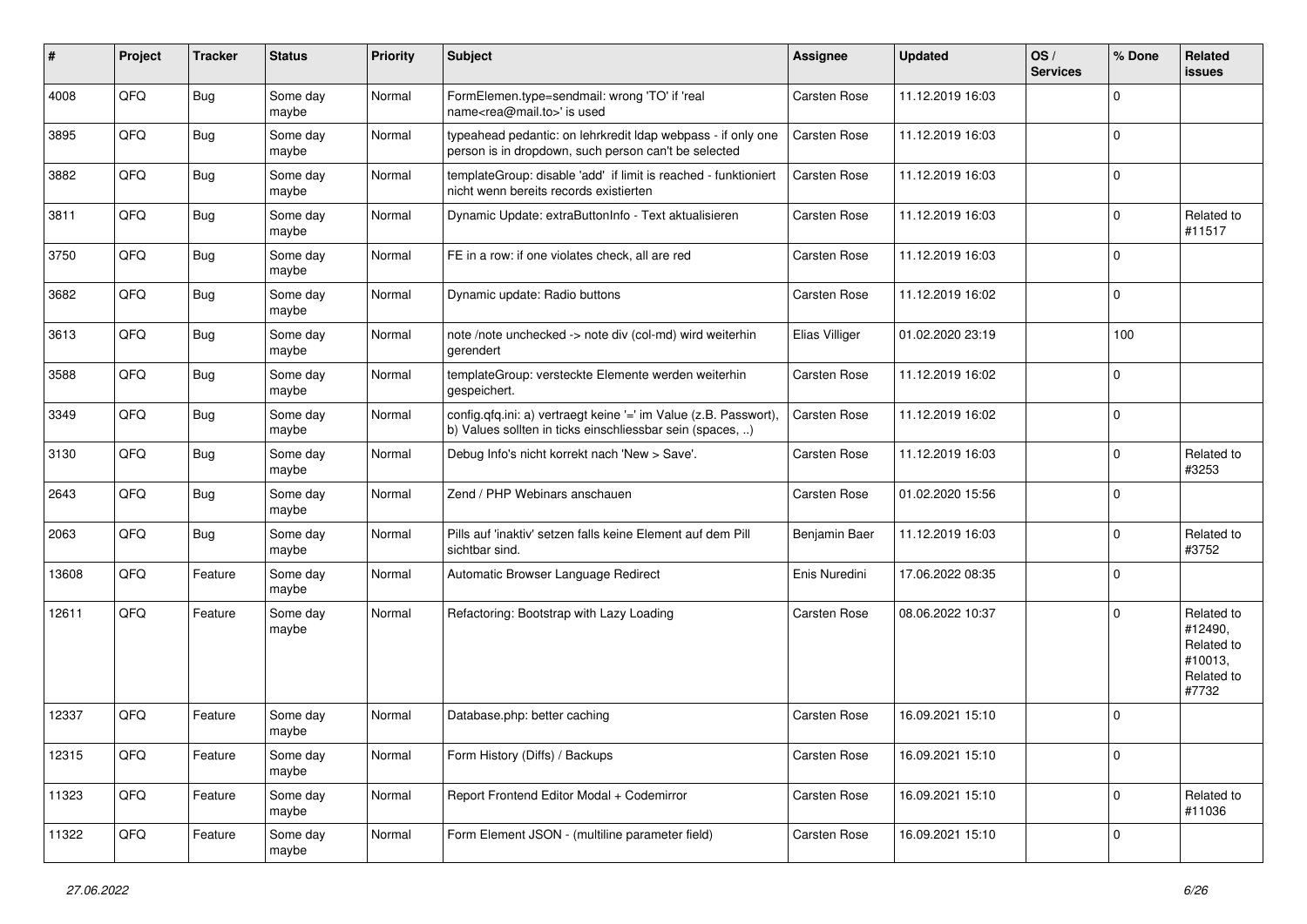| #     | Project | <b>Tracker</b> | <b>Status</b>     | <b>Priority</b> | <b>Subject</b>                                                                                                                | <b>Assignee</b>     | <b>Updated</b>   | OS/<br><b>Services</b> | % Done      | Related<br><b>issues</b>                                              |
|-------|---------|----------------|-------------------|-----------------|-------------------------------------------------------------------------------------------------------------------------------|---------------------|------------------|------------------------|-------------|-----------------------------------------------------------------------|
| 4008  | QFQ     | Bug            | Some day<br>maybe | Normal          | FormElemen.type=sendmail: wrong 'TO' if 'real<br>name <rea@mail.to>' is used</rea@mail.to>                                    | <b>Carsten Rose</b> | 11.12.2019 16:03 |                        | $\mathbf 0$ |                                                                       |
| 3895  | QFQ     | Bug            | Some day<br>maybe | Normal          | typeahead pedantic: on lehrkredit Idap webpass - if only one<br>person is in dropdown, such person can't be selected          | <b>Carsten Rose</b> | 11.12.2019 16:03 |                        | 0           |                                                                       |
| 3882  | QFQ     | <b>Bug</b>     | Some day<br>maybe | Normal          | templateGroup: disable 'add' if limit is reached - funktioniert<br>nicht wenn bereits records existierten                     | <b>Carsten Rose</b> | 11.12.2019 16:03 |                        | $\mathbf 0$ |                                                                       |
| 3811  | QFQ     | Bug            | Some day<br>maybe | Normal          | Dynamic Update: extraButtonInfo - Text aktualisieren                                                                          | Carsten Rose        | 11.12.2019 16:03 |                        | $\mathbf 0$ | Related to<br>#11517                                                  |
| 3750  | QFQ     | Bug            | Some day<br>maybe | Normal          | FE in a row: if one violates check, all are red                                                                               | Carsten Rose        | 11.12.2019 16:03 |                        | $\mathbf 0$ |                                                                       |
| 3682  | QFQ     | <b>Bug</b>     | Some day<br>maybe | Normal          | Dynamic update: Radio buttons                                                                                                 | Carsten Rose        | 11.12.2019 16:02 |                        | $\mathbf 0$ |                                                                       |
| 3613  | QFQ     | Bug            | Some day<br>maybe | Normal          | note /note unchecked -> note div (col-md) wird weiterhin<br>gerendert                                                         | Elias Villiger      | 01.02.2020 23:19 |                        | 100         |                                                                       |
| 3588  | QFQ     | Bug            | Some day<br>maybe | Normal          | templateGroup: versteckte Elemente werden weiterhin<br>gespeichert.                                                           | Carsten Rose        | 11.12.2019 16:02 |                        | $\mathbf 0$ |                                                                       |
| 3349  | QFQ     | Bug            | Some day<br>maybe | Normal          | config.qfq.ini: a) vertraegt keine '=' im Value (z.B. Passwort),<br>b) Values sollten in ticks einschliessbar sein (spaces, ) | <b>Carsten Rose</b> | 11.12.2019 16:02 |                        | $\mathbf 0$ |                                                                       |
| 3130  | QFQ     | <b>Bug</b>     | Some day<br>maybe | Normal          | Debug Info's nicht korrekt nach 'New > Save'.                                                                                 | Carsten Rose        | 11.12.2019 16:03 |                        | 0           | Related to<br>#3253                                                   |
| 2643  | QFQ     | <b>Bug</b>     | Some day<br>maybe | Normal          | Zend / PHP Webinars anschauen                                                                                                 | <b>Carsten Rose</b> | 01.02.2020 15:56 |                        | $\mathbf 0$ |                                                                       |
| 2063  | QFQ     | Bug            | Some day<br>maybe | Normal          | Pills auf 'inaktiv' setzen falls keine Element auf dem Pill<br>sichtbar sind.                                                 | Benjamin Baer       | 11.12.2019 16:03 |                        | $\mathbf 0$ | Related to<br>#3752                                                   |
| 13608 | QFQ     | Feature        | Some day<br>maybe | Normal          | Automatic Browser Language Redirect                                                                                           | Enis Nuredini       | 17.06.2022 08:35 |                        | $\Omega$    |                                                                       |
| 12611 | QFQ     | Feature        | Some day<br>maybe | Normal          | Refactoring: Bootstrap with Lazy Loading                                                                                      | Carsten Rose        | 08.06.2022 10:37 |                        | $\mathbf 0$ | Related to<br>#12490,<br>Related to<br>#10013,<br>Related to<br>#7732 |
| 12337 | QFQ     | Feature        | Some day<br>maybe | Normal          | Database.php: better caching                                                                                                  | Carsten Rose        | 16.09.2021 15:10 |                        | 0           |                                                                       |
| 12315 | QFQ     | Feature        | Some day<br>maybe | Normal          | Form History (Diffs) / Backups                                                                                                | Carsten Rose        | 16.09.2021 15:10 |                        | $\mathbf 0$ |                                                                       |
| 11323 | QFQ     | Feature        | Some day<br>maybe | Normal          | Report Frontend Editor Modal + Codemirror                                                                                     | Carsten Rose        | 16.09.2021 15:10 |                        | 0           | Related to<br>#11036                                                  |
| 11322 | QFQ     | Feature        | Some day<br>maybe | Normal          | Form Element JSON - (multiline parameter field)                                                                               | Carsten Rose        | 16.09.2021 15:10 |                        | $\mathbf 0$ |                                                                       |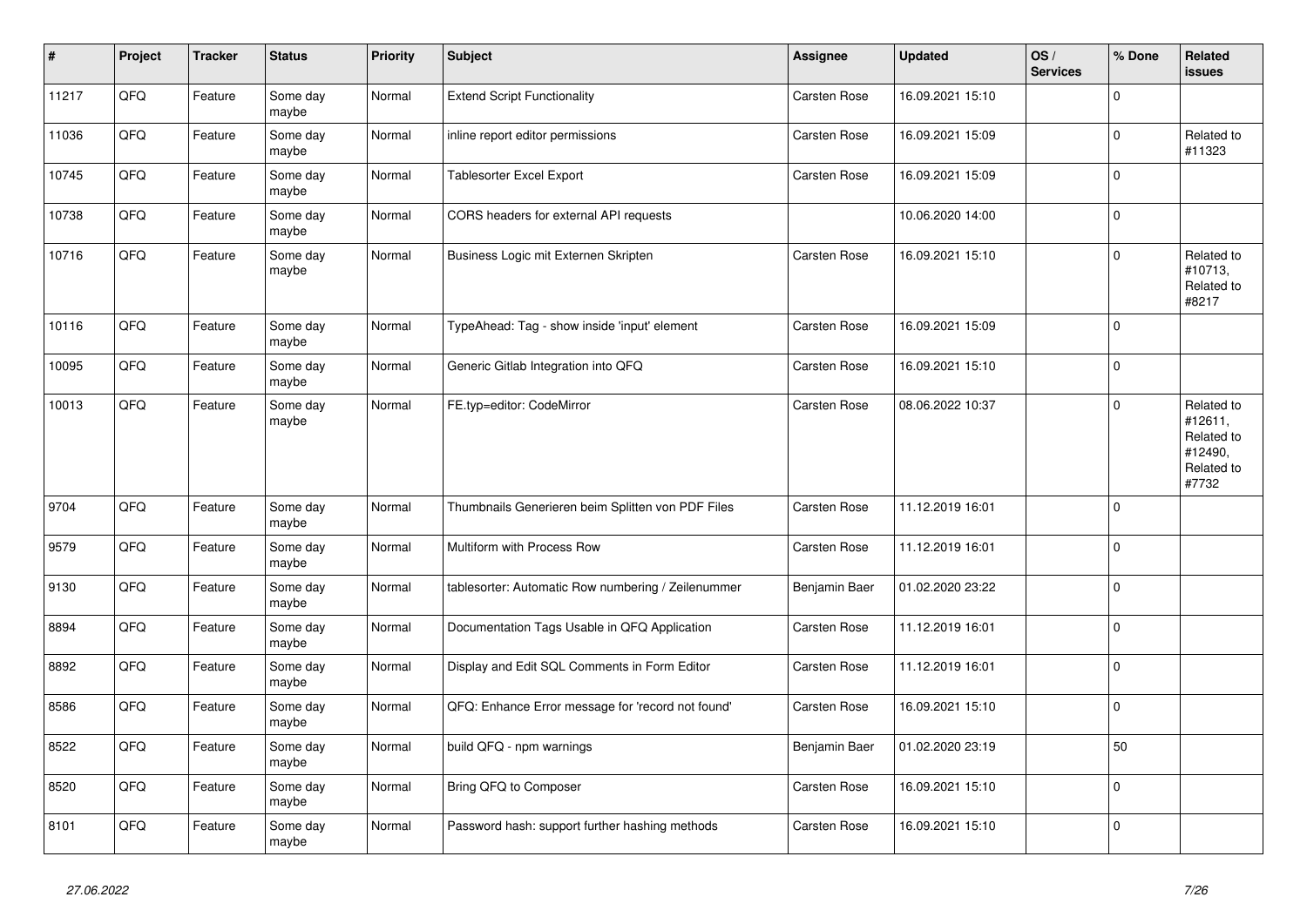| $\vert$ # | Project | <b>Tracker</b> | <b>Status</b>     | <b>Priority</b> | <b>Subject</b>                                     | Assignee            | <b>Updated</b>   | OS/<br><b>Services</b> | % Done       | Related<br><b>issues</b>                                              |
|-----------|---------|----------------|-------------------|-----------------|----------------------------------------------------|---------------------|------------------|------------------------|--------------|-----------------------------------------------------------------------|
| 11217     | QFQ     | Feature        | Some day<br>maybe | Normal          | <b>Extend Script Functionality</b>                 | Carsten Rose        | 16.09.2021 15:10 |                        | $\Omega$     |                                                                       |
| 11036     | QFQ     | Feature        | Some day<br>maybe | Normal          | inline report editor permissions                   | <b>Carsten Rose</b> | 16.09.2021 15:09 |                        | $\mathbf 0$  | Related to<br>#11323                                                  |
| 10745     | QFQ     | Feature        | Some day<br>maybe | Normal          | Tablesorter Excel Export                           | Carsten Rose        | 16.09.2021 15:09 |                        | $\Omega$     |                                                                       |
| 10738     | QFQ     | Feature        | Some day<br>maybe | Normal          | CORS headers for external API requests             |                     | 10.06.2020 14:00 |                        | $\mathbf 0$  |                                                                       |
| 10716     | QFQ     | Feature        | Some day<br>maybe | Normal          | Business Logic mit Externen Skripten               | Carsten Rose        | 16.09.2021 15:10 |                        | $\mathbf 0$  | Related to<br>#10713,<br>Related to<br>#8217                          |
| 10116     | QFQ     | Feature        | Some day<br>maybe | Normal          | TypeAhead: Tag - show inside 'input' element       | Carsten Rose        | 16.09.2021 15:09 |                        | $\Omega$     |                                                                       |
| 10095     | QFQ     | Feature        | Some day<br>maybe | Normal          | Generic Gitlab Integration into QFQ                | Carsten Rose        | 16.09.2021 15:10 |                        | $\Omega$     |                                                                       |
| 10013     | QFQ     | Feature        | Some day<br>maybe | Normal          | FE.typ=editor: CodeMirror                          | Carsten Rose        | 08.06.2022 10:37 |                        | $\Omega$     | Related to<br>#12611,<br>Related to<br>#12490,<br>Related to<br>#7732 |
| 9704      | QFQ     | Feature        | Some day<br>maybe | Normal          | Thumbnails Generieren beim Splitten von PDF Files  | Carsten Rose        | 11.12.2019 16:01 |                        | $\Omega$     |                                                                       |
| 9579      | QFQ     | Feature        | Some day<br>maybe | Normal          | Multiform with Process Row                         | Carsten Rose        | 11.12.2019 16:01 |                        | $\mathbf{0}$ |                                                                       |
| 9130      | QFQ     | Feature        | Some day<br>maybe | Normal          | tablesorter: Automatic Row numbering / Zeilenummer | Benjamin Baer       | 01.02.2020 23:22 |                        | $\Omega$     |                                                                       |
| 8894      | QFQ     | Feature        | Some day<br>maybe | Normal          | Documentation Tags Usable in QFQ Application       | Carsten Rose        | 11.12.2019 16:01 |                        | $\mathbf 0$  |                                                                       |
| 8892      | QFQ     | Feature        | Some day<br>maybe | Normal          | Display and Edit SQL Comments in Form Editor       | Carsten Rose        | 11.12.2019 16:01 |                        | $\mathbf 0$  |                                                                       |
| 8586      | QFQ     | Feature        | Some day<br>maybe | Normal          | QFQ: Enhance Error message for 'record not found'  | Carsten Rose        | 16.09.2021 15:10 |                        | $\Omega$     |                                                                       |
| 8522      | QFQ     | Feature        | Some day<br>maybe | Normal          | build QFQ - npm warnings                           | Benjamin Baer       | 01.02.2020 23:19 |                        | 50           |                                                                       |
| 8520      | QFQ     | Feature        | Some day<br>maybe | Normal          | Bring QFQ to Composer                              | Carsten Rose        | 16.09.2021 15:10 |                        | $\Omega$     |                                                                       |
| 8101      | QFQ     | Feature        | Some day<br>maybe | Normal          | Password hash: support further hashing methods     | Carsten Rose        | 16.09.2021 15:10 |                        | $\Omega$     |                                                                       |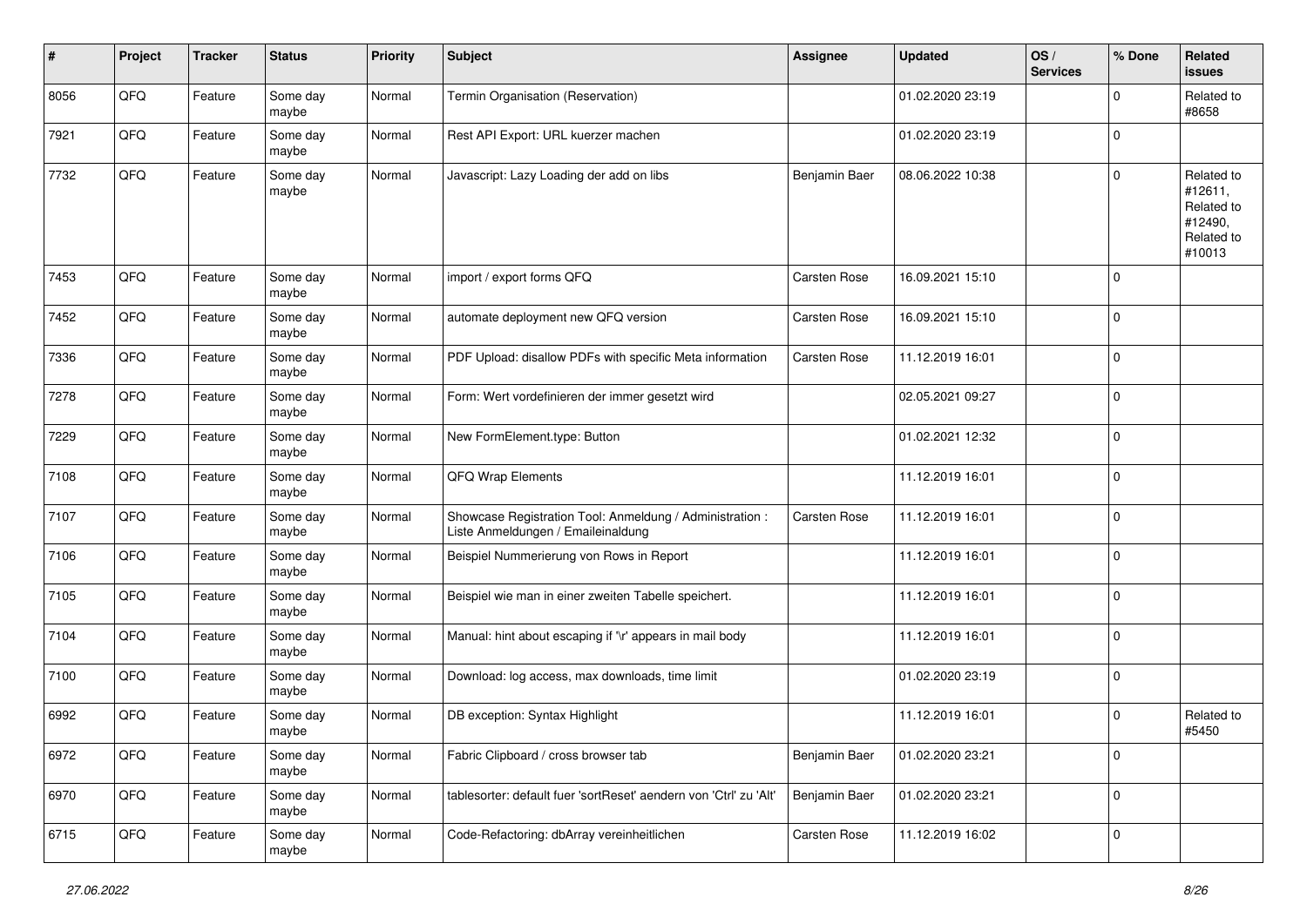| $\#$ | Project | <b>Tracker</b> | <b>Status</b>     | <b>Priority</b> | <b>Subject</b>                                                                                 | <b>Assignee</b>     | <b>Updated</b>   | OS/<br><b>Services</b> | % Done         | Related<br><b>issues</b>                                               |
|------|---------|----------------|-------------------|-----------------|------------------------------------------------------------------------------------------------|---------------------|------------------|------------------------|----------------|------------------------------------------------------------------------|
| 8056 | QFQ     | Feature        | Some day<br>maybe | Normal          | Termin Organisation (Reservation)                                                              |                     | 01.02.2020 23:19 |                        | $\Omega$       | Related to<br>#8658                                                    |
| 7921 | QFQ     | Feature        | Some day<br>maybe | Normal          | Rest API Export: URL kuerzer machen                                                            |                     | 01.02.2020 23:19 |                        | $\overline{0}$ |                                                                        |
| 7732 | QFQ     | Feature        | Some day<br>maybe | Normal          | Javascript: Lazy Loading der add on libs                                                       | Benjamin Baer       | 08.06.2022 10:38 |                        | $\Omega$       | Related to<br>#12611,<br>Related to<br>#12490,<br>Related to<br>#10013 |
| 7453 | QFQ     | Feature        | Some day<br>maybe | Normal          | import / export forms QFQ                                                                      | Carsten Rose        | 16.09.2021 15:10 |                        | $\Omega$       |                                                                        |
| 7452 | QFQ     | Feature        | Some day<br>maybe | Normal          | automate deployment new QFQ version                                                            | Carsten Rose        | 16.09.2021 15:10 |                        | $\Omega$       |                                                                        |
| 7336 | QFQ     | Feature        | Some day<br>maybe | Normal          | PDF Upload: disallow PDFs with specific Meta information                                       | <b>Carsten Rose</b> | 11.12.2019 16:01 |                        | $\mathbf 0$    |                                                                        |
| 7278 | QFQ     | Feature        | Some day<br>maybe | Normal          | Form: Wert vordefinieren der immer gesetzt wird                                                |                     | 02.05.2021 09:27 |                        | $\mathbf 0$    |                                                                        |
| 7229 | QFQ     | Feature        | Some day<br>maybe | Normal          | New FormElement.type: Button                                                                   |                     | 01.02.2021 12:32 |                        | $\Omega$       |                                                                        |
| 7108 | QFQ     | Feature        | Some day<br>maybe | Normal          | <b>QFQ Wrap Elements</b>                                                                       |                     | 11.12.2019 16:01 |                        | $\Omega$       |                                                                        |
| 7107 | QFQ     | Feature        | Some day<br>maybe | Normal          | Showcase Registration Tool: Anmeldung / Administration :<br>Liste Anmeldungen / Emaileinaldung | Carsten Rose        | 11.12.2019 16:01 |                        | $\mathbf 0$    |                                                                        |
| 7106 | QFQ     | Feature        | Some day<br>maybe | Normal          | Beispiel Nummerierung von Rows in Report                                                       |                     | 11.12.2019 16:01 |                        | $\Omega$       |                                                                        |
| 7105 | QFQ     | Feature        | Some day<br>maybe | Normal          | Beispiel wie man in einer zweiten Tabelle speichert.                                           |                     | 11.12.2019 16:01 |                        | $\Omega$       |                                                                        |
| 7104 | QFQ     | Feature        | Some day<br>maybe | Normal          | Manual: hint about escaping if '\r' appears in mail body                                       |                     | 11.12.2019 16:01 |                        | $\mathbf 0$    |                                                                        |
| 7100 | QFQ     | Feature        | Some day<br>maybe | Normal          | Download: log access, max downloads, time limit                                                |                     | 01.02.2020 23:19 |                        | 0              |                                                                        |
| 6992 | QFQ     | Feature        | Some day<br>maybe | Normal          | DB exception: Syntax Highlight                                                                 |                     | 11.12.2019 16:01 |                        | $\Omega$       | Related to<br>#5450                                                    |
| 6972 | QFG     | Feature        | Some day<br>maybe | Normal          | Fabric Clipboard / cross browser tab                                                           | Benjamin Baer       | 01.02.2020 23:21 |                        | 0              |                                                                        |
| 6970 | QFQ     | Feature        | Some day<br>maybe | Normal          | tablesorter: default fuer 'sortReset' aendern von 'Ctrl' zu 'Alt'                              | Benjamin Baer       | 01.02.2020 23:21 |                        | $\mathbf 0$    |                                                                        |
| 6715 | QFG     | Feature        | Some day<br>maybe | Normal          | Code-Refactoring: dbArray vereinheitlichen                                                     | Carsten Rose        | 11.12.2019 16:02 |                        | $\mathbf 0$    |                                                                        |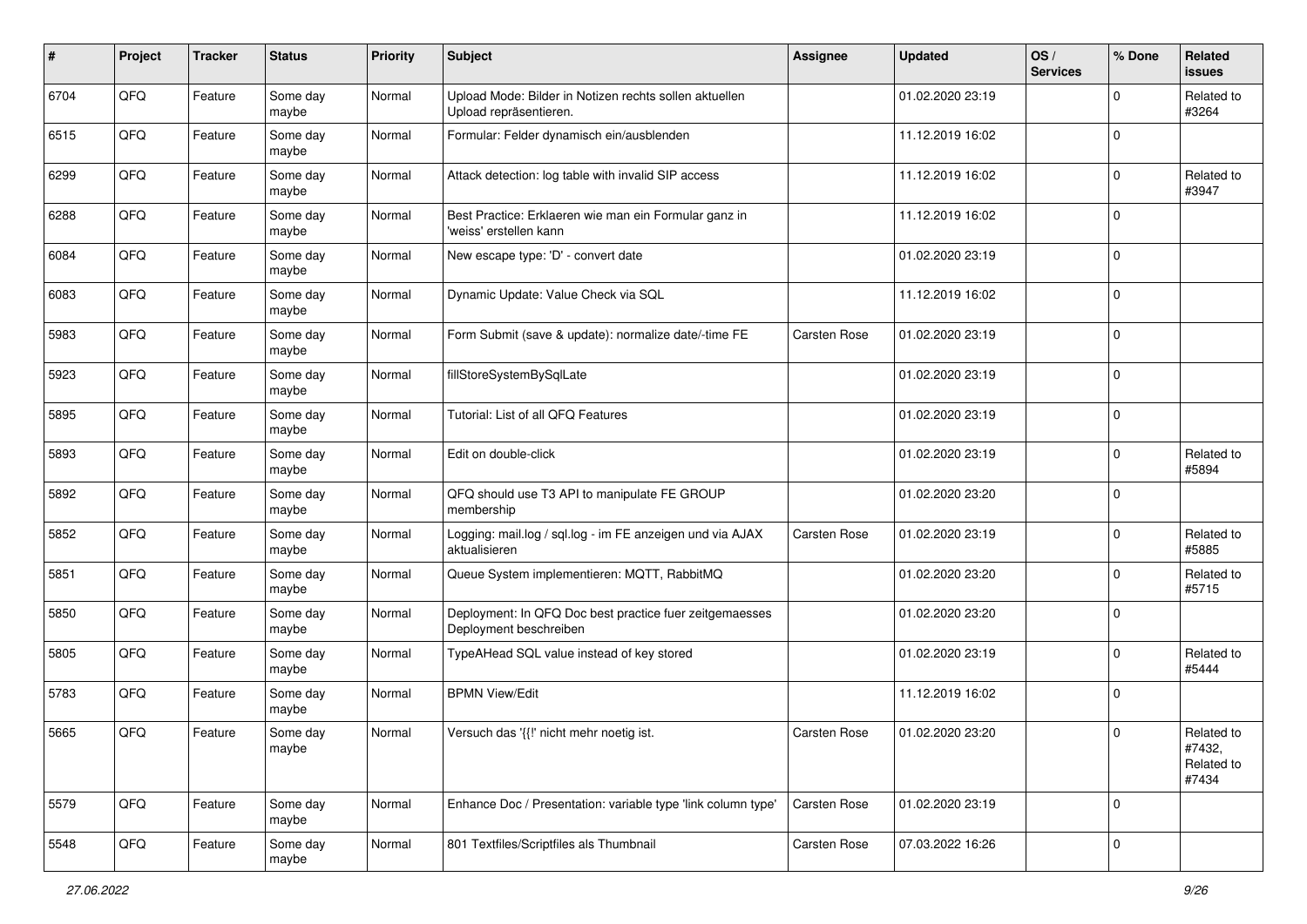| #    | Project | <b>Tracker</b> | <b>Status</b>     | <b>Priority</b> | <b>Subject</b>                                                                    | <b>Assignee</b>     | <b>Updated</b>   | OS/<br><b>Services</b> | % Done      | Related<br><b>issues</b>                    |
|------|---------|----------------|-------------------|-----------------|-----------------------------------------------------------------------------------|---------------------|------------------|------------------------|-------------|---------------------------------------------|
| 6704 | QFQ     | Feature        | Some day<br>maybe | Normal          | Upload Mode: Bilder in Notizen rechts sollen aktuellen<br>Upload repräsentieren.  |                     | 01.02.2020 23:19 |                        | $\Omega$    | Related to<br>#3264                         |
| 6515 | QFQ     | Feature        | Some day<br>maybe | Normal          | Formular: Felder dynamisch ein/ausblenden                                         |                     | 11.12.2019 16:02 |                        | $\mathbf 0$ |                                             |
| 6299 | QFQ     | Feature        | Some day<br>maybe | Normal          | Attack detection: log table with invalid SIP access                               |                     | 11.12.2019 16:02 |                        | $\Omega$    | Related to<br>#3947                         |
| 6288 | QFQ     | Feature        | Some day<br>maybe | Normal          | Best Practice: Erklaeren wie man ein Formular ganz in<br>'weiss' erstellen kann   |                     | 11.12.2019 16:02 |                        | $\Omega$    |                                             |
| 6084 | QFQ     | Feature        | Some day<br>maybe | Normal          | New escape type: 'D' - convert date                                               |                     | 01.02.2020 23:19 |                        | $\Omega$    |                                             |
| 6083 | QFQ     | Feature        | Some day<br>maybe | Normal          | Dynamic Update: Value Check via SQL                                               |                     | 11.12.2019 16:02 |                        | $\Omega$    |                                             |
| 5983 | QFQ     | Feature        | Some day<br>maybe | Normal          | Form Submit (save & update): normalize date/-time FE                              | Carsten Rose        | 01.02.2020 23:19 |                        | $\Omega$    |                                             |
| 5923 | QFQ     | Feature        | Some day<br>maybe | Normal          | fillStoreSystemBySqlLate                                                          |                     | 01.02.2020 23:19 |                        | $\mathbf 0$ |                                             |
| 5895 | QFQ     | Feature        | Some day<br>maybe | Normal          | Tutorial: List of all QFQ Features                                                |                     | 01.02.2020 23:19 |                        | $\mathbf 0$ |                                             |
| 5893 | QFQ     | Feature        | Some day<br>maybe | Normal          | Edit on double-click                                                              |                     | 01.02.2020 23:19 |                        | $\Omega$    | Related to<br>#5894                         |
| 5892 | QFQ     | Feature        | Some day<br>maybe | Normal          | QFQ should use T3 API to manipulate FE GROUP<br>membership                        |                     | 01.02.2020 23:20 |                        | $\Omega$    |                                             |
| 5852 | QFQ     | Feature        | Some day<br>maybe | Normal          | Logging: mail.log / sql.log - im FE anzeigen und via AJAX<br>aktualisieren        | Carsten Rose        | 01.02.2020 23:19 |                        | $\Omega$    | Related to<br>#5885                         |
| 5851 | QFQ     | Feature        | Some day<br>maybe | Normal          | Queue System implementieren: MQTT, RabbitMQ                                       |                     | 01.02.2020 23:20 |                        | $\Omega$    | Related to<br>#5715                         |
| 5850 | QFQ     | Feature        | Some day<br>maybe | Normal          | Deployment: In QFQ Doc best practice fuer zeitgemaesses<br>Deployment beschreiben |                     | 01.02.2020 23:20 |                        | $\mathbf 0$ |                                             |
| 5805 | QFQ     | Feature        | Some day<br>maybe | Normal          | TypeAHead SQL value instead of key stored                                         |                     | 01.02.2020 23:19 |                        | $\mathbf 0$ | Related to<br>#5444                         |
| 5783 | QFQ     | Feature        | Some day<br>maybe | Normal          | <b>BPMN View/Edit</b>                                                             |                     | 11.12.2019 16:02 |                        | 0           |                                             |
| 5665 | QFQ     | Feature        | Some day<br>maybe | Normal          | Versuch das '{{!' nicht mehr noetig ist.                                          | <b>Carsten Rose</b> | 01.02.2020 23:20 |                        | 0           | Related to<br>#7432,<br>Related to<br>#7434 |
| 5579 | QFQ     | Feature        | Some day<br>maybe | Normal          | Enhance Doc / Presentation: variable type 'link column type'                      | <b>Carsten Rose</b> | 01.02.2020 23:19 |                        | $\mathbf 0$ |                                             |
| 5548 | QFQ     | Feature        | Some day<br>maybe | Normal          | 801 Textfiles/Scriptfiles als Thumbnail                                           | Carsten Rose        | 07.03.2022 16:26 |                        | $\mathbf 0$ |                                             |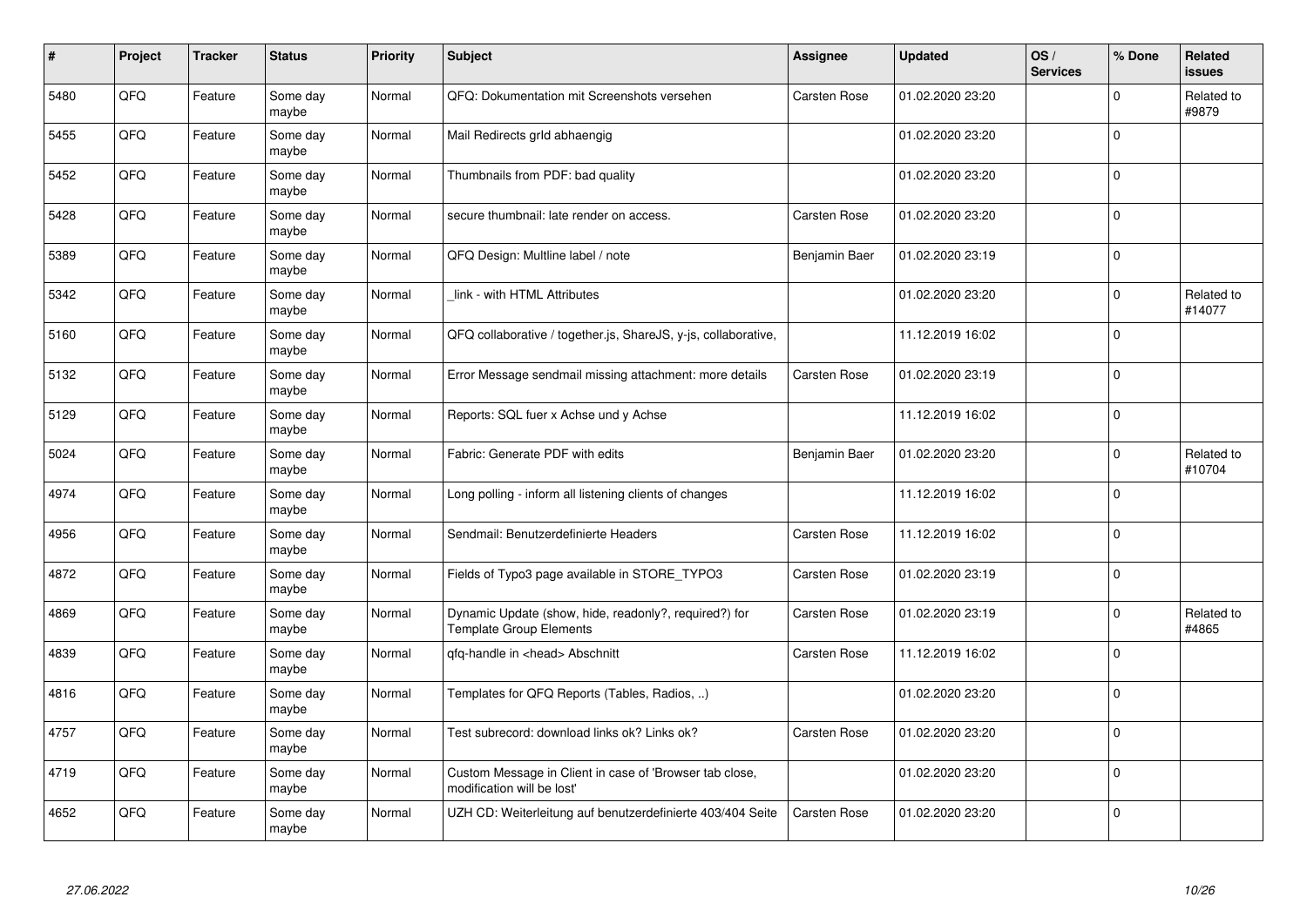| #    | Project | <b>Tracker</b> | <b>Status</b>     | <b>Priority</b> | <b>Subject</b>                                                                          | <b>Assignee</b>     | <b>Updated</b>   | OS/<br><b>Services</b> | % Done      | Related<br><b>issues</b> |
|------|---------|----------------|-------------------|-----------------|-----------------------------------------------------------------------------------------|---------------------|------------------|------------------------|-------------|--------------------------|
| 5480 | QFQ     | Feature        | Some day<br>maybe | Normal          | QFQ: Dokumentation mit Screenshots versehen                                             | <b>Carsten Rose</b> | 01.02.2020 23:20 |                        | $\Omega$    | Related to<br>#9879      |
| 5455 | QFQ     | Feature        | Some day<br>maybe | Normal          | Mail Redirects grld abhaengig                                                           |                     | 01.02.2020 23:20 |                        | $\Omega$    |                          |
| 5452 | QFQ     | Feature        | Some day<br>maybe | Normal          | Thumbnails from PDF: bad quality                                                        |                     | 01.02.2020 23:20 |                        | l O         |                          |
| 5428 | QFQ     | Feature        | Some day<br>maybe | Normal          | secure thumbnail: late render on access.                                                | <b>Carsten Rose</b> | 01.02.2020 23:20 |                        | $\Omega$    |                          |
| 5389 | QFQ     | Feature        | Some day<br>maybe | Normal          | QFQ Design: Multline label / note                                                       | Benjamin Baer       | 01.02.2020 23:19 |                        | l 0         |                          |
| 5342 | QFQ     | Feature        | Some day<br>maybe | Normal          | link - with HTML Attributes                                                             |                     | 01.02.2020 23:20 |                        | $\Omega$    | Related to<br>#14077     |
| 5160 | QFQ     | Feature        | Some day<br>maybe | Normal          | QFQ collaborative / together.js, ShareJS, y-js, collaborative,                          |                     | 11.12.2019 16:02 |                        | l O         |                          |
| 5132 | QFQ     | Feature        | Some day<br>maybe | Normal          | Error Message sendmail missing attachment: more details                                 | <b>Carsten Rose</b> | 01.02.2020 23:19 |                        | $\Omega$    |                          |
| 5129 | QFQ     | Feature        | Some day<br>maybe | Normal          | Reports: SQL fuer x Achse und y Achse                                                   |                     | 11.12.2019 16:02 |                        | $\Omega$    |                          |
| 5024 | QFQ     | Feature        | Some day<br>maybe | Normal          | Fabric: Generate PDF with edits                                                         | Benjamin Baer       | 01.02.2020 23:20 |                        | $\Omega$    | Related to<br>#10704     |
| 4974 | QFQ     | Feature        | Some day<br>maybe | Normal          | Long polling - inform all listening clients of changes                                  |                     | 11.12.2019 16:02 |                        | $\mathbf 0$ |                          |
| 4956 | QFQ     | Feature        | Some day<br>maybe | Normal          | Sendmail: Benutzerdefinierte Headers                                                    | <b>Carsten Rose</b> | 11.12.2019 16:02 |                        | $\mathbf 0$ |                          |
| 4872 | QFQ     | Feature        | Some day<br>maybe | Normal          | Fields of Typo3 page available in STORE_TYPO3                                           | <b>Carsten Rose</b> | 01.02.2020 23:19 |                        | $\mathbf 0$ |                          |
| 4869 | QFQ     | Feature        | Some day<br>maybe | Normal          | Dynamic Update (show, hide, readonly?, required?) for<br><b>Template Group Elements</b> | <b>Carsten Rose</b> | 01.02.2020 23:19 |                        | $\mathbf 0$ | Related to<br>#4865      |
| 4839 | QFQ     | Feature        | Some day<br>maybe | Normal          | qfq-handle in <head> Abschnitt</head>                                                   | Carsten Rose        | 11.12.2019 16:02 |                        | $\Omega$    |                          |
| 4816 | QFQ     | Feature        | Some day<br>maybe | Normal          | Templates for QFQ Reports (Tables, Radios, )                                            |                     | 01.02.2020 23:20 |                        | $\Omega$    |                          |
| 4757 | QFQ     | Feature        | Some day<br>maybe | Normal          | Test subrecord: download links ok? Links ok?                                            | <b>Carsten Rose</b> | 01.02.2020 23:20 |                        | $\Omega$    |                          |
| 4719 | QFQ     | Feature        | Some day<br>maybe | Normal          | Custom Message in Client in case of 'Browser tab close,<br>modification will be lost'   |                     | 01.02.2020 23:20 |                        | $\mathbf 0$ |                          |
| 4652 | QFQ     | Feature        | Some day<br>maybe | Normal          | UZH CD: Weiterleitung auf benutzerdefinierte 403/404 Seite                              | <b>Carsten Rose</b> | 01.02.2020 23:20 |                        | $\Omega$    |                          |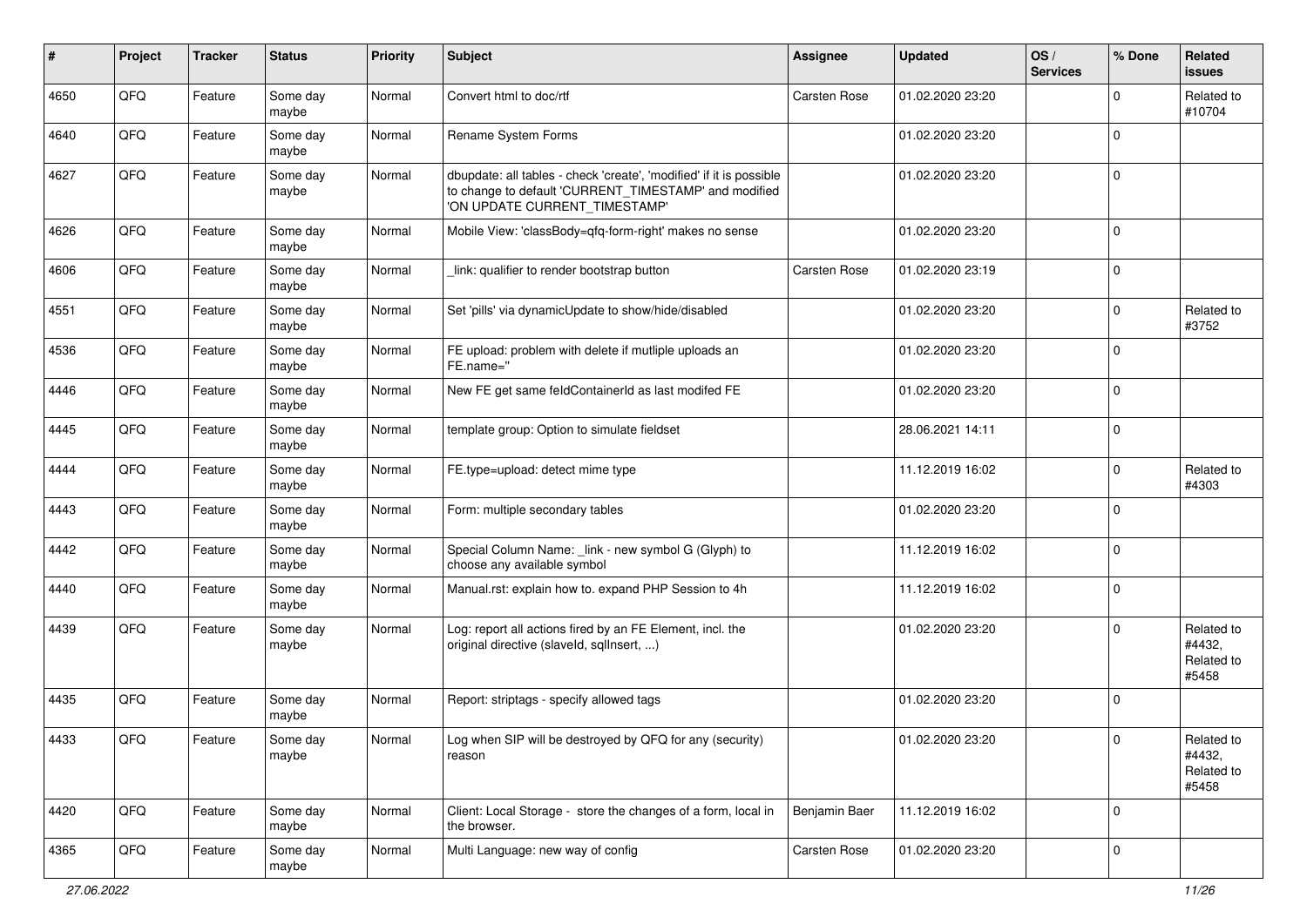| ∦    | Project | <b>Tracker</b> | <b>Status</b>     | <b>Priority</b> | Subject                                                                                                                                                       | Assignee            | <b>Updated</b>   | OS/<br><b>Services</b> | % Done      | Related<br><b>issues</b>                    |
|------|---------|----------------|-------------------|-----------------|---------------------------------------------------------------------------------------------------------------------------------------------------------------|---------------------|------------------|------------------------|-------------|---------------------------------------------|
| 4650 | QFQ     | Feature        | Some day<br>maybe | Normal          | Convert html to doc/rtf                                                                                                                                       | Carsten Rose        | 01.02.2020 23:20 |                        | $\mathbf 0$ | Related to<br>#10704                        |
| 4640 | QFQ     | Feature        | Some day<br>maybe | Normal          | Rename System Forms                                                                                                                                           |                     | 01.02.2020 23:20 |                        | $\mathbf 0$ |                                             |
| 4627 | QFQ     | Feature        | Some day<br>maybe | Normal          | dbupdate: all tables - check 'create', 'modified' if it is possible<br>to change to default 'CURRENT_TIMESTAMP' and modified<br>'ON UPDATE CURRENT_TIMESTAMP' |                     | 01.02.2020 23:20 |                        | $\mathbf 0$ |                                             |
| 4626 | QFQ     | Feature        | Some day<br>maybe | Normal          | Mobile View: 'classBody=qfq-form-right' makes no sense                                                                                                        |                     | 01.02.2020 23:20 |                        | $\mathbf 0$ |                                             |
| 4606 | QFQ     | Feature        | Some day<br>maybe | Normal          | link: qualifier to render bootstrap button                                                                                                                    | <b>Carsten Rose</b> | 01.02.2020 23:19 |                        | $\mathbf 0$ |                                             |
| 4551 | QFQ     | Feature        | Some day<br>maybe | Normal          | Set 'pills' via dynamicUpdate to show/hide/disabled                                                                                                           |                     | 01.02.2020 23:20 |                        | $\mathbf 0$ | Related to<br>#3752                         |
| 4536 | QFQ     | Feature        | Some day<br>maybe | Normal          | FE upload: problem with delete if mutliple uploads an<br>FE.name="                                                                                            |                     | 01.02.2020 23:20 |                        | $\mathbf 0$ |                                             |
| 4446 | QFQ     | Feature        | Some day<br>maybe | Normal          | New FE get same feldContainerId as last modifed FE                                                                                                            |                     | 01.02.2020 23:20 |                        | $\mathbf 0$ |                                             |
| 4445 | QFQ     | Feature        | Some day<br>maybe | Normal          | template group: Option to simulate fieldset                                                                                                                   |                     | 28.06.2021 14:11 |                        | $\pmb{0}$   |                                             |
| 4444 | QFQ     | Feature        | Some day<br>maybe | Normal          | FE.type=upload: detect mime type                                                                                                                              |                     | 11.12.2019 16:02 |                        | $\mathbf 0$ | Related to<br>#4303                         |
| 4443 | QFQ     | Feature        | Some day<br>maybe | Normal          | Form: multiple secondary tables                                                                                                                               |                     | 01.02.2020 23:20 |                        | $\mathbf 0$ |                                             |
| 4442 | QFQ     | Feature        | Some day<br>maybe | Normal          | Special Column Name: _link - new symbol G (Glyph) to<br>choose any available symbol                                                                           |                     | 11.12.2019 16:02 |                        | $\mathbf 0$ |                                             |
| 4440 | QFQ     | Feature        | Some day<br>maybe | Normal          | Manual.rst: explain how to. expand PHP Session to 4h                                                                                                          |                     | 11.12.2019 16:02 |                        | $\mathbf 0$ |                                             |
| 4439 | QFQ     | Feature        | Some day<br>maybe | Normal          | Log: report all actions fired by an FE Element, incl. the<br>original directive (slaveld, sqlInsert, )                                                        |                     | 01.02.2020 23:20 |                        | $\mathbf 0$ | Related to<br>#4432,<br>Related to<br>#5458 |
| 4435 | QFQ     | Feature        | Some day<br>maybe | Normal          | Report: striptags - specify allowed tags                                                                                                                      |                     | 01.02.2020 23:20 |                        | $\mathbf 0$ |                                             |
| 4433 | QFG     | Feature        | Some day<br>maybe | Normal          | Log when SIP will be destroyed by QFQ for any (security)<br>reason                                                                                            |                     | 01.02.2020 23:20 |                        |             | Related to<br>#4432,<br>Related to<br>#5458 |
| 4420 | QFQ     | Feature        | Some day<br>maybe | Normal          | Client: Local Storage - store the changes of a form, local in<br>the browser.                                                                                 | Benjamin Baer       | 11.12.2019 16:02 |                        | $\mathbf 0$ |                                             |
| 4365 | QFQ     | Feature        | Some day<br>maybe | Normal          | Multi Language: new way of config                                                                                                                             | Carsten Rose        | 01.02.2020 23:20 |                        | 0           |                                             |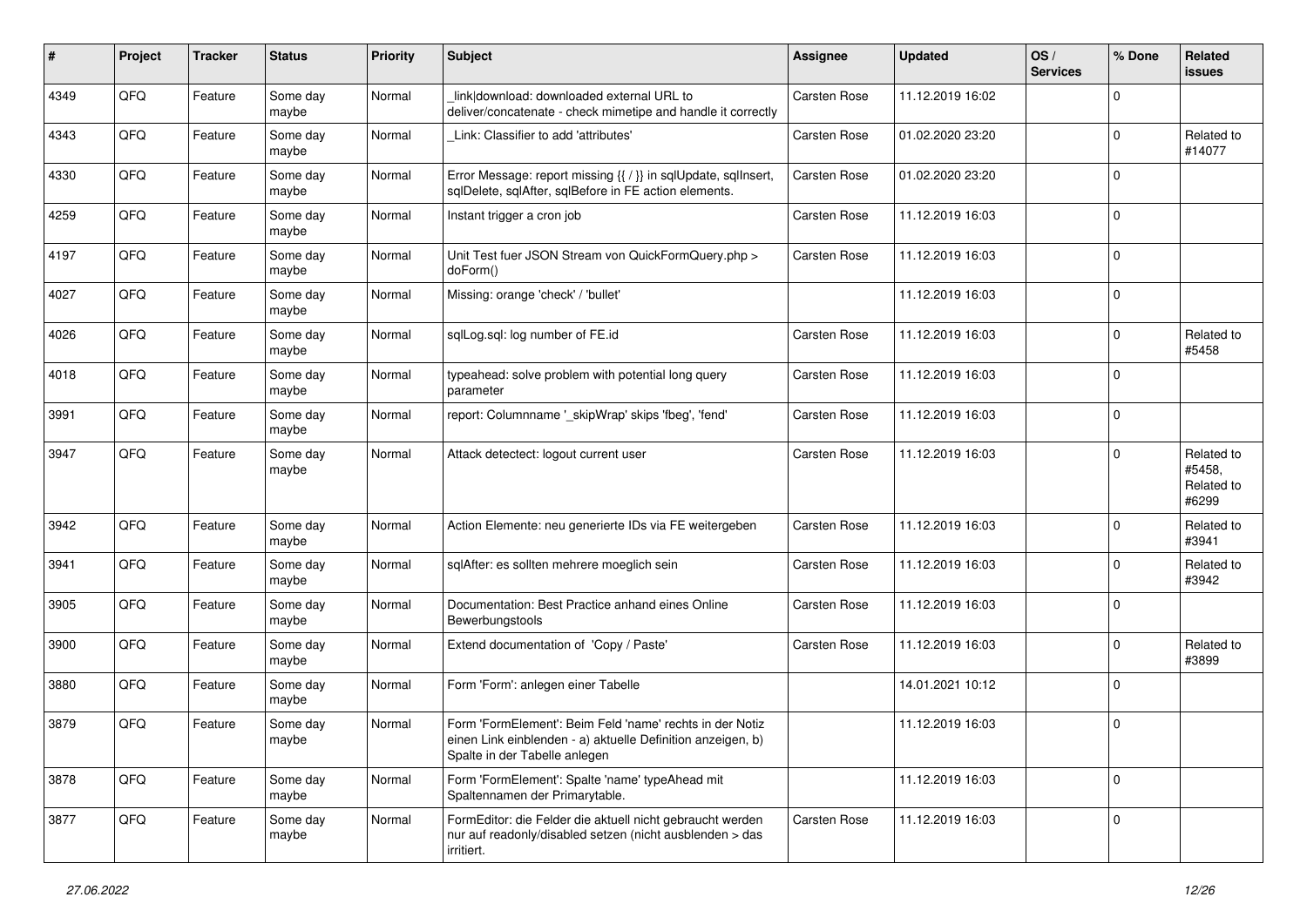| $\#$ | Project | <b>Tracker</b> | <b>Status</b>     | <b>Priority</b> | Subject                                                                                                                                                  | <b>Assignee</b>     | <b>Updated</b>   | OS/<br><b>Services</b> | % Done      | <b>Related</b><br><b>issues</b>             |
|------|---------|----------------|-------------------|-----------------|----------------------------------------------------------------------------------------------------------------------------------------------------------|---------------------|------------------|------------------------|-------------|---------------------------------------------|
| 4349 | QFQ     | Feature        | Some day<br>maybe | Normal          | link download: downloaded external URL to<br>deliver/concatenate - check mimetipe and handle it correctly                                                | Carsten Rose        | 11.12.2019 16:02 |                        | $\mathbf 0$ |                                             |
| 4343 | QFQ     | Feature        | Some day<br>maybe | Normal          | Link: Classifier to add 'attributes'                                                                                                                     | Carsten Rose        | 01.02.2020 23:20 |                        | $\mathbf 0$ | Related to<br>#14077                        |
| 4330 | QFQ     | Feature        | Some day<br>maybe | Normal          | Error Message: report missing {{ / }} in sqlUpdate, sqlInsert,<br>sqlDelete, sqlAfter, sqlBefore in FE action elements.                                  | Carsten Rose        | 01.02.2020 23:20 |                        | $\mathbf 0$ |                                             |
| 4259 | QFQ     | Feature        | Some day<br>maybe | Normal          | Instant trigger a cron job                                                                                                                               | <b>Carsten Rose</b> | 11.12.2019 16:03 |                        | $\mathbf 0$ |                                             |
| 4197 | QFQ     | Feature        | Some day<br>maybe | Normal          | Unit Test fuer JSON Stream von QuickFormQuery.php ><br>doForm()                                                                                          | Carsten Rose        | 11.12.2019 16:03 |                        | $\mathbf 0$ |                                             |
| 4027 | QFQ     | Feature        | Some day<br>maybe | Normal          | Missing: orange 'check' / 'bullet'                                                                                                                       |                     | 11.12.2019 16:03 |                        | $\mathbf 0$ |                                             |
| 4026 | QFQ     | Feature        | Some day<br>maybe | Normal          | sqlLog.sql: log number of FE.id                                                                                                                          | Carsten Rose        | 11.12.2019 16:03 |                        | $\mathbf 0$ | Related to<br>#5458                         |
| 4018 | QFQ     | Feature        | Some day<br>maybe | Normal          | typeahead: solve problem with potential long query<br>parameter                                                                                          | <b>Carsten Rose</b> | 11.12.2019 16:03 |                        | $\mathbf 0$ |                                             |
| 3991 | QFQ     | Feature        | Some day<br>maybe | Normal          | report: Columnname '_skipWrap' skips 'fbeg', 'fend'                                                                                                      | Carsten Rose        | 11.12.2019 16:03 |                        | $\mathbf 0$ |                                             |
| 3947 | QFQ     | Feature        | Some day<br>maybe | Normal          | Attack detectect: logout current user                                                                                                                    | <b>Carsten Rose</b> | 11.12.2019 16:03 |                        | $\Omega$    | Related to<br>#5458.<br>Related to<br>#6299 |
| 3942 | QFQ     | Feature        | Some day<br>maybe | Normal          | Action Elemente: neu generierte IDs via FE weitergeben                                                                                                   | Carsten Rose        | 11.12.2019 16:03 |                        | $\mathbf 0$ | Related to<br>#3941                         |
| 3941 | QFQ     | Feature        | Some day<br>maybe | Normal          | sqlAfter: es sollten mehrere moeglich sein                                                                                                               | <b>Carsten Rose</b> | 11.12.2019 16:03 |                        | $\mathbf 0$ | Related to<br>#3942                         |
| 3905 | QFQ     | Feature        | Some day<br>maybe | Normal          | Documentation: Best Practice anhand eines Online<br>Bewerbungstools                                                                                      | Carsten Rose        | 11.12.2019 16:03 |                        | $\mathbf 0$ |                                             |
| 3900 | QFQ     | Feature        | Some day<br>maybe | Normal          | Extend documentation of 'Copy / Paste'                                                                                                                   | Carsten Rose        | 11.12.2019 16:03 |                        | $\mathbf 0$ | Related to<br>#3899                         |
| 3880 | QFQ     | Feature        | Some day<br>maybe | Normal          | Form 'Form': anlegen einer Tabelle                                                                                                                       |                     | 14.01.2021 10:12 |                        | $\mathbf 0$ |                                             |
| 3879 | QFQ     | Feature        | Some day<br>maybe | Normal          | Form 'FormElement': Beim Feld 'name' rechts in der Notiz<br>einen Link einblenden - a) aktuelle Definition anzeigen, b)<br>Spalte in der Tabelle anlegen |                     | 11.12.2019 16:03 |                        | $\mathbf 0$ |                                             |
| 3878 | QFQ     | Feature        | Some day<br>maybe | Normal          | Form 'FormElement': Spalte 'name' typeAhead mit<br>Spaltennamen der Primarytable.                                                                        |                     | 11.12.2019 16:03 |                        | $\mathbf 0$ |                                             |
| 3877 | QFQ     | Feature        | Some day<br>maybe | Normal          | FormEditor: die Felder die aktuell nicht gebraucht werden<br>nur auf readonly/disabled setzen (nicht ausblenden > das<br>irritiert.                      | <b>Carsten Rose</b> | 11.12.2019 16:03 |                        | $\mathbf 0$ |                                             |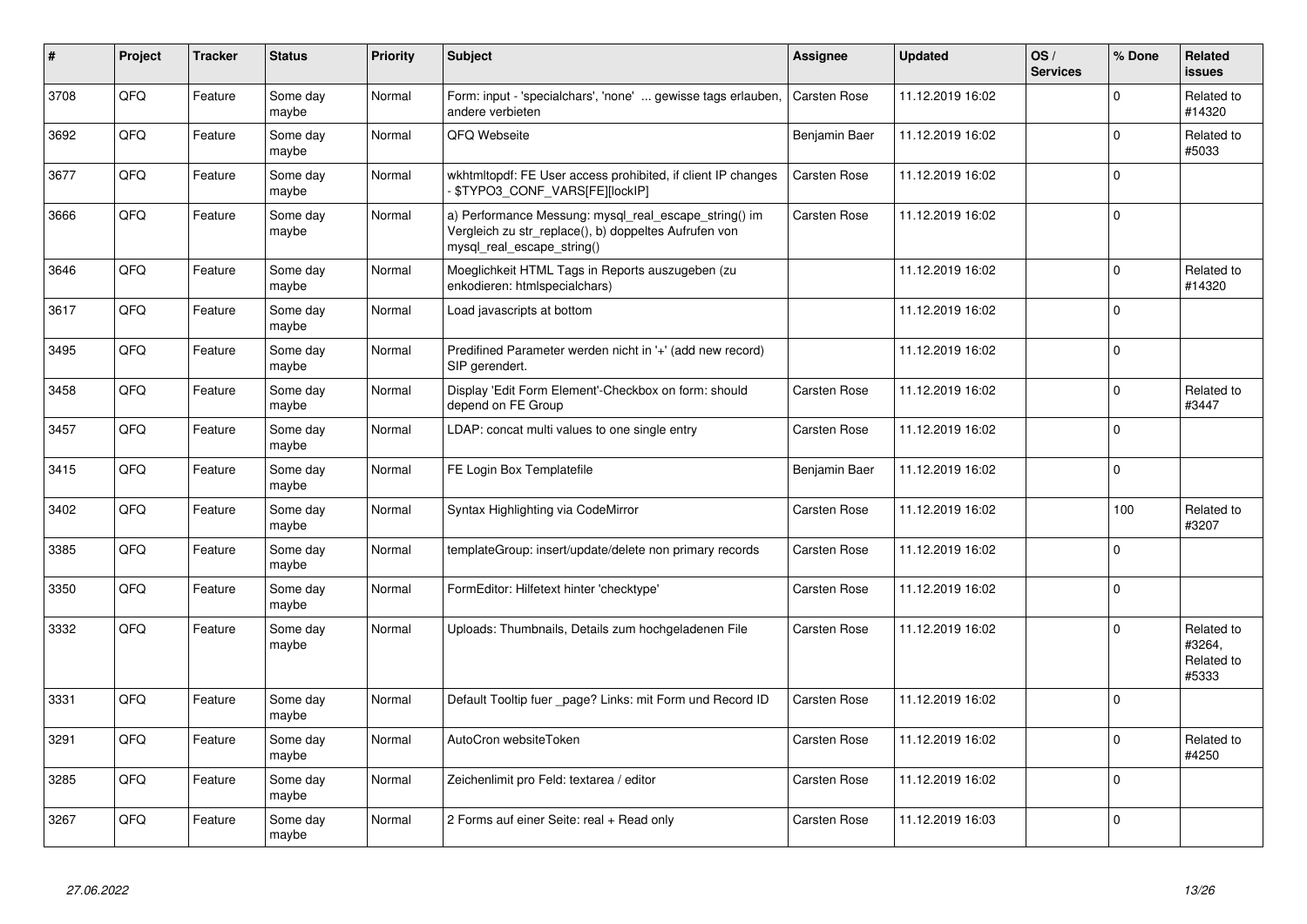| #    | Project | <b>Tracker</b> | <b>Status</b>     | <b>Priority</b> | <b>Subject</b>                                                                                                                               | Assignee            | <b>Updated</b>   | OS/<br><b>Services</b> | % Done   | Related<br><b>issues</b>                    |
|------|---------|----------------|-------------------|-----------------|----------------------------------------------------------------------------------------------------------------------------------------------|---------------------|------------------|------------------------|----------|---------------------------------------------|
| 3708 | QFQ     | Feature        | Some day<br>maybe | Normal          | Form: input - 'specialchars', 'none'  gewisse tags erlauben,<br>andere verbieten                                                             | <b>Carsten Rose</b> | 11.12.2019 16:02 |                        | $\Omega$ | Related to<br>#14320                        |
| 3692 | QFQ     | Feature        | Some day<br>maybe | Normal          | QFQ Webseite                                                                                                                                 | Benjamin Baer       | 11.12.2019 16:02 |                        | $\Omega$ | Related to<br>#5033                         |
| 3677 | QFQ     | Feature        | Some day<br>maybe | Normal          | wkhtmitopdf: FE User access prohibited, if client IP changes<br>\$TYPO3_CONF_VARS[FE][locklP]                                                | <b>Carsten Rose</b> | 11.12.2019 16:02 |                        | $\Omega$ |                                             |
| 3666 | QFQ     | Feature        | Some day<br>maybe | Normal          | a) Performance Messung: mysql_real_escape_string() im<br>Vergleich zu str_replace(), b) doppeltes Aufrufen von<br>mysql real escape string() | <b>Carsten Rose</b> | 11.12.2019 16:02 |                        | $\Omega$ |                                             |
| 3646 | QFQ     | Feature        | Some day<br>maybe | Normal          | Moeglichkeit HTML Tags in Reports auszugeben (zu<br>enkodieren: htmlspecialchars)                                                            |                     | 11.12.2019 16:02 |                        | $\Omega$ | Related to<br>#14320                        |
| 3617 | QFQ     | Feature        | Some day<br>maybe | Normal          | Load javascripts at bottom                                                                                                                   |                     | 11.12.2019 16:02 |                        | $\Omega$ |                                             |
| 3495 | QFQ     | Feature        | Some day<br>maybe | Normal          | Predifined Parameter werden nicht in '+' (add new record)<br>SIP gerendert.                                                                  |                     | 11.12.2019 16:02 |                        | $\Omega$ |                                             |
| 3458 | QFQ     | Feature        | Some day<br>maybe | Normal          | Display 'Edit Form Element'-Checkbox on form: should<br>depend on FE Group                                                                   | <b>Carsten Rose</b> | 11.12.2019 16:02 |                        | $\Omega$ | Related to<br>#3447                         |
| 3457 | QFQ     | Feature        | Some day<br>maybe | Normal          | LDAP: concat multi values to one single entry                                                                                                | <b>Carsten Rose</b> | 11.12.2019 16:02 |                        | $\Omega$ |                                             |
| 3415 | QFQ     | Feature        | Some day<br>maybe | Normal          | FE Login Box Templatefile                                                                                                                    | Benjamin Baer       | 11.12.2019 16:02 |                        | $\Omega$ |                                             |
| 3402 | QFQ     | Feature        | Some day<br>maybe | Normal          | Syntax Highlighting via CodeMirror                                                                                                           | <b>Carsten Rose</b> | 11.12.2019 16:02 |                        | 100      | Related to<br>#3207                         |
| 3385 | QFQ     | Feature        | Some day<br>maybe | Normal          | templateGroup: insert/update/delete non primary records                                                                                      | <b>Carsten Rose</b> | 11.12.2019 16:02 |                        | $\Omega$ |                                             |
| 3350 | QFQ     | Feature        | Some day<br>maybe | Normal          | FormEditor: Hilfetext hinter 'checktype'                                                                                                     | <b>Carsten Rose</b> | 11.12.2019 16:02 |                        | $\Omega$ |                                             |
| 3332 | QFQ     | Feature        | Some day<br>maybe | Normal          | Uploads: Thumbnails, Details zum hochgeladenen File                                                                                          | <b>Carsten Rose</b> | 11.12.2019 16:02 |                        | $\Omega$ | Related to<br>#3264,<br>Related to<br>#5333 |
| 3331 | QFQ     | Feature        | Some day<br>maybe | Normal          | Default Tooltip fuer _page? Links: mit Form und Record ID                                                                                    | <b>Carsten Rose</b> | 11.12.2019 16:02 |                        | $\Omega$ |                                             |
| 3291 | QFQ     | Feature        | Some day<br>maybe | Normal          | AutoCron websiteToken                                                                                                                        | Carsten Rose        | 11.12.2019 16:02 |                        | $\Omega$ | Related to<br>#4250                         |
| 3285 | QFQ     | Feature        | Some day<br>maybe | Normal          | Zeichenlimit pro Feld: textarea / editor                                                                                                     | Carsten Rose        | 11.12.2019 16:02 |                        | $\Omega$ |                                             |
| 3267 | QFQ     | Feature        | Some day<br>maybe | Normal          | 2 Forms auf einer Seite: real + Read only                                                                                                    | Carsten Rose        | 11.12.2019 16:03 |                        | $\Omega$ |                                             |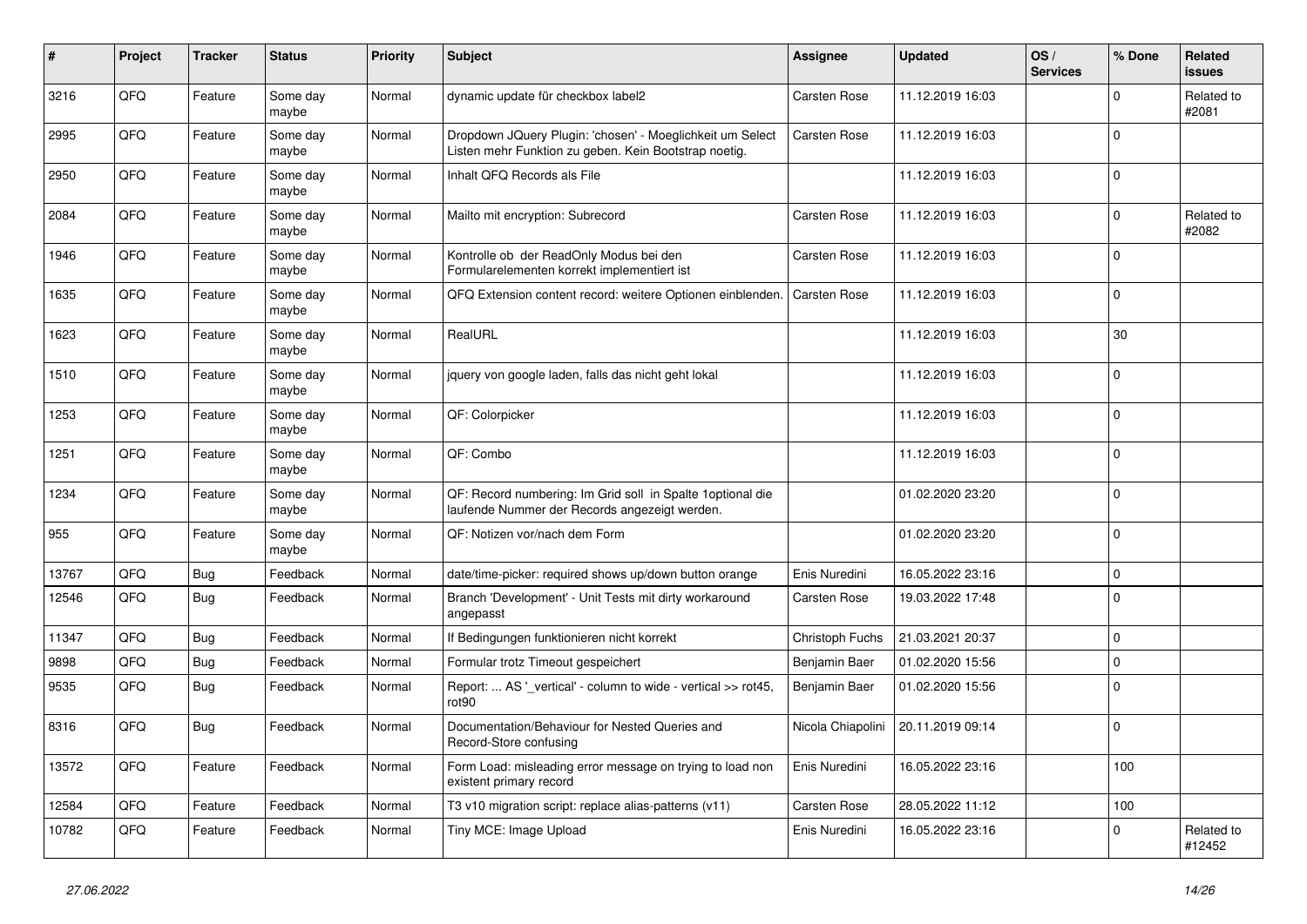| $\vert$ # | Project | <b>Tracker</b> | <b>Status</b>     | <b>Priority</b> | <b>Subject</b>                                                                                                     | Assignee            | <b>Updated</b>   | OS/<br><b>Services</b> | % Done      | Related<br><b>issues</b> |
|-----------|---------|----------------|-------------------|-----------------|--------------------------------------------------------------------------------------------------------------------|---------------------|------------------|------------------------|-------------|--------------------------|
| 3216      | QFQ     | Feature        | Some day<br>maybe | Normal          | dynamic update für checkbox label2                                                                                 | Carsten Rose        | 11.12.2019 16:03 |                        | $\mathbf 0$ | Related to<br>#2081      |
| 2995      | QFQ     | Feature        | Some day<br>maybe | Normal          | Dropdown JQuery Plugin: 'chosen' - Moeglichkeit um Select<br>Listen mehr Funktion zu geben. Kein Bootstrap noetig. | <b>Carsten Rose</b> | 11.12.2019 16:03 |                        | $\mathbf 0$ |                          |
| 2950      | QFQ     | Feature        | Some day<br>maybe | Normal          | Inhalt QFQ Records als File                                                                                        |                     | 11.12.2019 16:03 |                        | $\mathbf 0$ |                          |
| 2084      | QFQ     | Feature        | Some day<br>maybe | Normal          | Mailto mit encryption: Subrecord                                                                                   | <b>Carsten Rose</b> | 11.12.2019 16:03 |                        | $\mathbf 0$ | Related to<br>#2082      |
| 1946      | QFQ     | Feature        | Some day<br>maybe | Normal          | Kontrolle ob der ReadOnly Modus bei den<br>Formularelementen korrekt implementiert ist                             | Carsten Rose        | 11.12.2019 16:03 |                        | $\Omega$    |                          |
| 1635      | QFQ     | Feature        | Some day<br>maybe | Normal          | QFQ Extension content record: weitere Optionen einblenden.                                                         | Carsten Rose        | 11.12.2019 16:03 |                        | $\mathbf 0$ |                          |
| 1623      | QFQ     | Feature        | Some day<br>maybe | Normal          | RealURL                                                                                                            |                     | 11.12.2019 16:03 |                        | 30          |                          |
| 1510      | QFQ     | Feature        | Some day<br>maybe | Normal          | jquery von google laden, falls das nicht geht lokal                                                                |                     | 11.12.2019 16:03 |                        | $\mathbf 0$ |                          |
| 1253      | QFQ     | Feature        | Some day<br>maybe | Normal          | QF: Colorpicker                                                                                                    |                     | 11.12.2019 16:03 |                        | $\mathbf 0$ |                          |
| 1251      | QFQ     | Feature        | Some day<br>maybe | Normal          | QF: Combo                                                                                                          |                     | 11.12.2019 16:03 |                        | $\mathbf 0$ |                          |
| 1234      | QFQ     | Feature        | Some day<br>maybe | Normal          | QF: Record numbering: Im Grid soll in Spalte 1 optional die<br>laufende Nummer der Records angezeigt werden.       |                     | 01.02.2020 23:20 |                        | $\mathbf 0$ |                          |
| 955       | QFQ     | Feature        | Some day<br>maybe | Normal          | QF: Notizen vor/nach dem Form                                                                                      |                     | 01.02.2020 23:20 |                        | $\mathbf 0$ |                          |
| 13767     | QFQ     | <b>Bug</b>     | Feedback          | Normal          | date/time-picker: required shows up/down button orange                                                             | Enis Nuredini       | 16.05.2022 23:16 |                        | $\mathbf 0$ |                          |
| 12546     | QFQ     | Bug            | Feedback          | Normal          | Branch 'Development' - Unit Tests mit dirty workaround<br>angepasst                                                | <b>Carsten Rose</b> | 19.03.2022 17:48 |                        | $\Omega$    |                          |
| 11347     | QFQ     | <b>Bug</b>     | Feedback          | Normal          | If Bedingungen funktionieren nicht korrekt                                                                         | Christoph Fuchs     | 21.03.2021 20:37 |                        | $\mathbf 0$ |                          |
| 9898      | QFQ     | <b>Bug</b>     | Feedback          | Normal          | Formular trotz Timeout gespeichert                                                                                 | Benjamin Baer       | 01.02.2020 15:56 |                        | $\mathbf 0$ |                          |
| 9535      | QFQ     | <b>Bug</b>     | Feedback          | Normal          | Report:  AS '_vertical' - column to wide - vertical >> rot45,<br>rot90                                             | Benjamin Baer       | 01.02.2020 15:56 |                        | $\mathbf 0$ |                          |
| 8316      | QFQ     | <b>Bug</b>     | Feedback          | Normal          | Documentation/Behaviour for Nested Queries and<br>Record-Store confusing                                           | Nicola Chiapolini   | 20.11.2019 09:14 |                        | $\Omega$    |                          |
| 13572     | QFQ     | Feature        | Feedback          | Normal          | Form Load: misleading error message on trying to load non<br>existent primary record                               | Enis Nuredini       | 16.05.2022 23:16 |                        | 100         |                          |
| 12584     | QFQ     | Feature        | Feedback          | Normal          | T3 v10 migration script: replace alias-patterns (v11)                                                              | <b>Carsten Rose</b> | 28.05.2022 11:12 |                        | 100         |                          |
| 10782     | QFQ     | Feature        | Feedback          | Normal          | Tiny MCE: Image Upload                                                                                             | Enis Nuredini       | 16.05.2022 23:16 |                        | $\mathbf 0$ | Related to<br>#12452     |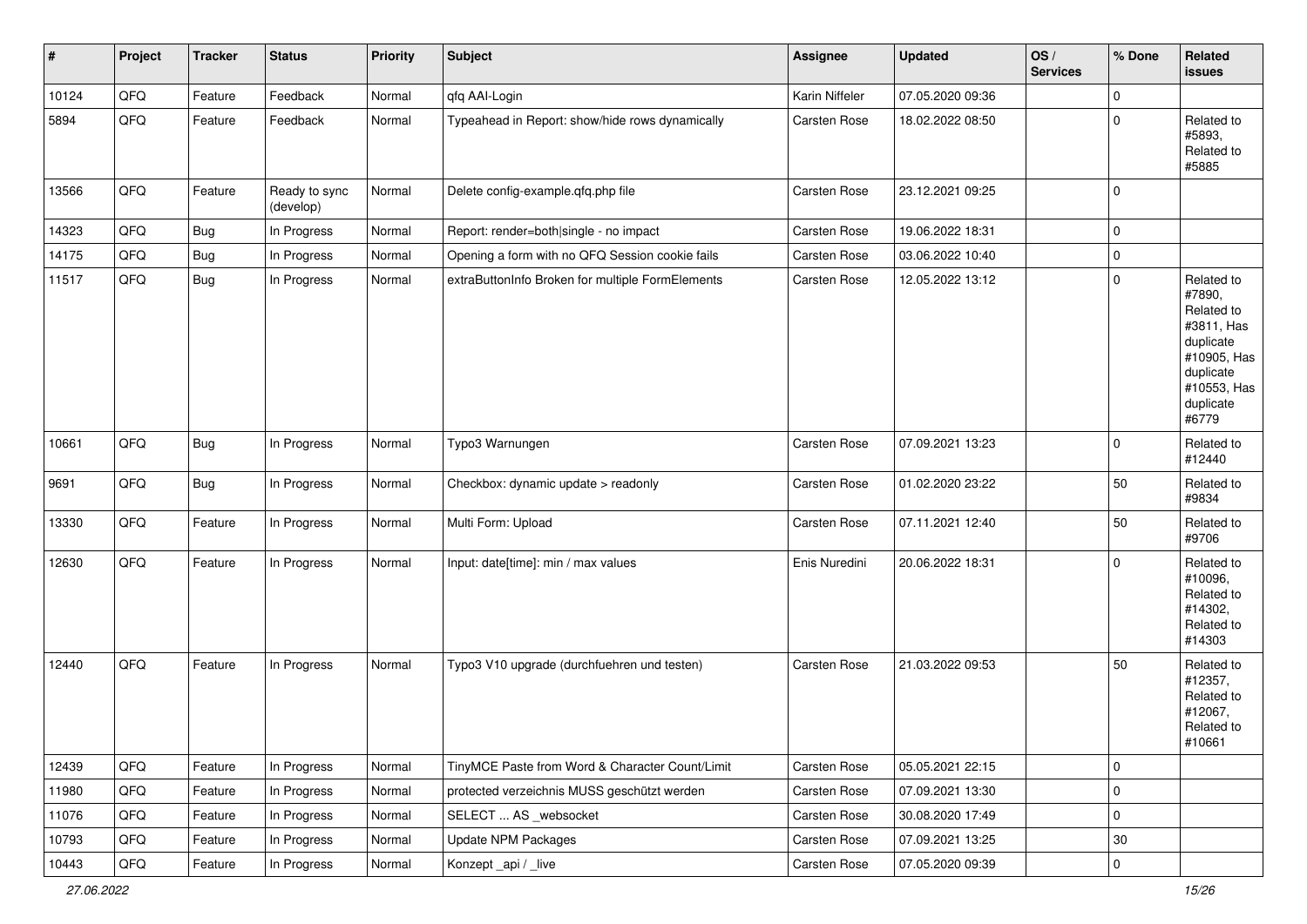| $\vert$ # | Project | <b>Tracker</b> | <b>Status</b>              | <b>Priority</b> | <b>Subject</b>                                   | <b>Assignee</b>     | <b>Updated</b>   | OS/<br><b>Services</b> | % Done              | Related<br><b>issues</b>                                                                                                       |
|-----------|---------|----------------|----------------------------|-----------------|--------------------------------------------------|---------------------|------------------|------------------------|---------------------|--------------------------------------------------------------------------------------------------------------------------------|
| 10124     | QFQ     | Feature        | Feedback                   | Normal          | qfq AAI-Login                                    | Karin Niffeler      | 07.05.2020 09:36 |                        | $\mathsf{O}\xspace$ |                                                                                                                                |
| 5894      | QFQ     | Feature        | Feedback                   | Normal          | Typeahead in Report: show/hide rows dynamically  | Carsten Rose        | 18.02.2022 08:50 |                        | $\mathbf 0$         | Related to<br>#5893,<br>Related to<br>#5885                                                                                    |
| 13566     | QFQ     | Feature        | Ready to sync<br>(develop) | Normal          | Delete config-example.qfq.php file               | Carsten Rose        | 23.12.2021 09:25 |                        | $\mathbf 0$         |                                                                                                                                |
| 14323     | QFQ     | Bug            | In Progress                | Normal          | Report: render=both single - no impact           | Carsten Rose        | 19.06.2022 18:31 |                        | $\mathbf 0$         |                                                                                                                                |
| 14175     | QFQ     | <b>Bug</b>     | In Progress                | Normal          | Opening a form with no QFQ Session cookie fails  | <b>Carsten Rose</b> | 03.06.2022 10:40 |                        | $\mathbf 0$         |                                                                                                                                |
| 11517     | QFQ     | <b>Bug</b>     | In Progress                | Normal          | extraButtonInfo Broken for multiple FormElements | Carsten Rose        | 12.05.2022 13:12 |                        | $\mathbf 0$         | Related to<br>#7890,<br>Related to<br>#3811, Has<br>duplicate<br>#10905, Has<br>duplicate<br>#10553, Has<br>duplicate<br>#6779 |
| 10661     | QFQ     | <b>Bug</b>     | In Progress                | Normal          | Typo3 Warnungen                                  | Carsten Rose        | 07.09.2021 13:23 |                        | $\mathbf 0$         | Related to<br>#12440                                                                                                           |
| 9691      | QFQ     | <b>Bug</b>     | In Progress                | Normal          | Checkbox: dynamic update > readonly              | Carsten Rose        | 01.02.2020 23:22 |                        | 50                  | Related to<br>#9834                                                                                                            |
| 13330     | QFQ     | Feature        | In Progress                | Normal          | Multi Form: Upload                               | Carsten Rose        | 07.11.2021 12:40 |                        | 50                  | Related to<br>#9706                                                                                                            |
| 12630     | QFQ     | Feature        | In Progress                | Normal          | Input: date[time]: min / max values              | Enis Nuredini       | 20.06.2022 18:31 |                        | $\mathbf 0$         | Related to<br>#10096,<br>Related to<br>#14302,<br>Related to<br>#14303                                                         |
| 12440     | QFQ     | Feature        | In Progress                | Normal          | Typo3 V10 upgrade (durchfuehren und testen)      | Carsten Rose        | 21.03.2022 09:53 |                        | 50                  | Related to<br>#12357,<br>Related to<br>#12067,<br>Related to<br> #10661                                                        |
| 12439     | QFQ     | Feature        | In Progress                | Normal          | TinyMCE Paste from Word & Character Count/Limit  | Carsten Rose        | 05.05.2021 22:15 |                        | $\mathsf 0$         |                                                                                                                                |
| 11980     | QFQ     | Feature        | In Progress                | Normal          | protected verzeichnis MUSS geschützt werden      | Carsten Rose        | 07.09.2021 13:30 |                        | $\mathbf 0$         |                                                                                                                                |
| 11076     | QFQ     | Feature        | In Progress                | Normal          | SELECT  AS _websocket                            | Carsten Rose        | 30.08.2020 17:49 |                        | $\mathsf 0$         |                                                                                                                                |
| 10793     | QFQ     | Feature        | In Progress                | Normal          | <b>Update NPM Packages</b>                       | Carsten Rose        | 07.09.2021 13:25 |                        | $30\,$              |                                                                                                                                |
| 10443     | QFQ     | Feature        | In Progress                | Normal          | Konzept_api / _live                              | Carsten Rose        | 07.05.2020 09:39 |                        | $\mathsf{O}\xspace$ |                                                                                                                                |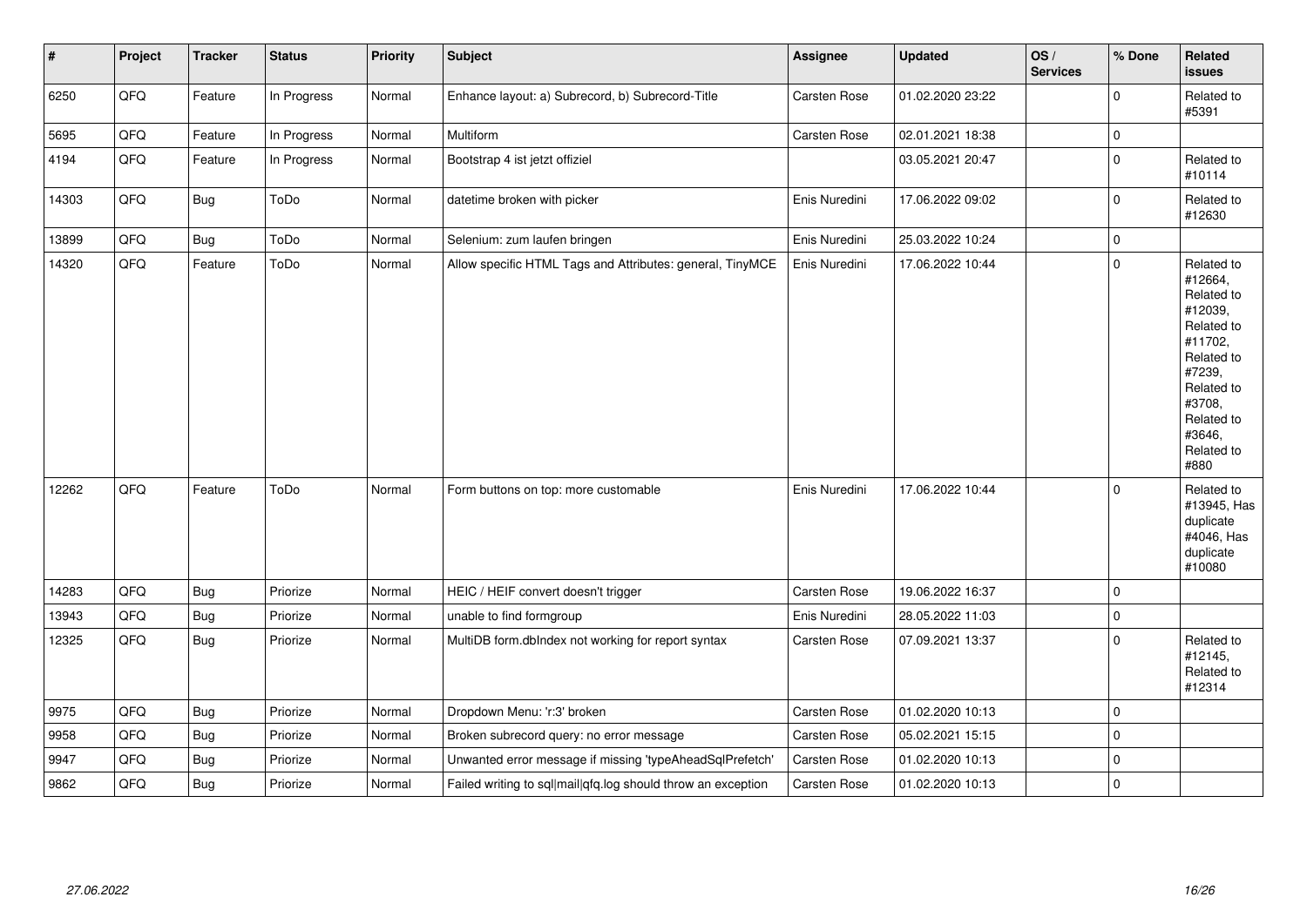| $\sharp$ | Project | <b>Tracker</b> | <b>Status</b> | <b>Priority</b> | <b>Subject</b>                                               | Assignee      | <b>Updated</b>   | OS/<br><b>Services</b> | % Done      | Related<br><b>issues</b>                                                                                                                                              |
|----------|---------|----------------|---------------|-----------------|--------------------------------------------------------------|---------------|------------------|------------------------|-------------|-----------------------------------------------------------------------------------------------------------------------------------------------------------------------|
| 6250     | QFQ     | Feature        | In Progress   | Normal          | Enhance layout: a) Subrecord, b) Subrecord-Title             | Carsten Rose  | 01.02.2020 23:22 |                        | $\Omega$    | Related to<br>#5391                                                                                                                                                   |
| 5695     | QFQ     | Feature        | In Progress   | Normal          | Multiform                                                    | Carsten Rose  | 02.01.2021 18:38 |                        | $\pmb{0}$   |                                                                                                                                                                       |
| 4194     | QFQ     | Feature        | In Progress   | Normal          | Bootstrap 4 ist jetzt offiziel                               |               | 03.05.2021 20:47 |                        | $\mathbf 0$ | Related to<br>#10114                                                                                                                                                  |
| 14303    | QFG     | <b>Bug</b>     | ToDo          | Normal          | datetime broken with picker                                  | Enis Nuredini | 17.06.2022 09:02 |                        | $\pmb{0}$   | Related to<br>#12630                                                                                                                                                  |
| 13899    | QFQ     | Bug            | ToDo          | Normal          | Selenium: zum laufen bringen                                 | Enis Nuredini | 25.03.2022 10:24 |                        | $\pmb{0}$   |                                                                                                                                                                       |
| 14320    | QFQ     | Feature        | ToDo          | Normal          | Allow specific HTML Tags and Attributes: general, TinyMCE    | Enis Nuredini | 17.06.2022 10:44 |                        | $\mathbf 0$ | Related to<br>#12664,<br>Related to<br>#12039,<br>Related to<br>#11702,<br>Related to<br>#7239,<br>Related to<br>#3708,<br>Related to<br>#3646,<br>Related to<br>#880 |
| 12262    | QFQ     | Feature        | ToDo          | Normal          | Form buttons on top: more customable                         | Enis Nuredini | 17.06.2022 10:44 |                        | $\mathbf 0$ | Related to<br>#13945, Has<br>duplicate<br>#4046, Has<br>duplicate<br>#10080                                                                                           |
| 14283    | QFQ     | Bug            | Priorize      | Normal          | HEIC / HEIF convert doesn't trigger                          | Carsten Rose  | 19.06.2022 16:37 |                        | $\pmb{0}$   |                                                                                                                                                                       |
| 13943    | QFQ     | Bug            | Priorize      | Normal          | unable to find formgroup                                     | Enis Nuredini | 28.05.2022 11:03 |                        | $\mathbf 0$ |                                                                                                                                                                       |
| 12325    | QFQ     | Bug            | Priorize      | Normal          | MultiDB form.dblndex not working for report syntax           | Carsten Rose  | 07.09.2021 13:37 |                        | $\mathbf 0$ | Related to<br>#12145,<br>Related to<br>#12314                                                                                                                         |
| 9975     | QFQ     | <b>Bug</b>     | Priorize      | Normal          | Dropdown Menu: 'r:3' broken                                  | Carsten Rose  | 01.02.2020 10:13 |                        | $\pmb{0}$   |                                                                                                                                                                       |
| 9958     | QFQ     | Bug            | Priorize      | Normal          | Broken subrecord query: no error message                     | Carsten Rose  | 05.02.2021 15:15 |                        | $\mathbf 0$ |                                                                                                                                                                       |
| 9947     | QFQ     | <b>Bug</b>     | Priorize      | Normal          | Unwanted error message if missing 'typeAheadSqlPrefetch'     | Carsten Rose  | 01.02.2020 10:13 |                        | $\pmb{0}$   |                                                                                                                                                                       |
| 9862     | QFQ     | <b>Bug</b>     | Priorize      | Normal          | Failed writing to sql mail qfq.log should throw an exception | Carsten Rose  | 01.02.2020 10:13 |                        | $\mathbf 0$ |                                                                                                                                                                       |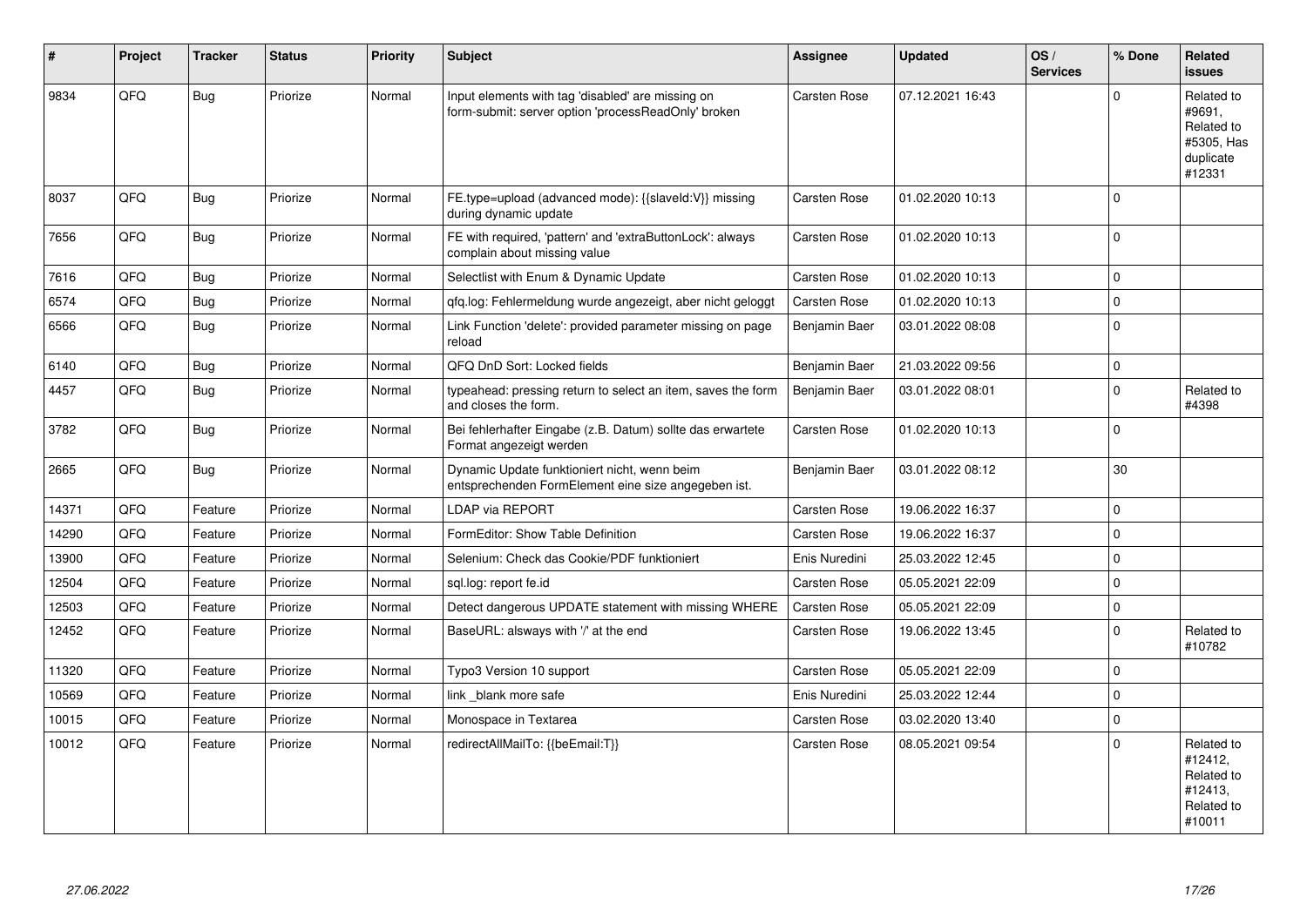| #     | Project | <b>Tracker</b> | <b>Status</b> | <b>Priority</b> | <b>Subject</b>                                                                                           | <b>Assignee</b>     | <b>Updated</b>   | OS/<br><b>Services</b> | % Done              | Related<br><b>issues</b>                                                |
|-------|---------|----------------|---------------|-----------------|----------------------------------------------------------------------------------------------------------|---------------------|------------------|------------------------|---------------------|-------------------------------------------------------------------------|
| 9834  | QFQ     | Bug            | Priorize      | Normal          | Input elements with tag 'disabled' are missing on<br>form-submit: server option 'processReadOnly' broken | <b>Carsten Rose</b> | 07.12.2021 16:43 |                        | $\Omega$            | Related to<br>#9691.<br>Related to<br>#5305, Has<br>duplicate<br>#12331 |
| 8037  | QFQ     | <b>Bug</b>     | Priorize      | Normal          | FE.type=upload (advanced mode): {{slaveld:V}} missing<br>during dynamic update                           | <b>Carsten Rose</b> | 01.02.2020 10:13 |                        | $\mathbf 0$         |                                                                         |
| 7656  | QFQ     | <b>Bug</b>     | Priorize      | Normal          | FE with required, 'pattern' and 'extraButtonLock': always<br>complain about missing value                | Carsten Rose        | 01.02.2020 10:13 |                        | $\mathbf 0$         |                                                                         |
| 7616  | QFQ     | <b>Bug</b>     | Priorize      | Normal          | Selectlist with Enum & Dynamic Update                                                                    | Carsten Rose        | 01.02.2020 10:13 |                        | $\mathbf 0$         |                                                                         |
| 6574  | QFQ     | Bug            | Priorize      | Normal          | gfg.log: Fehlermeldung wurde angezeigt, aber nicht geloggt                                               | Carsten Rose        | 01.02.2020 10:13 |                        | $\pmb{0}$           |                                                                         |
| 6566  | QFQ     | <b>Bug</b>     | Priorize      | Normal          | Link Function 'delete': provided parameter missing on page<br>reload                                     | Benjamin Baer       | 03.01.2022 08:08 |                        | $\Omega$            |                                                                         |
| 6140  | QFQ     | Bug            | Priorize      | Normal          | QFQ DnD Sort: Locked fields                                                                              | Benjamin Baer       | 21.03.2022 09:56 |                        | $\mathsf{O}\xspace$ |                                                                         |
| 4457  | QFQ     | <b>Bug</b>     | Priorize      | Normal          | typeahead: pressing return to select an item, saves the form<br>and closes the form.                     | Benjamin Baer       | 03.01.2022 08:01 |                        | $\Omega$            | Related to<br>#4398                                                     |
| 3782  | QFQ     | Bug            | Priorize      | Normal          | Bei fehlerhafter Eingabe (z.B. Datum) sollte das erwartete<br>Format angezeigt werden                    | Carsten Rose        | 01.02.2020 10:13 |                        | $\Omega$            |                                                                         |
| 2665  | QFQ     | <b>Bug</b>     | Priorize      | Normal          | Dynamic Update funktioniert nicht, wenn beim<br>entsprechenden FormElement eine size angegeben ist.      | Benjamin Baer       | 03.01.2022 08:12 |                        | 30                  |                                                                         |
| 14371 | QFQ     | Feature        | Priorize      | Normal          | LDAP via REPORT                                                                                          | Carsten Rose        | 19.06.2022 16:37 |                        | $\pmb{0}$           |                                                                         |
| 14290 | QFQ     | Feature        | Priorize      | Normal          | FormEditor: Show Table Definition                                                                        | <b>Carsten Rose</b> | 19.06.2022 16:37 |                        | $\mathbf 0$         |                                                                         |
| 13900 | QFQ     | Feature        | Priorize      | Normal          | Selenium: Check das Cookie/PDF funktioniert                                                              | Enis Nuredini       | 25.03.2022 12:45 |                        | $\mathbf 0$         |                                                                         |
| 12504 | QFQ     | Feature        | Priorize      | Normal          | sgl.log: report fe.id                                                                                    | <b>Carsten Rose</b> | 05.05.2021 22:09 |                        | $\mathbf 0$         |                                                                         |
| 12503 | QFQ     | Feature        | Priorize      | Normal          | Detect dangerous UPDATE statement with missing WHERE                                                     | <b>Carsten Rose</b> | 05.05.2021 22:09 |                        | $\pmb{0}$           |                                                                         |
| 12452 | QFQ     | Feature        | Priorize      | Normal          | BaseURL: alsways with '/' at the end                                                                     | <b>Carsten Rose</b> | 19.06.2022 13:45 |                        | $\mathbf 0$         | Related to<br>#10782                                                    |
| 11320 | QFQ     | Feature        | Priorize      | Normal          | Typo3 Version 10 support                                                                                 | <b>Carsten Rose</b> | 05.05.2021 22:09 |                        | $\mathbf 0$         |                                                                         |
| 10569 | QFQ     | Feature        | Priorize      | Normal          | link blank more safe                                                                                     | Enis Nuredini       | 25.03.2022 12:44 |                        | $\mathbf 0$         |                                                                         |
| 10015 | QFQ     | Feature        | Priorize      | Normal          | Monospace in Textarea                                                                                    | Carsten Rose        | 03.02.2020 13:40 |                        | $\pmb{0}$           |                                                                         |
| 10012 | QFQ     | Feature        | Priorize      | Normal          | redirectAllMailTo: {{beEmail:T}}                                                                         | <b>Carsten Rose</b> | 08.05.2021 09:54 |                        | $\mathbf 0$         | Related to<br>#12412,<br>Related to<br>#12413,<br>Related to<br>#10011  |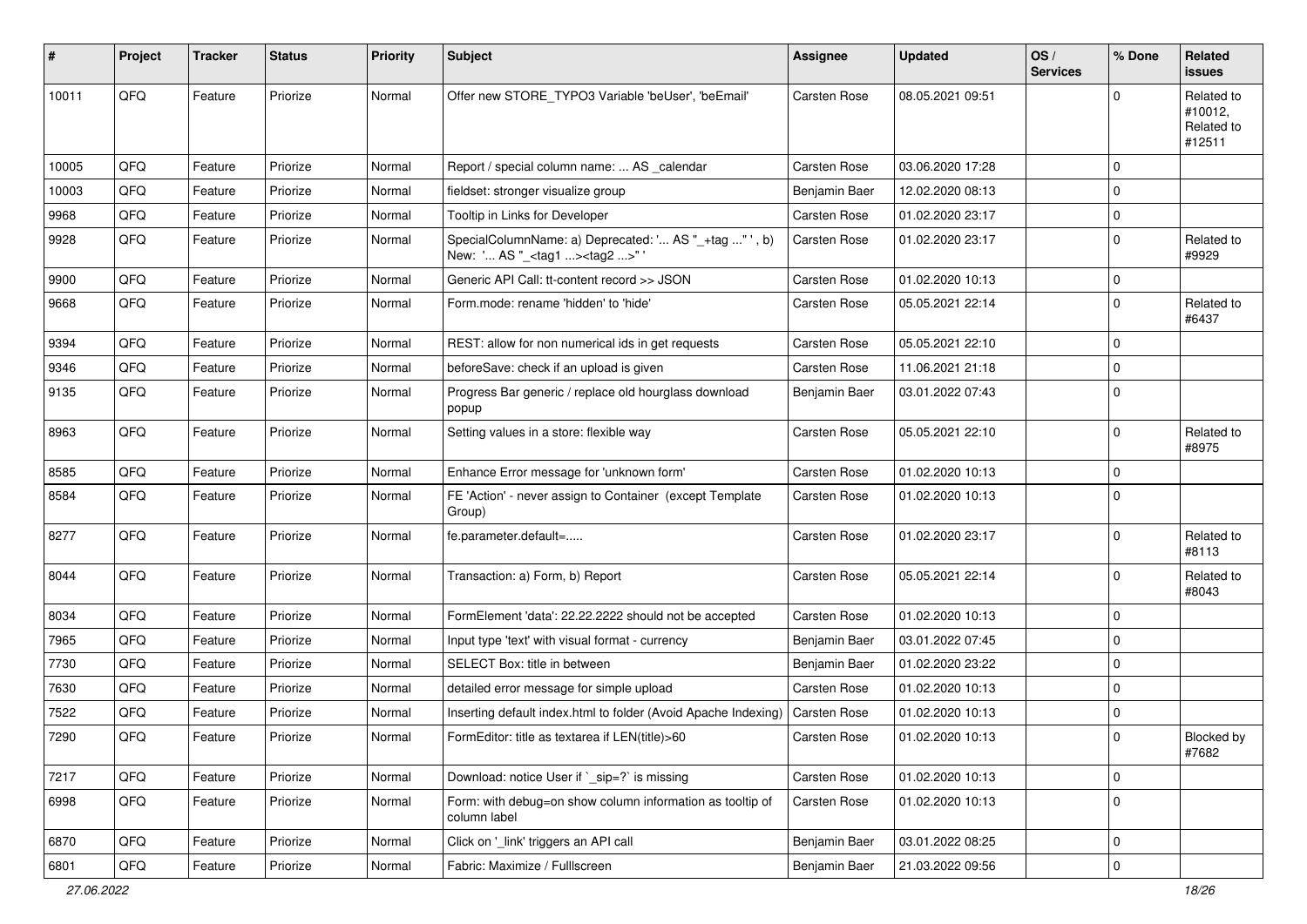| #     | <b>Project</b> | <b>Tracker</b> | <b>Status</b> | <b>Priority</b> | Subject                                                                                             | <b>Assignee</b> | <b>Updated</b>   | OS/<br><b>Services</b> | % Done      | <b>Related</b><br><b>issues</b>               |
|-------|----------------|----------------|---------------|-----------------|-----------------------------------------------------------------------------------------------------|-----------------|------------------|------------------------|-------------|-----------------------------------------------|
| 10011 | QFQ            | Feature        | Priorize      | Normal          | Offer new STORE_TYPO3 Variable 'beUser', 'beEmail'                                                  | Carsten Rose    | 08.05.2021 09:51 |                        | $\Omega$    | Related to<br>#10012,<br>Related to<br>#12511 |
| 10005 | QFQ            | Feature        | Priorize      | Normal          | Report / special column name:  AS calendar                                                          | Carsten Rose    | 03.06.2020 17:28 |                        | $\mathbf 0$ |                                               |
| 10003 | QFQ            | Feature        | Priorize      | Normal          | fieldset: stronger visualize group                                                                  | Benjamin Baer   | 12.02.2020 08:13 |                        | $\mathbf 0$ |                                               |
| 9968  | QFQ            | Feature        | Priorize      | Normal          | Tooltip in Links for Developer                                                                      | Carsten Rose    | 01.02.2020 23:17 |                        | $\mathbf 0$ |                                               |
| 9928  | QFQ            | Feature        | Priorize      | Normal          | SpecialColumnName: a) Deprecated: ' AS "_+tag " ', b)<br>New: ' AS "_ <tag1><tag2>" '</tag2></tag1> | Carsten Rose    | 01.02.2020 23:17 |                        | $\mathbf 0$ | Related to<br>#9929                           |
| 9900  | QFQ            | Feature        | Priorize      | Normal          | Generic API Call: tt-content record >> JSON                                                         | Carsten Rose    | 01.02.2020 10:13 |                        | $\mathbf 0$ |                                               |
| 9668  | QFQ            | Feature        | Priorize      | Normal          | Form.mode: rename 'hidden' to 'hide'                                                                | Carsten Rose    | 05.05.2021 22:14 |                        | $\mathbf 0$ | Related to<br>#6437                           |
| 9394  | QFQ            | Feature        | Priorize      | Normal          | REST: allow for non numerical ids in get requests                                                   | Carsten Rose    | 05.05.2021 22:10 |                        | $\mathbf 0$ |                                               |
| 9346  | QFQ            | Feature        | Priorize      | Normal          | beforeSave: check if an upload is given                                                             | Carsten Rose    | 11.06.2021 21:18 |                        | $\mathbf 0$ |                                               |
| 9135  | QFQ            | Feature        | Priorize      | Normal          | Progress Bar generic / replace old hourglass download<br>popup                                      | Benjamin Baer   | 03.01.2022 07:43 |                        | $\mathbf 0$ |                                               |
| 8963  | QFQ            | Feature        | Priorize      | Normal          | Setting values in a store: flexible way                                                             | Carsten Rose    | 05.05.2021 22:10 |                        | $\mathbf 0$ | Related to<br>#8975                           |
| 8585  | QFQ            | Feature        | Priorize      | Normal          | Enhance Error message for 'unknown form'                                                            | Carsten Rose    | 01.02.2020 10:13 |                        | $\mathbf 0$ |                                               |
| 8584  | QFQ            | Feature        | Priorize      | Normal          | FE 'Action' - never assign to Container (except Template<br>Group)                                  | Carsten Rose    | 01.02.2020 10:13 |                        | $\mathbf 0$ |                                               |
| 8277  | QFQ            | Feature        | Priorize      | Normal          | fe.parameter.default=                                                                               | Carsten Rose    | 01.02.2020 23:17 |                        | $\mathbf 0$ | Related to<br>#8113                           |
| 8044  | QFQ            | Feature        | Priorize      | Normal          | Transaction: a) Form, b) Report                                                                     | Carsten Rose    | 05.05.2021 22:14 |                        | $\mathbf 0$ | Related to<br>#8043                           |
| 8034  | QFQ            | Feature        | Priorize      | Normal          | FormElement 'data': 22.22.2222 should not be accepted                                               | Carsten Rose    | 01.02.2020 10:13 |                        | $\mathbf 0$ |                                               |
| 7965  | QFQ            | Feature        | Priorize      | Normal          | Input type 'text' with visual format - currency                                                     | Benjamin Baer   | 03.01.2022 07:45 |                        | $\mathbf 0$ |                                               |
| 7730  | QFQ            | Feature        | Priorize      | Normal          | SELECT Box: title in between                                                                        | Benjamin Baer   | 01.02.2020 23:22 |                        | $\mathbf 0$ |                                               |
| 7630  | QFQ            | Feature        | Priorize      | Normal          | detailed error message for simple upload                                                            | Carsten Rose    | 01.02.2020 10:13 |                        | $\mathbf 0$ |                                               |
| 7522  | QFQ            | Feature        | Priorize      | Normal          | Inserting default index.html to folder (Avoid Apache Indexing)                                      | Carsten Rose    | 01.02.2020 10:13 |                        | $\mathbf 0$ |                                               |
| 7290  | QFG            | Feature        | Priorize      | Normal          | FormEditor: title as textarea if LEN(title)>60                                                      | Carsten Rose    | 01.02.2020 10:13 |                        | $\mathbf 0$ | Blocked by<br>#7682                           |
| 7217  | QFQ            | Feature        | Priorize      | Normal          | Download: notice User if `_sip=?` is missing                                                        | Carsten Rose    | 01.02.2020 10:13 |                        | $\mathbf 0$ |                                               |
| 6998  | QFQ            | Feature        | Priorize      | Normal          | Form: with debug=on show column information as tooltip of<br>column label                           | Carsten Rose    | 01.02.2020 10:13 |                        | $\mathbf 0$ |                                               |
| 6870  | QFQ            | Feature        | Priorize      | Normal          | Click on '_link' triggers an API call                                                               | Benjamin Baer   | 03.01.2022 08:25 |                        | $\mathsf 0$ |                                               |
| 6801  | QFQ            | Feature        | Priorize      | Normal          | Fabric: Maximize / FullIscreen                                                                      | Benjamin Baer   | 21.03.2022 09:56 |                        | $\mathbf 0$ |                                               |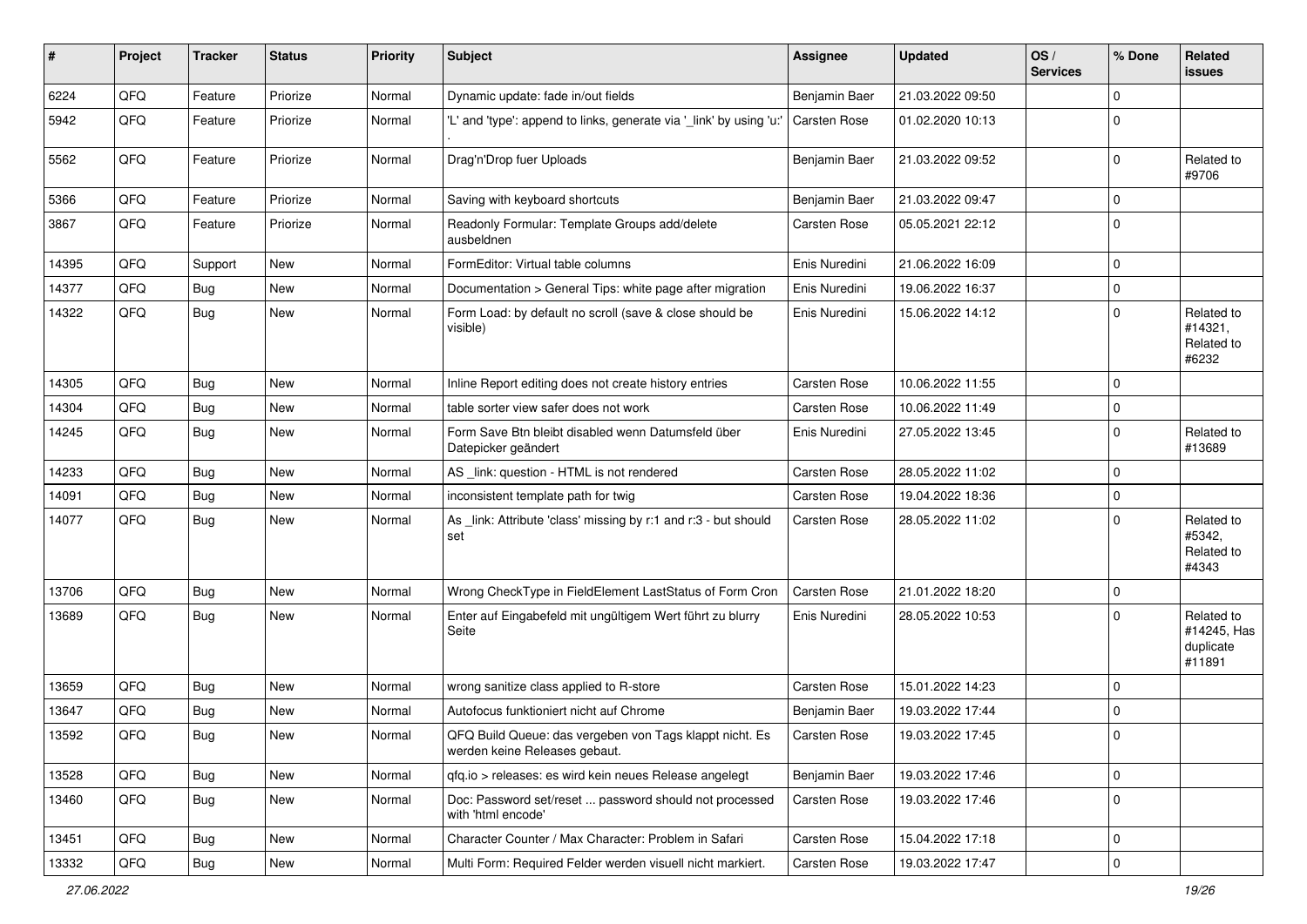| #     | Project | <b>Tracker</b> | <b>Status</b> | <b>Priority</b> | <b>Subject</b>                                                                           | <b>Assignee</b>     | <b>Updated</b>   | OS/<br><b>Services</b> | % Done      | Related<br>issues                                |
|-------|---------|----------------|---------------|-----------------|------------------------------------------------------------------------------------------|---------------------|------------------|------------------------|-------------|--------------------------------------------------|
| 6224  | QFQ     | Feature        | Priorize      | Normal          | Dynamic update: fade in/out fields                                                       | Benjamin Baer       | 21.03.2022 09:50 |                        | $\Omega$    |                                                  |
| 5942  | QFQ     | Feature        | Priorize      | Normal          | 'L' and 'type': append to links, generate via '_link' by using 'u:'                      | <b>Carsten Rose</b> | 01.02.2020 10:13 |                        | $\Omega$    |                                                  |
| 5562  | QFQ     | Feature        | Priorize      | Normal          | Drag'n'Drop fuer Uploads                                                                 | Benjamin Baer       | 21.03.2022 09:52 |                        | $\Omega$    | Related to<br>#9706                              |
| 5366  | QFQ     | Feature        | Priorize      | Normal          | Saving with keyboard shortcuts                                                           | Benjamin Baer       | 21.03.2022 09:47 |                        | $\Omega$    |                                                  |
| 3867  | QFQ     | Feature        | Priorize      | Normal          | Readonly Formular: Template Groups add/delete<br>ausbeldnen                              | <b>Carsten Rose</b> | 05.05.2021 22:12 |                        | $\mathbf 0$ |                                                  |
| 14395 | QFQ     | Support        | <b>New</b>    | Normal          | FormEditor: Virtual table columns                                                        | Enis Nuredini       | 21.06.2022 16:09 |                        | $\mathbf 0$ |                                                  |
| 14377 | QFQ     | <b>Bug</b>     | New           | Normal          | Documentation > General Tips: white page after migration                                 | Enis Nuredini       | 19.06.2022 16:37 |                        | $\mathbf 0$ |                                                  |
| 14322 | QFQ     | <b>Bug</b>     | <b>New</b>    | Normal          | Form Load: by default no scroll (save & close should be<br>visible)                      | Enis Nuredini       | 15.06.2022 14:12 |                        | $\mathbf 0$ | Related to<br>#14321,<br>Related to<br>#6232     |
| 14305 | QFQ     | <b>Bug</b>     | <b>New</b>    | Normal          | Inline Report editing does not create history entries                                    | <b>Carsten Rose</b> | 10.06.2022 11:55 |                        | $\mathbf 0$ |                                                  |
| 14304 | QFQ     | <b>Bug</b>     | New           | Normal          | table sorter view safer does not work                                                    | <b>Carsten Rose</b> | 10.06.2022 11:49 |                        | 0           |                                                  |
| 14245 | QFQ     | <b>Bug</b>     | <b>New</b>    | Normal          | Form Save Btn bleibt disabled wenn Datumsfeld über<br>Datepicker geändert                | Enis Nuredini       | 27.05.2022 13:45 |                        | $\Omega$    | Related to<br>#13689                             |
| 14233 | QFQ     | <b>Bug</b>     | <b>New</b>    | Normal          | AS _link: question - HTML is not rendered                                                | <b>Carsten Rose</b> | 28.05.2022 11:02 |                        | $\Omega$    |                                                  |
| 14091 | QFQ     | <b>Bug</b>     | <b>New</b>    | Normal          | inconsistent template path for twig                                                      | <b>Carsten Rose</b> | 19.04.2022 18:36 |                        | 0           |                                                  |
| 14077 | QFQ     | <b>Bug</b>     | New           | Normal          | As _link: Attribute 'class' missing by r:1 and r:3 - but should<br>set                   | Carsten Rose        | 28.05.2022 11:02 |                        | $\Omega$    | Related to<br>#5342,<br>Related to<br>#4343      |
| 13706 | QFQ     | <b>Bug</b>     | <b>New</b>    | Normal          | Wrong CheckType in FieldElement LastStatus of Form Cron                                  | Carsten Rose        | 21.01.2022 18:20 |                        | $\mathbf 0$ |                                                  |
| 13689 | QFQ     | <b>Bug</b>     | <b>New</b>    | Normal          | Enter auf Eingabefeld mit ungültigem Wert führt zu blurry<br>Seite                       | Enis Nuredini       | 28.05.2022 10:53 |                        | $\Omega$    | Related to<br>#14245, Has<br>duplicate<br>#11891 |
| 13659 | QFQ     | <b>Bug</b>     | New           | Normal          | wrong sanitize class applied to R-store                                                  | Carsten Rose        | 15.01.2022 14:23 |                        | $\Omega$    |                                                  |
| 13647 | QFQ     | <b>Bug</b>     | <b>New</b>    | Normal          | Autofocus funktioniert nicht auf Chrome                                                  | Benjamin Baer       | 19.03.2022 17:44 |                        | $\Omega$    |                                                  |
| 13592 | QFQ     | Bug            | New           | Normal          | QFQ Build Queue: das vergeben von Tags klappt nicht. Es<br>werden keine Releases gebaut. | Carsten Rose        | 19.03.2022 17:45 |                        | $\Omega$    |                                                  |
| 13528 | QFQ     | <b>Bug</b>     | New           | Normal          | qfq.io > releases: es wird kein neues Release angelegt                                   | Benjamin Baer       | 19.03.2022 17:46 |                        | $\mathbf 0$ |                                                  |
| 13460 | QFQ     | <b>Bug</b>     | New           | Normal          | Doc: Password set/reset  password should not processed<br>with 'html encode'             | <b>Carsten Rose</b> | 19.03.2022 17:46 |                        | $\mathbf 0$ |                                                  |
| 13451 | QFQ     | <b>Bug</b>     | New           | Normal          | Character Counter / Max Character: Problem in Safari                                     | Carsten Rose        | 15.04.2022 17:18 |                        | 0           |                                                  |
| 13332 | QFQ     | Bug            | New           | Normal          | Multi Form: Required Felder werden visuell nicht markiert.                               | Carsten Rose        | 19.03.2022 17:47 |                        | 0           |                                                  |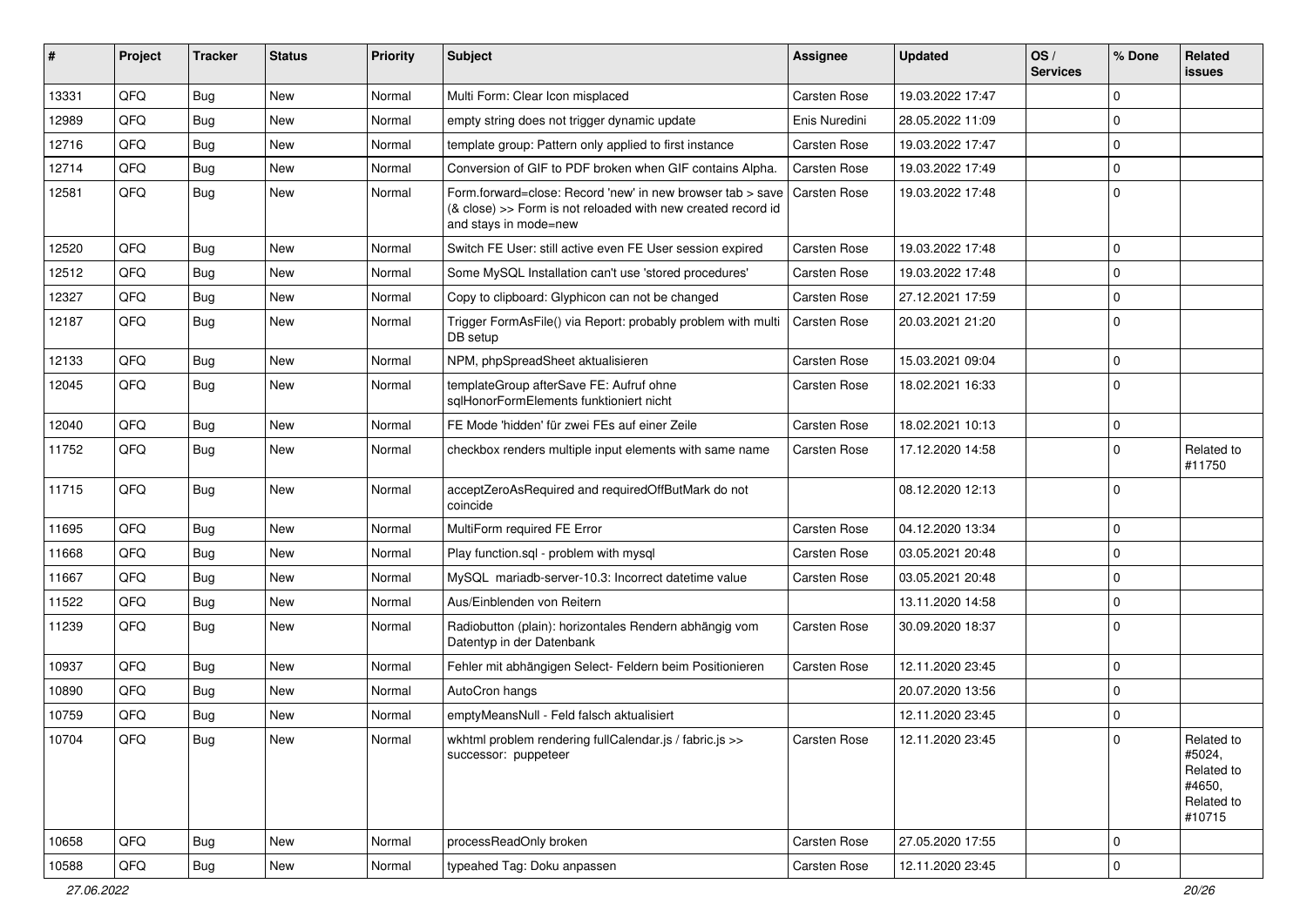| #     | Project | <b>Tracker</b> | <b>Status</b> | <b>Priority</b> | Subject                                                                                                                                             | Assignee            | <b>Updated</b>   | OS/<br><b>Services</b> | % Done      | Related<br><b>issues</b>                                             |
|-------|---------|----------------|---------------|-----------------|-----------------------------------------------------------------------------------------------------------------------------------------------------|---------------------|------------------|------------------------|-------------|----------------------------------------------------------------------|
| 13331 | QFQ     | <b>Bug</b>     | New           | Normal          | Multi Form: Clear Icon misplaced                                                                                                                    | <b>Carsten Rose</b> | 19.03.2022 17:47 |                        | $\Omega$    |                                                                      |
| 12989 | QFQ     | <b>Bug</b>     | New           | Normal          | empty string does not trigger dynamic update                                                                                                        | Enis Nuredini       | 28.05.2022 11:09 |                        | $\Omega$    |                                                                      |
| 12716 | QFQ     | <b>Bug</b>     | New           | Normal          | template group: Pattern only applied to first instance                                                                                              | <b>Carsten Rose</b> | 19.03.2022 17:47 |                        | $\Omega$    |                                                                      |
| 12714 | QFQ     | Bug            | New           | Normal          | Conversion of GIF to PDF broken when GIF contains Alpha.                                                                                            | Carsten Rose        | 19.03.2022 17:49 |                        | $\Omega$    |                                                                      |
| 12581 | QFQ     | Bug            | New           | Normal          | Form.forward=close: Record 'new' in new browser tab > save<br>(& close) >> Form is not reloaded with new created record id<br>and stays in mode=new | <b>Carsten Rose</b> | 19.03.2022 17:48 |                        | $\Omega$    |                                                                      |
| 12520 | QFQ     | Bug            | <b>New</b>    | Normal          | Switch FE User: still active even FE User session expired                                                                                           | <b>Carsten Rose</b> | 19.03.2022 17:48 |                        | $\Omega$    |                                                                      |
| 12512 | QFQ     | Bug            | <b>New</b>    | Normal          | Some MySQL Installation can't use 'stored procedures'                                                                                               | <b>Carsten Rose</b> | 19.03.2022 17:48 |                        | $\Omega$    |                                                                      |
| 12327 | QFQ     | <b>Bug</b>     | New           | Normal          | Copy to clipboard: Glyphicon can not be changed                                                                                                     | <b>Carsten Rose</b> | 27.12.2021 17:59 |                        | $\mathbf 0$ |                                                                      |
| 12187 | QFQ     | <b>Bug</b>     | New           | Normal          | Trigger FormAsFile() via Report: probably problem with multi<br>DB setup                                                                            | <b>Carsten Rose</b> | 20.03.2021 21:20 |                        | $\Omega$    |                                                                      |
| 12133 | QFQ     | Bug            | New           | Normal          | NPM, phpSpreadSheet aktualisieren                                                                                                                   | <b>Carsten Rose</b> | 15.03.2021 09:04 |                        | $\Omega$    |                                                                      |
| 12045 | QFQ     | Bug            | New           | Normal          | templateGroup afterSave FE: Aufruf ohne<br>salHonorFormElements funktioniert nicht                                                                  | <b>Carsten Rose</b> | 18.02.2021 16:33 |                        | $\Omega$    |                                                                      |
| 12040 | QFQ     | Bug            | New           | Normal          | FE Mode 'hidden' für zwei FEs auf einer Zeile                                                                                                       | <b>Carsten Rose</b> | 18.02.2021 10:13 |                        | $\Omega$    |                                                                      |
| 11752 | QFQ     | <b>Bug</b>     | <b>New</b>    | Normal          | checkbox renders multiple input elements with same name                                                                                             | <b>Carsten Rose</b> | 17.12.2020 14:58 |                        | $\Omega$    | Related to<br>#11750                                                 |
| 11715 | QFQ     | Bug            | New           | Normal          | acceptZeroAsRequired and requiredOffButMark do not<br>coincide                                                                                      |                     | 08.12.2020 12:13 |                        | $\Omega$    |                                                                      |
| 11695 | QFQ     | Bug            | New           | Normal          | MultiForm required FE Error                                                                                                                         | <b>Carsten Rose</b> | 04.12.2020 13:34 |                        | $\Omega$    |                                                                      |
| 11668 | QFQ     | <b>Bug</b>     | New           | Normal          | Play function.sql - problem with mysql                                                                                                              | <b>Carsten Rose</b> | 03.05.2021 20:48 |                        | $\Omega$    |                                                                      |
| 11667 | QFQ     | Bug            | New           | Normal          | MySQL mariadb-server-10.3: Incorrect datetime value                                                                                                 | <b>Carsten Rose</b> | 03.05.2021 20:48 |                        | $\Omega$    |                                                                      |
| 11522 | QFQ     | Bug            | New           | Normal          | Aus/Einblenden von Reitern                                                                                                                          |                     | 13.11.2020 14:58 |                        | $\Omega$    |                                                                      |
| 11239 | QFQ     | <b>Bug</b>     | New           | Normal          | Radiobutton (plain): horizontales Rendern abhängig vom<br>Datentyp in der Datenbank                                                                 | <b>Carsten Rose</b> | 30.09.2020 18:37 |                        | $\Omega$    |                                                                      |
| 10937 | QFQ     | <b>Bug</b>     | New           | Normal          | Fehler mit abhängigen Select- Feldern beim Positionieren                                                                                            | <b>Carsten Rose</b> | 12.11.2020 23:45 |                        | $\Omega$    |                                                                      |
| 10890 | QFQ     | Bug            | New           | Normal          | AutoCron hangs                                                                                                                                      |                     | 20.07.2020 13:56 |                        | $\Omega$    |                                                                      |
| 10759 | QFQ     | Bug            | New           | Normal          | emptyMeansNull - Feld falsch aktualisiert                                                                                                           |                     | 12.11.2020 23:45 |                        | $\mathbf 0$ |                                                                      |
| 10704 | QFQ     | Bug            | New           | Normal          | wkhtml problem rendering fullCalendar.js / fabric.js >><br>successor: puppeteer                                                                     | Carsten Rose        | 12.11.2020 23:45 |                        |             | Related to<br>#5024,<br>Related to<br>#4650,<br>Related to<br>#10715 |
| 10658 | QFQ     | Bug            | New           | Normal          | processReadOnly broken                                                                                                                              | Carsten Rose        | 27.05.2020 17:55 |                        | 0           |                                                                      |
| 10588 | QFQ     | <b>Bug</b>     | New           | Normal          | typeahed Tag: Doku anpassen                                                                                                                         | Carsten Rose        | 12.11.2020 23:45 |                        | 0           |                                                                      |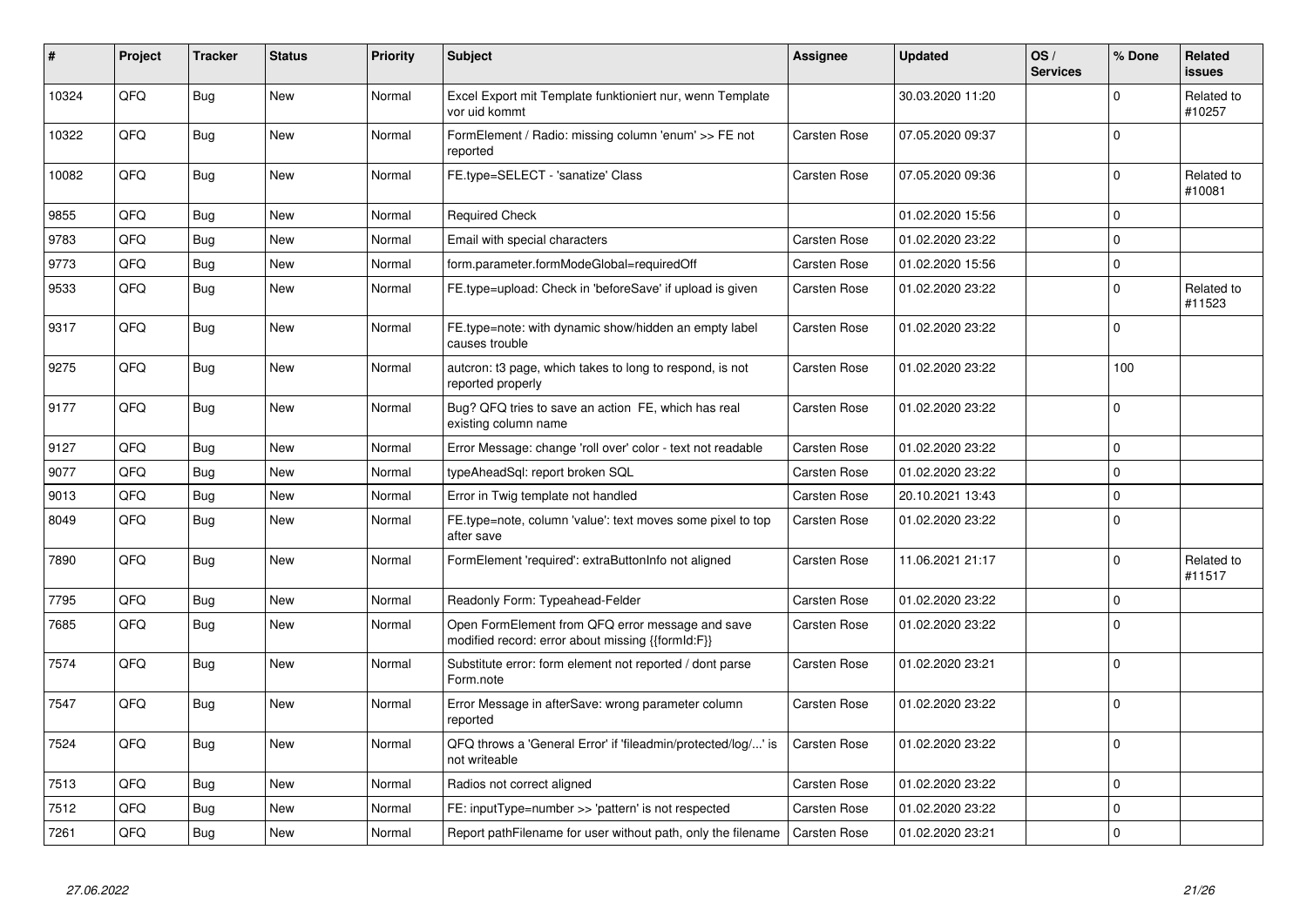| #     | Project | <b>Tracker</b> | <b>Status</b> | <b>Priority</b> | <b>Subject</b>                                                                                        | Assignee            | Updated          | OS/<br><b>Services</b> | % Done      | Related<br><b>issues</b> |
|-------|---------|----------------|---------------|-----------------|-------------------------------------------------------------------------------------------------------|---------------------|------------------|------------------------|-------------|--------------------------|
| 10324 | QFQ     | Bug            | New           | Normal          | Excel Export mit Template funktioniert nur, wenn Template<br>vor uid kommt                            |                     | 30.03.2020 11:20 |                        | $\mathbf 0$ | Related to<br>#10257     |
| 10322 | QFQ     | <b>Bug</b>     | New           | Normal          | FormElement / Radio: missing column 'enum' >> FE not<br>reported                                      | <b>Carsten Rose</b> | 07.05.2020 09:37 |                        | $\mathbf 0$ |                          |
| 10082 | QFQ     | Bug            | New           | Normal          | FE.type=SELECT - 'sanatize' Class                                                                     | Carsten Rose        | 07.05.2020 09:36 |                        | $\mathbf 0$ | Related to<br>#10081     |
| 9855  | QFQ     | Bug            | <b>New</b>    | Normal          | <b>Required Check</b>                                                                                 |                     | 01.02.2020 15:56 |                        | $\mathbf 0$ |                          |
| 9783  | QFQ     | <b>Bug</b>     | <b>New</b>    | Normal          | Email with special characters                                                                         | Carsten Rose        | 01.02.2020 23:22 |                        | $\Omega$    |                          |
| 9773  | QFQ     | <b>Bug</b>     | New           | Normal          | form.parameter.formModeGlobal=requiredOff                                                             | <b>Carsten Rose</b> | 01.02.2020 15:56 |                        | $\mathbf 0$ |                          |
| 9533  | QFQ     | <b>Bug</b>     | <b>New</b>    | Normal          | FE.type=upload: Check in 'beforeSave' if upload is given                                              | Carsten Rose        | 01.02.2020 23:22 |                        | $\Omega$    | Related to<br>#11523     |
| 9317  | QFQ     | <b>Bug</b>     | <b>New</b>    | Normal          | FE.type=note: with dynamic show/hidden an empty label<br>causes trouble                               | Carsten Rose        | 01.02.2020 23:22 |                        | $\Omega$    |                          |
| 9275  | QFQ     | <b>Bug</b>     | <b>New</b>    | Normal          | autcron: t3 page, which takes to long to respond, is not<br>reported properly                         | Carsten Rose        | 01.02.2020 23:22 |                        | 100         |                          |
| 9177  | QFQ     | Bug            | New           | Normal          | Bug? QFQ tries to save an action FE, which has real<br>existing column name                           | Carsten Rose        | 01.02.2020 23:22 |                        | $\Omega$    |                          |
| 9127  | QFQ     | <b>Bug</b>     | <b>New</b>    | Normal          | Error Message: change 'roll over' color - text not readable                                           | Carsten Rose        | 01.02.2020 23:22 |                        | $\Omega$    |                          |
| 9077  | QFQ     | Bug            | New           | Normal          | typeAheadSql: report broken SQL                                                                       | <b>Carsten Rose</b> | 01.02.2020 23:22 |                        | $\mathbf 0$ |                          |
| 9013  | QFQ     | <b>Bug</b>     | New           | Normal          | Error in Twig template not handled                                                                    | Carsten Rose        | 20.10.2021 13:43 |                        | $\Omega$    |                          |
| 8049  | QFQ     | <b>Bug</b>     | <b>New</b>    | Normal          | FE.type=note, column 'value': text moves some pixel to top<br>after save                              | Carsten Rose        | 01.02.2020 23:22 |                        | $\mathbf 0$ |                          |
| 7890  | QFQ     | Bug            | New           | Normal          | FormElement 'required': extraButtonInfo not aligned                                                   | Carsten Rose        | 11.06.2021 21:17 |                        | $\mathbf 0$ | Related to<br>#11517     |
| 7795  | QFQ     | Bug            | New           | Normal          | Readonly Form: Typeahead-Felder                                                                       | <b>Carsten Rose</b> | 01.02.2020 23:22 |                        | $\mathbf 0$ |                          |
| 7685  | QFQ     | <b>Bug</b>     | New           | Normal          | Open FormElement from QFQ error message and save<br>modified record: error about missing {{formId:F}} | Carsten Rose        | 01.02.2020 23:22 |                        | $\Omega$    |                          |
| 7574  | QFQ     | Bug            | New           | Normal          | Substitute error: form element not reported / dont parse<br>Form.note                                 | Carsten Rose        | 01.02.2020 23:21 |                        | $\Omega$    |                          |
| 7547  | QFQ     | <b>Bug</b>     | New           | Normal          | Error Message in afterSave: wrong parameter column<br>reported                                        | Carsten Rose        | 01.02.2020 23:22 |                        | $\Omega$    |                          |
| 7524  | QFQ     | <b>Bug</b>     | <b>New</b>    | Normal          | QFQ throws a 'General Error' if 'fileadmin/protected/log/' is<br>not writeable                        | Carsten Rose        | 01.02.2020 23:22 |                        | $\mathbf 0$ |                          |
| 7513  | QFQ     | <b>Bug</b>     | New           | Normal          | Radios not correct aligned                                                                            | Carsten Rose        | 01.02.2020 23:22 |                        | $\Omega$    |                          |
| 7512  | QFQ     | <b>Bug</b>     | <b>New</b>    | Normal          | FE: inputType=number >> 'pattern' is not respected                                                    | <b>Carsten Rose</b> | 01.02.2020 23:22 |                        | $\mathbf 0$ |                          |
| 7261  | QFQ     | <b>Bug</b>     | New           | Normal          | Report pathFilename for user without path, only the filename                                          | Carsten Rose        | 01.02.2020 23:21 |                        | $\mathbf 0$ |                          |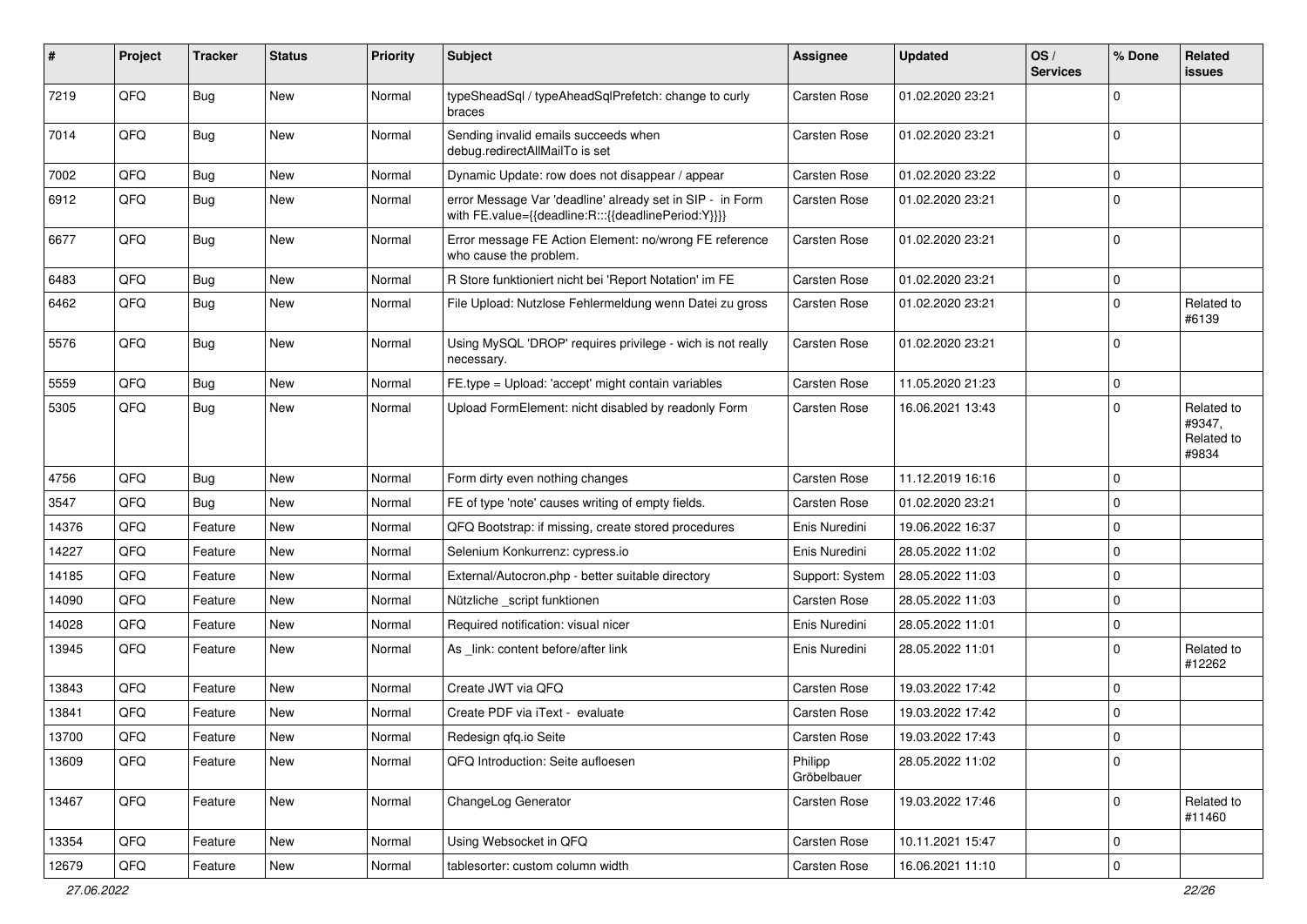| #     | Project | <b>Tracker</b> | <b>Status</b> | <b>Priority</b> | <b>Subject</b>                                                                                                   | <b>Assignee</b>        | <b>Updated</b>   | OS/<br><b>Services</b> | % Done       | Related<br>issues                           |
|-------|---------|----------------|---------------|-----------------|------------------------------------------------------------------------------------------------------------------|------------------------|------------------|------------------------|--------------|---------------------------------------------|
| 7219  | QFQ     | <b>Bug</b>     | New           | Normal          | typeSheadSql / typeAheadSqlPrefetch: change to curly<br>braces                                                   | <b>Carsten Rose</b>    | 01.02.2020 23:21 |                        | <sup>0</sup> |                                             |
| 7014  | QFQ     | Bug            | New           | Normal          | Sending invalid emails succeeds when<br>debug.redirectAllMailTo is set                                           | <b>Carsten Rose</b>    | 01.02.2020 23:21 |                        | $\mathbf 0$  |                                             |
| 7002  | QFQ     | Bug            | New           | Normal          | Dynamic Update: row does not disappear / appear                                                                  | <b>Carsten Rose</b>    | 01.02.2020 23:22 |                        | 0            |                                             |
| 6912  | QFQ     | <b>Bug</b>     | New           | Normal          | error Message Var 'deadline' already set in SIP - in Form<br>with FE.value={{deadline:R:::{{deadlinePeriod:Y}}}} | <b>Carsten Rose</b>    | 01.02.2020 23:21 |                        | $\Omega$     |                                             |
| 6677  | QFQ     | <b>Bug</b>     | New           | Normal          | Error message FE Action Element: no/wrong FE reference<br>who cause the problem.                                 | Carsten Rose           | 01.02.2020 23:21 |                        | $\Omega$     |                                             |
| 6483  | QFQ     | <b>Bug</b>     | New           | Normal          | R Store funktioniert nicht bei 'Report Notation' im FE                                                           | <b>Carsten Rose</b>    | 01.02.2020 23:21 |                        | $\mathbf 0$  |                                             |
| 6462  | QFQ     | Bug            | New           | Normal          | File Upload: Nutzlose Fehlermeldung wenn Datei zu gross                                                          | <b>Carsten Rose</b>    | 01.02.2020 23:21 |                        | $\Omega$     | Related to<br>#6139                         |
| 5576  | QFQ     | <b>Bug</b>     | New           | Normal          | Using MySQL 'DROP' requires privilege - wich is not really<br>necessary.                                         | <b>Carsten Rose</b>    | 01.02.2020 23:21 |                        | $\Omega$     |                                             |
| 5559  | QFQ     | Bug            | New           | Normal          | FE.type = Upload: 'accept' might contain variables                                                               | <b>Carsten Rose</b>    | 11.05.2020 21:23 |                        | $\mathbf 0$  |                                             |
| 5305  | QFQ     | Bug            | New           | Normal          | Upload FormElement: nicht disabled by readonly Form                                                              | <b>Carsten Rose</b>    | 16.06.2021 13:43 |                        | $\Omega$     | Related to<br>#9347,<br>Related to<br>#9834 |
| 4756  | QFQ     | <b>Bug</b>     | <b>New</b>    | Normal          | Form dirty even nothing changes                                                                                  | <b>Carsten Rose</b>    | 11.12.2019 16:16 |                        | $\Omega$     |                                             |
| 3547  | QFQ     | Bug            | New           | Normal          | FE of type 'note' causes writing of empty fields.                                                                | <b>Carsten Rose</b>    | 01.02.2020 23:21 |                        | $\mathbf 0$  |                                             |
| 14376 | QFQ     | Feature        | New           | Normal          | QFQ Bootstrap: if missing, create stored procedures                                                              | Enis Nuredini          | 19.06.2022 16:37 |                        | $\Omega$     |                                             |
| 14227 | QFQ     | Feature        | <b>New</b>    | Normal          | Selenium Konkurrenz: cypress.io                                                                                  | Enis Nuredini          | 28.05.2022 11:02 |                        | $\mathbf 0$  |                                             |
| 14185 | QFQ     | Feature        | New           | Normal          | External/Autocron.php - better suitable directory                                                                | Support: System        | 28.05.2022 11:03 |                        | $\Omega$     |                                             |
| 14090 | QFQ     | Feature        | New           | Normal          | Nützliche _script funktionen                                                                                     | <b>Carsten Rose</b>    | 28.05.2022 11:03 |                        | $\mathbf 0$  |                                             |
| 14028 | QFQ     | Feature        | New           | Normal          | Required notification: visual nicer                                                                              | Enis Nuredini          | 28.05.2022 11:01 |                        | $\mathbf 0$  |                                             |
| 13945 | QFQ     | Feature        | New           | Normal          | As _link: content before/after link                                                                              | Enis Nuredini          | 28.05.2022 11:01 |                        | $\Omega$     | Related to<br>#12262                        |
| 13843 | QFQ     | Feature        | New           | Normal          | Create JWT via QFQ                                                                                               | <b>Carsten Rose</b>    | 19.03.2022 17:42 |                        | $\Omega$     |                                             |
| 13841 | QFQ     | Feature        | New           | Normal          | Create PDF via iText - evaluate                                                                                  | <b>Carsten Rose</b>    | 19.03.2022 17:42 |                        | $\mathbf 0$  |                                             |
| 13700 | QFQ     | Feature        | New           | Normal          | Redesign qfq.io Seite                                                                                            | Carsten Rose           | 19.03.2022 17:43 |                        | $\Omega$     |                                             |
| 13609 | QFQ     | Feature        | New           | Normal          | QFQ Introduction: Seite aufloesen                                                                                | Philipp<br>Gröbelbauer | 28.05.2022 11:02 |                        | $\mathbf 0$  |                                             |
| 13467 | QFQ     | Feature        | New           | Normal          | ChangeLog Generator                                                                                              | <b>Carsten Rose</b>    | 19.03.2022 17:46 |                        | $\mathbf 0$  | Related to<br>#11460                        |
| 13354 | QFQ     | Feature        | New           | Normal          | Using Websocket in QFQ                                                                                           | Carsten Rose           | 10.11.2021 15:47 |                        | $\mathbf 0$  |                                             |
| 12679 | QFQ     | Feature        | New           | Normal          | tablesorter: custom column width                                                                                 | Carsten Rose           | 16.06.2021 11:10 |                        | $\mathbf 0$  |                                             |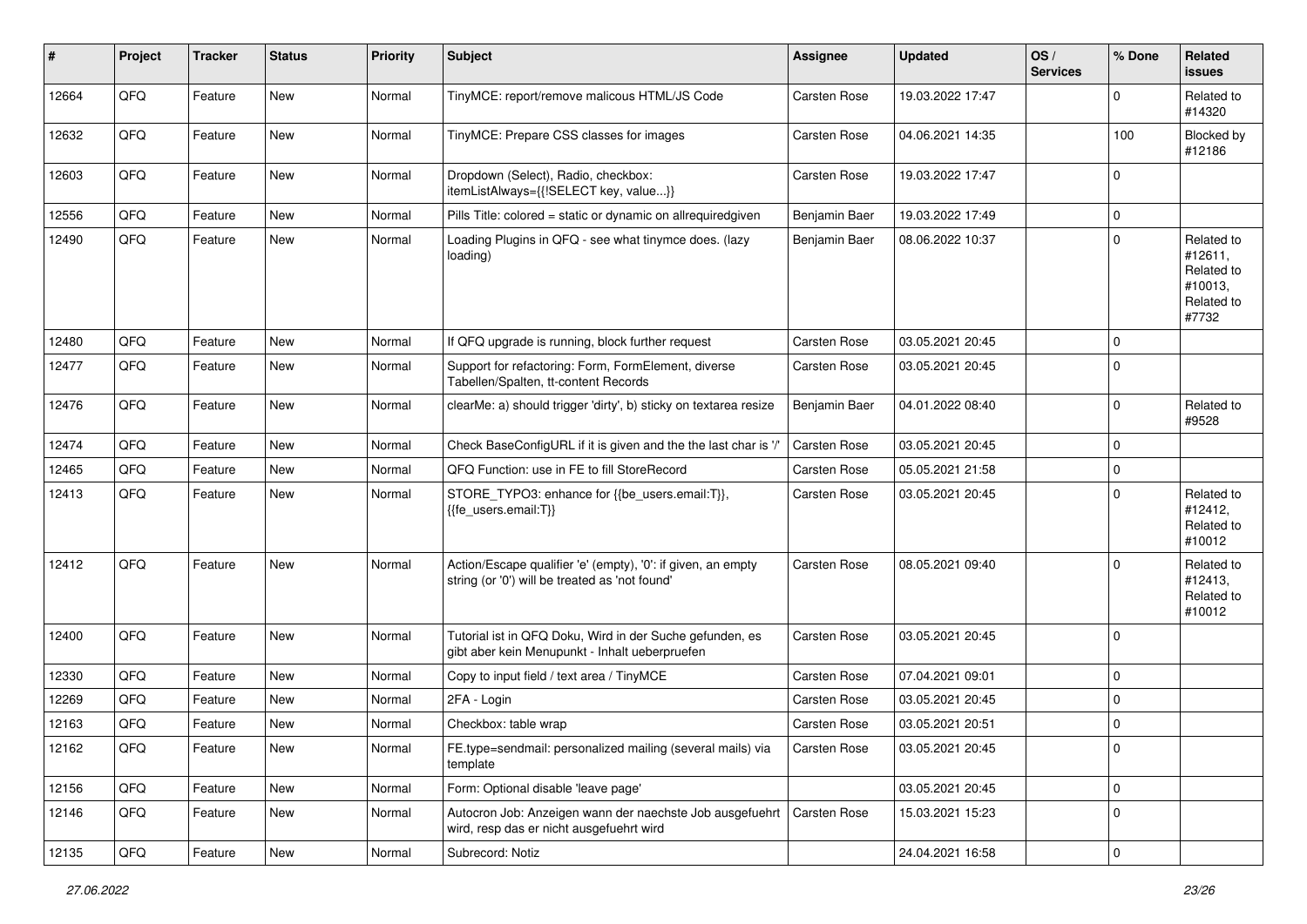| #     | Project | <b>Tracker</b> | <b>Status</b> | <b>Priority</b> | <b>Subject</b>                                                                                                 | Assignee            | <b>Updated</b>   | OS/<br><b>Services</b> | % Done      | Related<br><b>issues</b>                                              |
|-------|---------|----------------|---------------|-----------------|----------------------------------------------------------------------------------------------------------------|---------------------|------------------|------------------------|-------------|-----------------------------------------------------------------------|
| 12664 | QFQ     | Feature        | New           | Normal          | TinyMCE: report/remove malicous HTML/JS Code                                                                   | Carsten Rose        | 19.03.2022 17:47 |                        | $\mathbf 0$ | Related to<br>#14320                                                  |
| 12632 | QFQ     | Feature        | New           | Normal          | TinyMCE: Prepare CSS classes for images                                                                        | Carsten Rose        | 04.06.2021 14:35 |                        | 100         | Blocked by<br>#12186                                                  |
| 12603 | QFQ     | Feature        | New           | Normal          | Dropdown (Select), Radio, checkbox:<br>itemListAlways={{!SELECT key, value}}                                   | Carsten Rose        | 19.03.2022 17:47 |                        | $\mathbf 0$ |                                                                       |
| 12556 | QFQ     | Feature        | <b>New</b>    | Normal          | Pills Title: colored = static or dynamic on allrequiredgiven                                                   | Benjamin Baer       | 19.03.2022 17:49 |                        | $\mathbf 0$ |                                                                       |
| 12490 | QFQ     | Feature        | New           | Normal          | Loading Plugins in QFQ - see what tinymce does. (lazy<br>loading)                                              | Benjamin Baer       | 08.06.2022 10:37 |                        | $\Omega$    | Related to<br>#12611,<br>Related to<br>#10013,<br>Related to<br>#7732 |
| 12480 | QFQ     | Feature        | New           | Normal          | If QFQ upgrade is running, block further request                                                               | Carsten Rose        | 03.05.2021 20:45 |                        | $\mathbf 0$ |                                                                       |
| 12477 | QFQ     | Feature        | New           | Normal          | Support for refactoring: Form, FormElement, diverse<br>Tabellen/Spalten, tt-content Records                    | Carsten Rose        | 03.05.2021 20:45 |                        | $\mathbf 0$ |                                                                       |
| 12476 | QFQ     | Feature        | New           | Normal          | clearMe: a) should trigger 'dirty', b) sticky on textarea resize                                               | Benjamin Baer       | 04.01.2022 08:40 |                        | $\mathbf 0$ | Related to<br>#9528                                                   |
| 12474 | QFQ     | Feature        | <b>New</b>    | Normal          | Check BaseConfigURL if it is given and the the last char is '/'                                                | <b>Carsten Rose</b> | 03.05.2021 20:45 |                        | $\mathbf 0$ |                                                                       |
| 12465 | QFQ     | Feature        | New           | Normal          | QFQ Function: use in FE to fill StoreRecord                                                                    | Carsten Rose        | 05.05.2021 21:58 |                        | $\mathbf 0$ |                                                                       |
| 12413 | QFQ     | Feature        | New           | Normal          | STORE_TYPO3: enhance for {{be_users.email:T}},<br>{{fe users.email:T}}                                         | Carsten Rose        | 03.05.2021 20:45 |                        | $\Omega$    | Related to<br>#12412,<br>Related to<br>#10012                         |
| 12412 | QFQ     | Feature        | New           | Normal          | Action/Escape qualifier 'e' (empty), '0': if given, an empty<br>string (or '0') will be treated as 'not found' | Carsten Rose        | 08.05.2021 09:40 |                        | $\Omega$    | Related to<br>#12413,<br>Related to<br>#10012                         |
| 12400 | QFQ     | Feature        | New           | Normal          | Tutorial ist in QFQ Doku, Wird in der Suche gefunden, es<br>gibt aber kein Menupunkt - Inhalt ueberpruefen     | Carsten Rose        | 03.05.2021 20:45 |                        | $\mathbf 0$ |                                                                       |
| 12330 | QFQ     | Feature        | New           | Normal          | Copy to input field / text area / TinyMCE                                                                      | Carsten Rose        | 07.04.2021 09:01 |                        | $\mathbf 0$ |                                                                       |
| 12269 | QFQ     | Feature        | New           | Normal          | 2FA - Login                                                                                                    | Carsten Rose        | 03.05.2021 20:45 |                        | $\mathbf 0$ |                                                                       |
| 12163 | QFQ     | Feature        | New           | Normal          | Checkbox: table wrap                                                                                           | Carsten Rose        | 03.05.2021 20:51 |                        | $\mathbf 0$ |                                                                       |
| 12162 | QFQ     | Feature        | New           | Normal          | FE.type=sendmail: personalized mailing (several mails) via<br>template                                         | Carsten Rose        | 03.05.2021 20:45 |                        | $\mathbf 0$ |                                                                       |
| 12156 | QFQ     | Feature        | New           | Normal          | Form: Optional disable 'leave page'                                                                            |                     | 03.05.2021 20:45 |                        | $\mathbf 0$ |                                                                       |
| 12146 | QFQ     | Feature        | New           | Normal          | Autocron Job: Anzeigen wann der naechste Job ausgefuehrt<br>wird, resp das er nicht ausgefuehrt wird           | <b>Carsten Rose</b> | 15.03.2021 15:23 |                        | $\mathbf 0$ |                                                                       |
| 12135 | QFQ     | Feature        | New           | Normal          | Subrecord: Notiz                                                                                               |                     | 24.04.2021 16:58 |                        | $\mathsf 0$ |                                                                       |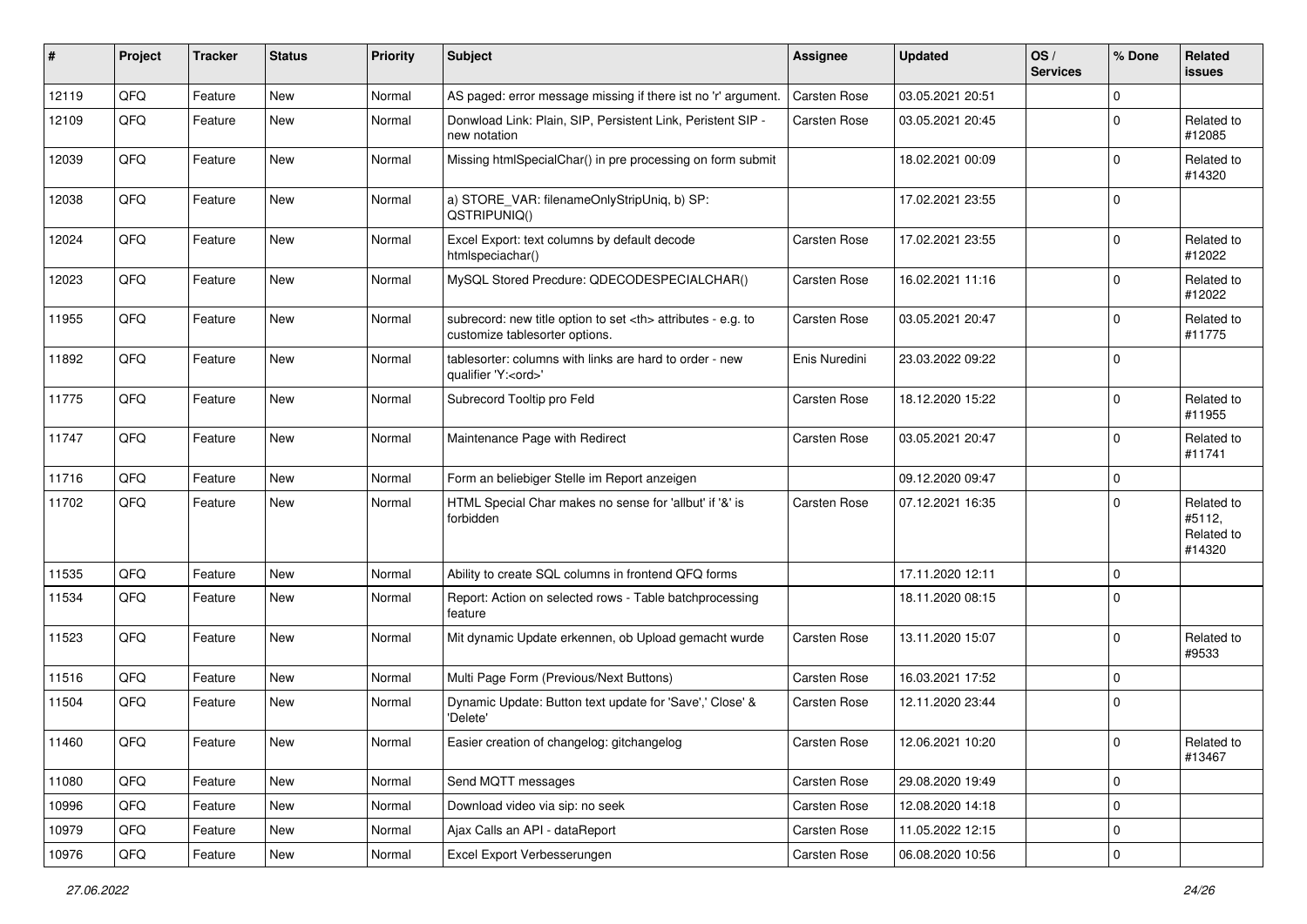| ∦     | Project | <b>Tracker</b> | <b>Status</b> | <b>Priority</b> | Subject                                                                                              | <b>Assignee</b>                                        | <b>Updated</b>   | OS/<br><b>Services</b> | % Done      | Related<br>issues                            |                      |
|-------|---------|----------------|---------------|-----------------|------------------------------------------------------------------------------------------------------|--------------------------------------------------------|------------------|------------------------|-------------|----------------------------------------------|----------------------|
| 12119 | QFQ     | Feature        | New           | Normal          | AS paged: error message missing if there ist no 'r' argument.                                        | Carsten Rose                                           | 03.05.2021 20:51 |                        | $\mathbf 0$ |                                              |                      |
| 12109 | QFQ     | Feature        | <b>New</b>    | Normal          | Donwload Link: Plain, SIP, Persistent Link, Peristent SIP -<br>new notation                          | Carsten Rose                                           | 03.05.2021 20:45 |                        | 0           | Related to<br>#12085                         |                      |
| 12039 | QFQ     | Feature        | <b>New</b>    | Normal          | Missing htmlSpecialChar() in pre processing on form submit                                           |                                                        | 18.02.2021 00:09 |                        | $\mathbf 0$ | Related to<br>#14320                         |                      |
| 12038 | QFQ     | Feature        | <b>New</b>    | Normal          | a) STORE_VAR: filenameOnlyStripUniq, b) SP:<br>QSTRIPUNIQ()                                          |                                                        | 17.02.2021 23:55 |                        | $\mathbf 0$ |                                              |                      |
| 12024 | QFQ     | Feature        | <b>New</b>    | Normal          | Excel Export: text columns by default decode<br>htmlspeciachar()                                     | Carsten Rose                                           | 17.02.2021 23:55 |                        | $\mathbf 0$ | Related to<br>#12022                         |                      |
| 12023 | QFQ     | Feature        | <b>New</b>    | Normal          | MySQL Stored Precdure: QDECODESPECIALCHAR()                                                          | Carsten Rose                                           | 16.02.2021 11:16 |                        | $\mathbf 0$ | Related to<br>#12022                         |                      |
| 11955 | QFQ     | Feature        | <b>New</b>    | Normal          | subrecord: new title option to set <th> attributes - e.g. to<br/>customize tablesorter options.</th> | attributes - e.g. to<br>customize tablesorter options. | Carsten Rose     | 03.05.2021 20:47       |             | $\mathbf 0$                                  | Related to<br>#11775 |
| 11892 | QFQ     | Feature        | <b>New</b>    | Normal          | tablesorter: columns with links are hard to order - new<br>qualifier 'Y: <ord>'</ord>                | Enis Nuredini                                          | 23.03.2022 09:22 |                        | $\mathbf 0$ |                                              |                      |
| 11775 | QFQ     | Feature        | <b>New</b>    | Normal          | Subrecord Tooltip pro Feld                                                                           | <b>Carsten Rose</b>                                    | 18.12.2020 15:22 |                        | $\mathbf 0$ | Related to<br>#11955                         |                      |
| 11747 | QFQ     | Feature        | <b>New</b>    | Normal          | Maintenance Page with Redirect                                                                       | <b>Carsten Rose</b>                                    | 03.05.2021 20:47 |                        | $\mathbf 0$ | Related to<br>#11741                         |                      |
| 11716 | QFQ     | Feature        | <b>New</b>    | Normal          | Form an beliebiger Stelle im Report anzeigen                                                         |                                                        | 09.12.2020 09:47 |                        | $\pmb{0}$   |                                              |                      |
| 11702 | QFQ     | Feature        | New           | Normal          | HTML Special Char makes no sense for 'allbut' if '&' is<br>forbidden                                 | Carsten Rose                                           | 07.12.2021 16:35 |                        | $\mathbf 0$ | Related to<br>#5112,<br>Related to<br>#14320 |                      |
| 11535 | QFQ     | Feature        | <b>New</b>    | Normal          | Ability to create SQL columns in frontend QFQ forms                                                  |                                                        | 17.11.2020 12:11 |                        | $\mathbf 0$ |                                              |                      |
| 11534 | QFQ     | Feature        | <b>New</b>    | Normal          | Report: Action on selected rows - Table batchprocessing<br>feature                                   |                                                        | 18.11.2020 08:15 |                        | $\mathbf 0$ |                                              |                      |
| 11523 | QFQ     | Feature        | <b>New</b>    | Normal          | Mit dynamic Update erkennen, ob Upload gemacht wurde                                                 | <b>Carsten Rose</b>                                    | 13.11.2020 15:07 |                        | $\mathbf 0$ | Related to<br>#9533                          |                      |
| 11516 | QFQ     | Feature        | <b>New</b>    | Normal          | Multi Page Form (Previous/Next Buttons)                                                              | Carsten Rose                                           | 16.03.2021 17:52 |                        | $\mathbf 0$ |                                              |                      |
| 11504 | QFQ     | Feature        | <b>New</b>    | Normal          | Dynamic Update: Button text update for 'Save',' Close' &<br>'Delete'                                 | <b>Carsten Rose</b>                                    | 12.11.2020 23:44 |                        | $\mathbf 0$ |                                              |                      |
| 11460 | QFQ     | Feature        | New           | Normal          | Easier creation of changelog: gitchangelog                                                           | Carsten Rose                                           | 12.06.2021 10:20 |                        | $\pmb{0}$   | Related to<br>#13467                         |                      |
| 11080 | QFQ     | Feature        | New           | Normal          | Send MQTT messages                                                                                   | Carsten Rose                                           | 29.08.2020 19:49 |                        | $\mathbf 0$ |                                              |                      |
| 10996 | QFQ     | Feature        | New           | Normal          | Download video via sip: no seek                                                                      | Carsten Rose                                           | 12.08.2020 14:18 |                        | $\mathsf 0$ |                                              |                      |
| 10979 | QFQ     | Feature        | New           | Normal          | Ajax Calls an API - dataReport                                                                       | Carsten Rose                                           | 11.05.2022 12:15 |                        | $\mathsf 0$ |                                              |                      |
| 10976 | QFQ     | Feature        | New           | Normal          | Excel Export Verbesserungen                                                                          | Carsten Rose                                           | 06.08.2020 10:56 |                        | $\mathsf 0$ |                                              |                      |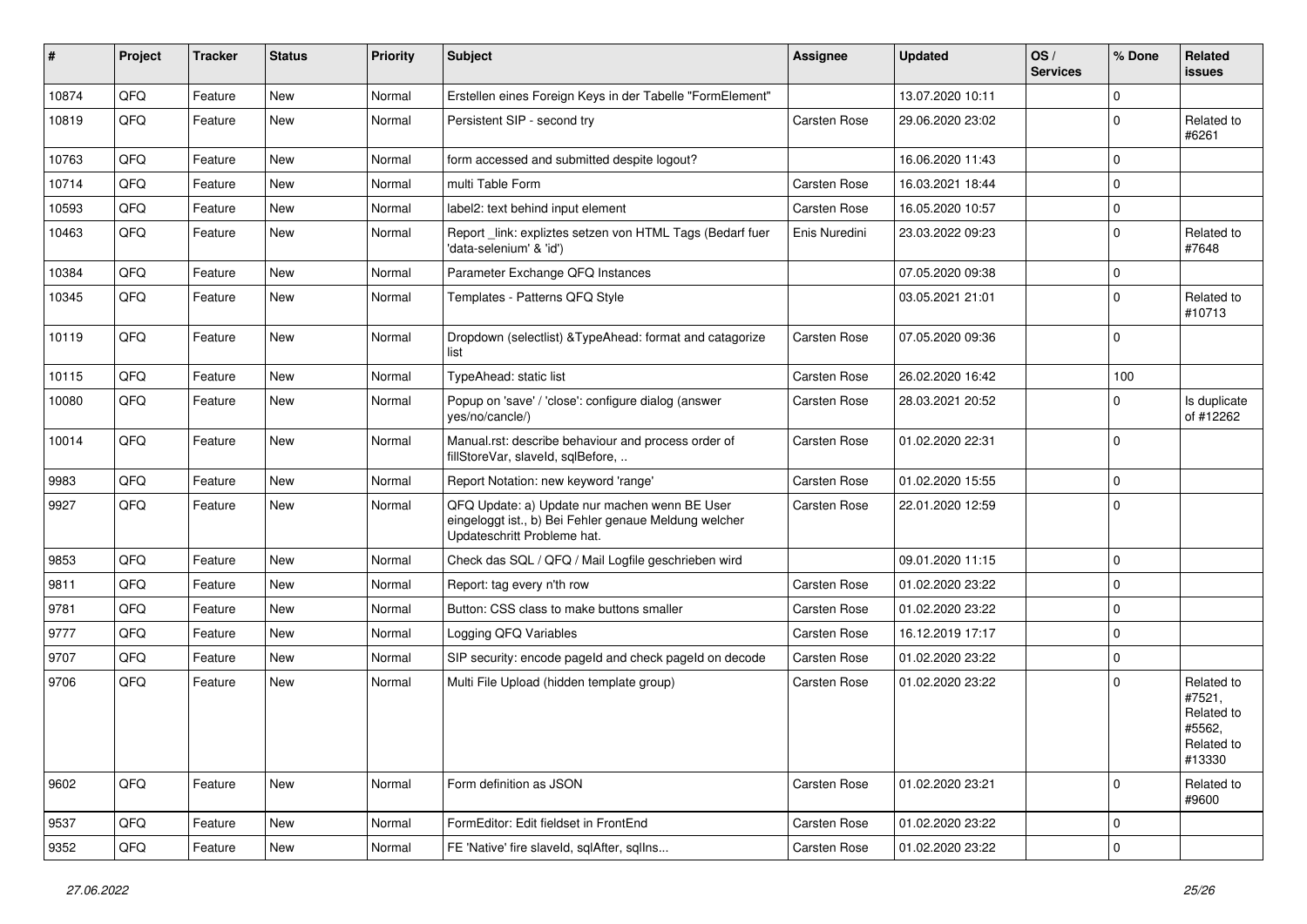| ∦     | Project | <b>Tracker</b> | <b>Status</b> | <b>Priority</b> | <b>Subject</b>                                                                                                                        | <b>Assignee</b>     | <b>Updated</b>   | OS/<br><b>Services</b> | % Done      | Related<br>issues                                                    |
|-------|---------|----------------|---------------|-----------------|---------------------------------------------------------------------------------------------------------------------------------------|---------------------|------------------|------------------------|-------------|----------------------------------------------------------------------|
| 10874 | QFQ     | Feature        | <b>New</b>    | Normal          | Erstellen eines Foreign Keys in der Tabelle "FormElement"                                                                             |                     | 13.07.2020 10:11 |                        | $\Omega$    |                                                                      |
| 10819 | QFQ     | Feature        | New           | Normal          | Persistent SIP - second try                                                                                                           | <b>Carsten Rose</b> | 29.06.2020 23:02 |                        | $\Omega$    | Related to<br>#6261                                                  |
| 10763 | QFQ     | Feature        | <b>New</b>    | Normal          | form accessed and submitted despite logout?                                                                                           |                     | 16.06.2020 11:43 |                        | $\Omega$    |                                                                      |
| 10714 | QFQ     | Feature        | New           | Normal          | multi Table Form                                                                                                                      | <b>Carsten Rose</b> | 16.03.2021 18:44 |                        | $\Omega$    |                                                                      |
| 10593 | QFQ     | Feature        | <b>New</b>    | Normal          | label2: text behind input element                                                                                                     | <b>Carsten Rose</b> | 16.05.2020 10:57 |                        | $\Omega$    |                                                                      |
| 10463 | QFQ     | Feature        | New           | Normal          | Report link: expliztes setzen von HTML Tags (Bedarf fuer<br>'data-selenium' & 'id')                                                   | Enis Nuredini       | 23.03.2022 09:23 |                        | 0           | Related to<br>#7648                                                  |
| 10384 | QFQ     | Feature        | <b>New</b>    | Normal          | Parameter Exchange QFQ Instances                                                                                                      |                     | 07.05.2020 09:38 |                        | $\Omega$    |                                                                      |
| 10345 | QFQ     | Feature        | New           | Normal          | Templates - Patterns QFQ Style                                                                                                        |                     | 03.05.2021 21:01 |                        | $\Omega$    | Related to<br>#10713                                                 |
| 10119 | QFQ     | Feature        | <b>New</b>    | Normal          | Dropdown (selectlist) & TypeAhead: format and catagorize<br>list                                                                      | <b>Carsten Rose</b> | 07.05.2020 09:36 |                        | $\Omega$    |                                                                      |
| 10115 | QFQ     | Feature        | <b>New</b>    | Normal          | TypeAhead: static list                                                                                                                | <b>Carsten Rose</b> | 26.02.2020 16:42 |                        | 100         |                                                                      |
| 10080 | QFQ     | Feature        | New           | Normal          | Popup on 'save' / 'close': configure dialog (answer<br>yes/no/cancle/)                                                                | <b>Carsten Rose</b> | 28.03.2021 20:52 |                        | $\Omega$    | Is duplicate<br>of #12262                                            |
| 10014 | QFQ     | Feature        | <b>New</b>    | Normal          | Manual.rst: describe behaviour and process order of<br>fillStoreVar, slaveId, sqlBefore,                                              | <b>Carsten Rose</b> | 01.02.2020 22:31 |                        | $\Omega$    |                                                                      |
| 9983  | QFQ     | Feature        | <b>New</b>    | Normal          | Report Notation: new keyword 'range'                                                                                                  | <b>Carsten Rose</b> | 01.02.2020 15:55 |                        | $\Omega$    |                                                                      |
| 9927  | QFQ     | Feature        | <b>New</b>    | Normal          | QFQ Update: a) Update nur machen wenn BE User<br>eingeloggt ist., b) Bei Fehler genaue Meldung welcher<br>Updateschritt Probleme hat. | <b>Carsten Rose</b> | 22.01.2020 12:59 |                        | $\mathbf 0$ |                                                                      |
| 9853  | QFQ     | Feature        | <b>New</b>    | Normal          | Check das SQL / QFQ / Mail Logfile geschrieben wird                                                                                   |                     | 09.01.2020 11:15 |                        | $\Omega$    |                                                                      |
| 9811  | QFQ     | Feature        | New           | Normal          | Report: tag every n'th row                                                                                                            | <b>Carsten Rose</b> | 01.02.2020 23:22 |                        | $\Omega$    |                                                                      |
| 9781  | QFQ     | Feature        | <b>New</b>    | Normal          | Button: CSS class to make buttons smaller                                                                                             | Carsten Rose        | 01.02.2020 23:22 |                        | $\Omega$    |                                                                      |
| 9777  | QFQ     | Feature        | New           | Normal          | Logging QFQ Variables                                                                                                                 | <b>Carsten Rose</b> | 16.12.2019 17:17 |                        | $\Omega$    |                                                                      |
| 9707  | QFQ     | Feature        | <b>New</b>    | Normal          | SIP security: encode pageld and check pageld on decode                                                                                | <b>Carsten Rose</b> | 01.02.2020 23:22 |                        | $\Omega$    |                                                                      |
| 9706  | QFQ     | Feature        | New           | Normal          | Multi File Upload (hidden template group)                                                                                             | <b>Carsten Rose</b> | 01.02.2020 23:22 |                        | $\Omega$    | Related to<br>#7521,<br>Related to<br>#5562,<br>Related to<br>#13330 |
| 9602  | QFQ     | Feature        | New           | Normal          | Form definition as JSON                                                                                                               | Carsten Rose        | 01.02.2020 23:21 |                        | $\mathbf 0$ | Related to<br>#9600                                                  |
| 9537  | QFQ     | Feature        | New           | Normal          | FormEditor: Edit fieldset in FrontEnd                                                                                                 | Carsten Rose        | 01.02.2020 23:22 |                        | $\mathbf 0$ |                                                                      |
| 9352  | QFQ     | Feature        | New           | Normal          | FE 'Native' fire slaveld, sqlAfter, sqlIns                                                                                            | Carsten Rose        | 01.02.2020 23:22 |                        | $\mathbf 0$ |                                                                      |